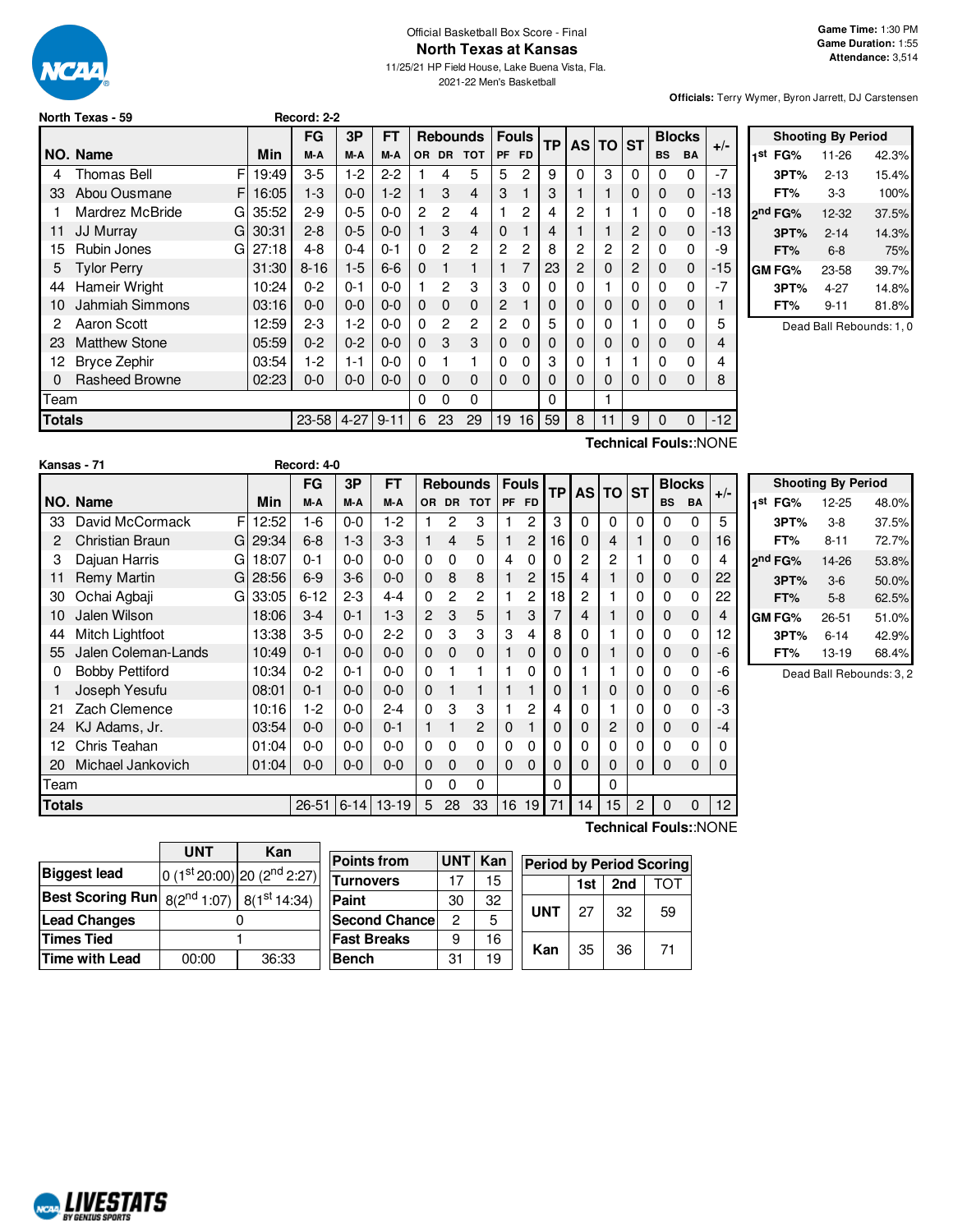

# Official Basketball Box Score - Final **North Texas at Kansas**

11/25/21 HP Field House, Lake Buena Vista, Fla. 2021-22 Men's Basketball

**Officials:** Terry Wymer, Byron Jarrett, DJ Carstensen

|  | North Texas - 59 |  |  |  |
|--|------------------|--|--|--|
|--|------------------|--|--|--|

|               |                                            |       | FG        | 3P       | FT       |          | <b>Rebounds</b> |                | <b>Fouls</b> | <b>TP</b> | AS I | TO. | <b>ST</b> | <b>Blocks</b> |           | $+/-$       |       |
|---------------|--------------------------------------------|-------|-----------|----------|----------|----------|-----------------|----------------|--------------|-----------|------|-----|-----------|---------------|-----------|-------------|-------|
|               | NO. Name                                   | Min   | M-A       | M-A      | M-A      | 0R       | <b>DR</b>       | <b>TOT</b>     | <b>PF</b>    | FD.       |      |     |           |               | <b>BS</b> | <b>BA</b>   |       |
| 4             | F<br><b>Thomas Bell</b>                    | 19:49 | $3-5$     | $1-2$    | $2-2$    |          | 4               | 5              | 5            | 2         | 9    | 0   | 3         | 0             | 0         | 0           | -7    |
| 33            | Abou Ousmane<br>F.                         | 16:05 | $1-3$     | $0-0$    | $1-2$    |          | 3               | $\overline{4}$ | 3            |           | 3    |     |           | 0             | $\Omega$  | $\mathbf 0$ | -13   |
|               | Mardrez McBride<br>G                       | 35:52 | $2-9$     | $0 - 5$  | $0 - 0$  | 2        | $\overline{c}$  | 4              |              | 2         | 4    | 2   |           |               | 0         | 0           | -18   |
| 11            | <b>JJ Murray</b><br>G                      | 30:31 | $2 - 8$   | $0 - 5$  | $0 - 0$  |          | 3               | 4              | 0            |           | 4    |     |           | 2             | $\Omega$  | $\Omega$    | -13   |
| 15            | Rubin Jones<br>G                           | 27:18 | $4 - 8$   | 0-4      | $0 - 1$  | 0        | $\overline{2}$  | $\overline{c}$ | 2            | 2         | 8    | 2   | 2         | 2             | 0         | 0           | -9    |
| 5             | <b>Tylor Perry</b>                         | 31:30 | $8 - 16$  | $1-5$    | $6-6$    | $\Omega$ |                 | 1              |              | 7         | 23   | 2   | 0         | 2             | $\Omega$  | $\mathbf 0$ | -15   |
| 44            | Hameir Wright                              | 10:24 | $0 - 2$   | $0 - 1$  | 0-0      |          | $\overline{2}$  | 3              | 3            | 0         | 0    | 0   |           | 0             | 0         | 0           | -7    |
| 10            | <b>Jahmiah Simmons</b>                     | 03:16 | $0 - 0$   | $0 - 0$  | $0 - 0$  | 0        | $\Omega$        | $\mathbf 0$    | 2            |           | 0    | 0   | 0         | 0             | 0         | $\Omega$    |       |
| 2             | Aaron Scott                                | 12:59 | $2-3$     | 1-2      | $0 - 0$  | 0        | 2               | $\overline{c}$ | 2            | 0         | 5    | 0   | 0         |               | 0         | 0           | 5     |
| 23            | <b>Matthew Stone</b>                       | 05:59 | $0 - 2$   | $0 - 2$  | $0 - 0$  | 0        | 3               | 3              | 0            | 0         | O    | O   | 0         | 0             | $\Omega$  | $\Omega$    | 4     |
| 12            | <b>Bryce Zephir</b>                        | 03:54 | $1-2$     | 1-1      | $0 - 0$  | 0        |                 | 1              | 0            | 0         | 3    | 0   |           |               | 0         | 0           | 4     |
| 0             | <b>Rasheed Browne</b>                      | 02:23 | $0-0$     | $0-0$    | $0 - 0$  | 0        | 0               | $\mathbf 0$    | 0            | 0         | 0    | 0   | 0         | 0             | 0         | 0           | 8     |
| Team          |                                            |       |           |          |          |          | 0               | 0              |              |           | 0    |     |           |               |           |             |       |
| <b>Totals</b> |                                            |       | $23 - 58$ | $4 - 27$ | $9 - 11$ | 6        | 23              | 29             | 19           | 16        | 59   | 8   | 11        | 9             | $\Omega$  | $\Omega$    | $-12$ |
|               | $T$ oobnigol Equipu $\Lambda$ I $\cap$ NIE |       |           |          |          |          |                 |                |              |           |      |     |           |               |           |             |       |

**North Texas - 59 Record: 2-2**

**Shooting By Period 1 st FG%** 11-26 42.3% **3PT%** 2-13 15.4% **FT%** 3-3 100% **2 nd FG%** 12-32 37.5% **3PT%** 2-14 14.3% **FT%** 6-8 75% **GM FG%** 23-58 39.7% **3PT%** 4-27 14.8% **FT%** 9-11 81.8% Dead Ball Rebounds: 1, 0

**Technical Fouls:**:NONE

|        | Kansas - 71            |    |       | Record: 4-0 |            |         |                |              |              |   |                |           |              |                |                |           |               |       |                     |                           |       |
|--------|------------------------|----|-------|-------------|------------|---------|----------------|--------------|--------------|---|----------------|-----------|--------------|----------------|----------------|-----------|---------------|-------|---------------------|---------------------------|-------|
|        |                        |    |       | <b>FG</b>   | 3P         | FT.     |                |              | Rebounds     |   | <b>Fouls</b>   | <b>TP</b> |              | AS TO ST       |                |           | <b>Blocks</b> | $+/-$ |                     | <b>Shooting By Period</b> |       |
|        | NO. Name               |    | Min   | M-A         | M-A        | M-A     |                |              | OR DR TOT    |   | PF FD          |           |              |                |                | <b>BS</b> | BA            |       | 1 <sup>st</sup> FG% | $12 - 25$                 | 48.0% |
| 33     | David McCormack        | F  | 12:52 | $1-6$       | 0-0        | $1-2$   |                | 2            | 3            |   | 2              | 3         | 0            | 0              | 0              | 0         | 0             | 5     | 3PT%                | $3-8$                     | 37.5% |
| 2      | Christian Braun        | GI | 29:34 | $6 - 8$     | $1 - 3$    | $3-3$   |                | 4            | 5            |   | $\overline{c}$ | 16        | 0            | 4              |                | 0         | 0             | 16    | FT%                 | $8 - 11$                  | 72.7% |
| 3      | Dajuan Harris          | G  | 18:07 | $0 - 1$     | 0-0        | $0 - 0$ | $\Omega$       | 0            | 0            | 4 | 0              |           | 2            | 2              |                | 0         | 0             | 4     | 2 <sup>nd</sup> FG% | 14-26                     | 53.8% |
| 11     | <b>Remy Martin</b>     | G  | 28:56 | $6-9$       | $3-6$      | $0 - 0$ | 0              | 8            | 8            |   | $\overline{c}$ | 15        | 4            |                | 0              | 0         | $\mathbf 0$   | 22    | 3PT%                | $3-6$                     | 50.0% |
| 30     | Ochai Agbaji           | G  | 33:05 | $6 - 12$    | $2 - 3$    | $4 - 4$ | 0              | 2            | 2            |   | 2              | 18        | 2            |                |                | 0         | 0             | 22    | FT%                 | $5 - 8$                   | 62.5% |
| 10     | Jalen Wilson           |    | 18:06 | $3-4$       | $0 - 1$    | $1 - 3$ | $\overline{2}$ | 3            | 5            |   | 3              |           | 4            |                | 0              | 0         | $\mathbf 0$   | 4     | <b>GM FG%</b>       | 26-51                     | 51.0% |
| 44     | Mitch Lightfoot        |    | 13:38 | $3-5$       | 0-0        | $2 - 2$ | $\mathbf{0}$   | 3            | 3            | 3 | 4              | 8         | 0            |                | 0              | 0         | 0             | 12    | 3PT%                | $6 - 14$                  | 42.9% |
| 55     | Jalen Coleman-Lands    |    | 10:49 | $0 - 1$     | $0-0$      | $0 - 0$ | $\Omega$       | $\Omega$     | $\mathbf{0}$ |   | 0              |           | $\Omega$     |                | 0              | 0         | 0             | -6    | FT%                 | 13-19                     | 68.4% |
|        | <b>Bobby Pettiford</b> |    | 10:34 | $0 - 2$     | $0 - 1$    | $0-0$   | 0              |              |              |   | 0              |           |              |                |                | 0         | 0             | -6    |                     | Dead Ball Rebounds: 3,    |       |
|        | Joseph Yesufu          |    | 08:01 | $0 - 1$     | $0 - 0$    | $0 - 0$ | 0              |              |              |   |                |           |              | $\mathbf 0$    | 0              | 0         | $\mathbf 0$   | -6    |                     |                           |       |
| -21    | Zach Clemence          |    | 10:16 | $1-2$       | 0-0        | $2 - 4$ | 0              | 3            | 3            |   | 2              |           | 0            |                | 0              | 0         | 0             | -3    |                     |                           |       |
| 24     | KJ Adams, Jr.          |    | 03:54 | $0 - 0$     | $0-0$      | $0 - 1$ |                |              | 2            | 0 |                |           | $\mathbf{0}$ | $\overline{c}$ | 0              | 0         | $\mathbf 0$   | $-4$  |                     |                           |       |
| 12     | Chris Teahan           |    | 01:04 | $0 - 0$     | $0-0$      | $0 - 0$ | 0              | 0            | 0            | 0 | 0              |           | 0            | $\Omega$       | 0              | 0         | 0             |       |                     |                           |       |
| 20     | Michael Jankovich      |    | 01:04 | $0-0$       | $0 - 0$    | $0 - 0$ | 0              | $\mathbf{0}$ | $\mathbf{0}$ | 0 | $\Omega$       |           | $\Omega$     | 0              | 0              | 0         | $\Omega$      | 0     |                     |                           |       |
| Team   |                        |    |       |             |            |         | 0              | $\Omega$     | 0            |   |                | 0         |              | $\Omega$       |                |           |               |       |                     |                           |       |
| Totals |                        |    |       | $26 - 51$   | $ 6 - 14 $ | $13-19$ | 5              | 28           | 33           |   | 16 19          | 71        | 14           | 15             | $\overline{c}$ | 0         | $\Omega$      | 12    |                     |                           |       |

| 2 <sup>nd</sup> FG% | 14-26    | 53.8% |
|---------------------|----------|-------|
| 3PT%                | $3-6$    | 50.0% |
| FT%                 | 5-8      | 62.5% |
| GM FG%              | 26-51    | 51.0% |
| 3PT%                | $6 - 14$ | 42.9% |
| FT%                 | 13-19    | 68.4% |

 $\frac{1}{2}$ bounds: 3, 2

|                                                            | <b>UNT</b> | Kan                             |   |  |
|------------------------------------------------------------|------------|---------------------------------|---|--|
| <b>Biggest lead</b>                                        |            | 0 $(1st 20:00)$ 20 $(2nd 2:27)$ | Б |  |
| <b>Best Scoring Run</b> $8(2^{nd} 1:07)$ $8(1^{st} 14:34)$ |            |                                 |   |  |
| <b>Lead Changes</b>                                        |            |                                 |   |  |
| <b>Times Tied</b>                                          |            |                                 |   |  |
| <b>Time with Lead</b>                                      | 00:00      | 36:33                           |   |  |

| <b>Points from</b>    | <b>UNT</b> | Kan | <b>Period by Period Scoring</b> |            |     |     |    |  |  |  |
|-----------------------|------------|-----|---------------------------------|------------|-----|-----|----|--|--|--|
| <b>Turnovers</b>      | 17         | 15  |                                 |            | 1st | 2nd |    |  |  |  |
| Paint                 | 30         | 32  |                                 | <b>UNT</b> |     |     |    |  |  |  |
| <b>Second Chancel</b> | 2          | 5   |                                 |            | 27  | 32  | 59 |  |  |  |
| <b>Fast Breaks</b>    | 9          | 16  |                                 |            |     |     |    |  |  |  |
| <b>Bench</b>          | 31         | 19  |                                 | Kan        | 35  | 36  | 71 |  |  |  |

**Technical Fouls:**:NONE

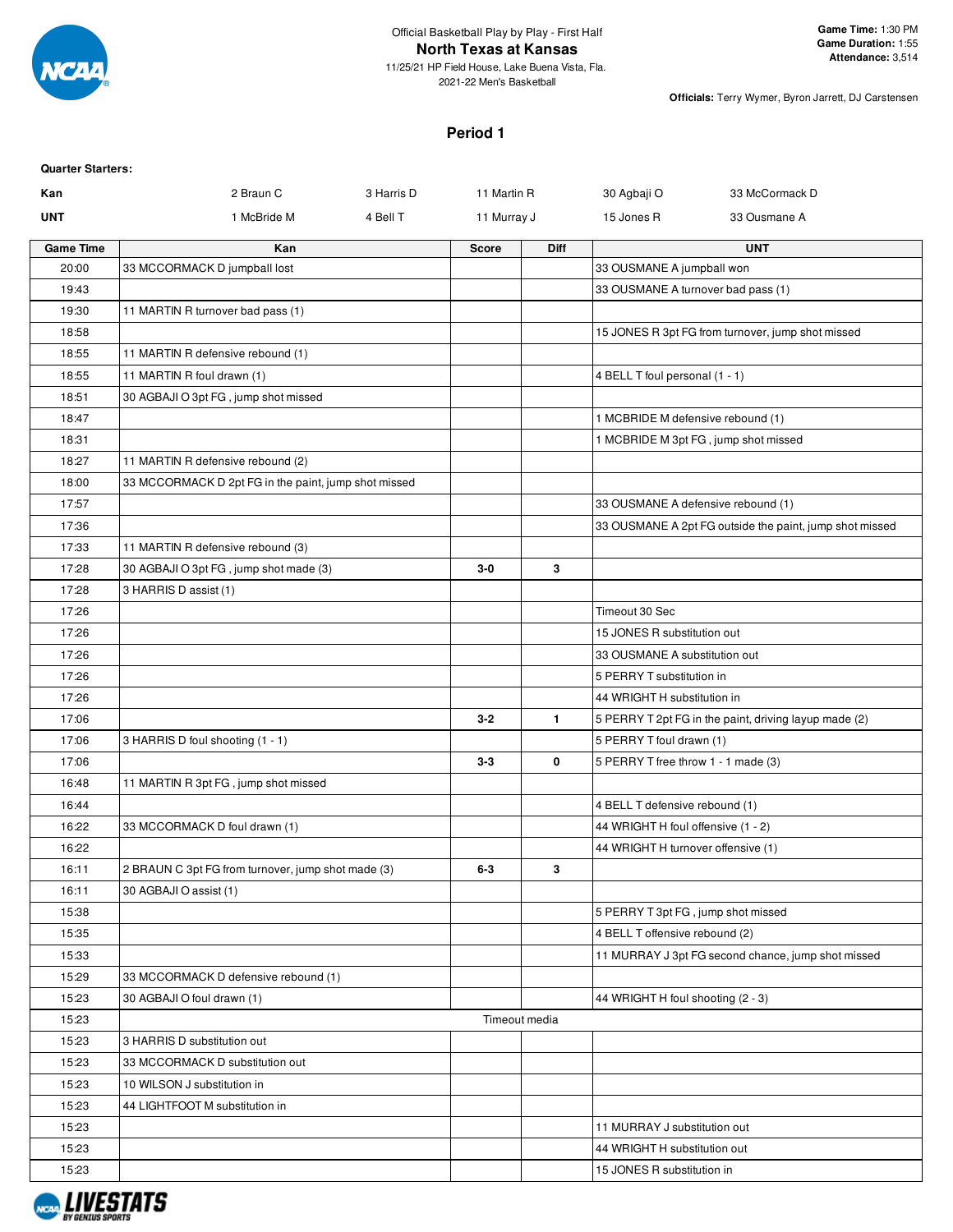

11/25/21 HP Field House, Lake Buena Vista, Fla. 2021-22 Men's Basketball

**Officials:** Terry Wymer, Byron Jarrett, DJ Carstensen

### **Period 1**

| <b>Quarter Starters:</b> |                                                      |            |               |              |                                     |                                                         |
|--------------------------|------------------------------------------------------|------------|---------------|--------------|-------------------------------------|---------------------------------------------------------|
| Kan                      | 2 Braun C                                            | 3 Harris D | 11 Martin R   |              | 30 Agbaji O                         | 33 McCormack D                                          |
| <b>UNT</b>               | 1 McBride M                                          | 4 Bell T   | 11 Murray J   |              | 15 Jones R                          | 33 Ousmane A                                            |
| <b>Game Time</b>         | Kan                                                  |            | <b>Score</b>  | Diff         |                                     | <b>UNT</b>                                              |
| 20:00                    | 33 MCCORMACK D jumpball lost                         |            |               |              | 33 OUSMANE A jumpball won           |                                                         |
| 19:43                    |                                                      |            |               |              | 33 OUSMANE A turnover bad pass (1)  |                                                         |
| 19:30                    | 11 MARTIN R turnover bad pass (1)                    |            |               |              |                                     |                                                         |
| 18:58                    |                                                      |            |               |              |                                     | 15 JONES R 3pt FG from turnover, jump shot missed       |
| 18:55                    | 11 MARTIN R defensive rebound (1)                    |            |               |              |                                     |                                                         |
| 18:55                    | 11 MARTIN R foul drawn (1)                           |            |               |              | 4 BELL T foul personal (1 - 1)      |                                                         |
| 18:51                    | 30 AGBAJI O 3pt FG, jump shot missed                 |            |               |              |                                     |                                                         |
| 18:47                    |                                                      |            |               |              | 1 MCBRIDE M defensive rebound (1)   |                                                         |
| 18:31                    |                                                      |            |               |              |                                     | 1 MCBRIDE M 3pt FG, jump shot missed                    |
| 18:27                    | 11 MARTIN R defensive rebound (2)                    |            |               |              |                                     |                                                         |
| 18:00                    | 33 MCCORMACK D 2pt FG in the paint, jump shot missed |            |               |              |                                     |                                                         |
| 17:57                    |                                                      |            |               |              | 33 OUSMANE A defensive rebound (1)  |                                                         |
| 17:36                    |                                                      |            |               |              |                                     | 33 OUSMANE A 2pt FG outside the paint, jump shot missed |
| 17:33                    | 11 MARTIN R defensive rebound (3)                    |            |               |              |                                     |                                                         |
| 17:28                    | 30 AGBAJI O 3pt FG, jump shot made (3)               |            | $3-0$         | 3            |                                     |                                                         |
| 17:28                    | 3 HARRIS D assist (1)                                |            |               |              |                                     |                                                         |
| 17:26                    |                                                      |            |               |              | Timeout 30 Sec                      |                                                         |
| 17:26                    |                                                      |            |               |              | 15 JONES R substitution out         |                                                         |
| 17:26                    |                                                      |            |               |              | 33 OUSMANE A substitution out       |                                                         |
| 17:26                    |                                                      |            |               |              | 5 PERRY T substitution in           |                                                         |
| 17:26                    |                                                      |            |               |              | 44 WRIGHT H substitution in         |                                                         |
| 17:06                    |                                                      |            | $3 - 2$       | $\mathbf{1}$ |                                     | 5 PERRY T 2pt FG in the paint, driving layup made (2)   |
| 17:06                    | 3 HARRIS D foul shooting (1 - 1)                     |            |               |              | 5 PERRY T foul drawn (1)            |                                                         |
| 17:06                    |                                                      |            | $3 - 3$       | 0            | 5 PERRY T free throw 1 - 1 made (3) |                                                         |
| 16:48                    | 11 MARTIN R 3pt FG, jump shot missed                 |            |               |              |                                     |                                                         |
| 16:44                    |                                                      |            |               |              | 4 BELL T defensive rebound (1)      |                                                         |
| 16:22                    | 33 MCCORMACK D foul drawn (1)                        |            |               |              | 44 WRIGHT H foul offensive (1 - 2)  |                                                         |
| 16:22                    |                                                      |            |               |              | 44 WRIGHT H turnover offensive (1)  |                                                         |
| 16:11                    | 2 BRAUN C 3pt FG from turnover, jump shot made (3)   |            | $6 - 3$       | 3            |                                     |                                                         |
| 16:11                    | 30 AGBAJI O assist (1)                               |            |               |              |                                     |                                                         |
| 15:38                    |                                                      |            |               |              | 5 PERRY T 3pt FG, jump shot missed  |                                                         |
| 15:35                    |                                                      |            |               |              | 4 BELL T offensive rebound (2)      |                                                         |
| 15:33                    |                                                      |            |               |              |                                     | 11 MURRAY J 3pt FG second chance, jump shot missed      |
| 15:29                    | 33 MCCORMACK D defensive rebound (1)                 |            |               |              |                                     |                                                         |
| 15:23                    | 30 AGBAJI O foul drawn (1)                           |            |               |              | 44 WRIGHT H foul shooting (2 - 3)   |                                                         |
| 15:23                    |                                                      |            | Timeout media |              |                                     |                                                         |
| 15:23                    | 3 HARRIS D substitution out                          |            |               |              |                                     |                                                         |
| 15:23                    | 33 MCCORMACK D substitution out                      |            |               |              |                                     |                                                         |
| 15:23                    | 10 WILSON J substitution in                          |            |               |              |                                     |                                                         |
| 15:23                    | 44 LIGHTFOOT M substitution in                       |            |               |              |                                     |                                                         |
| 15:23                    |                                                      |            |               |              | 11 MURRAY J substitution out        |                                                         |
| 15:23                    |                                                      |            |               |              | 44 WRIGHT H substitution out        |                                                         |
| 15:23                    |                                                      |            |               |              | 15 JONES R substitution in          |                                                         |

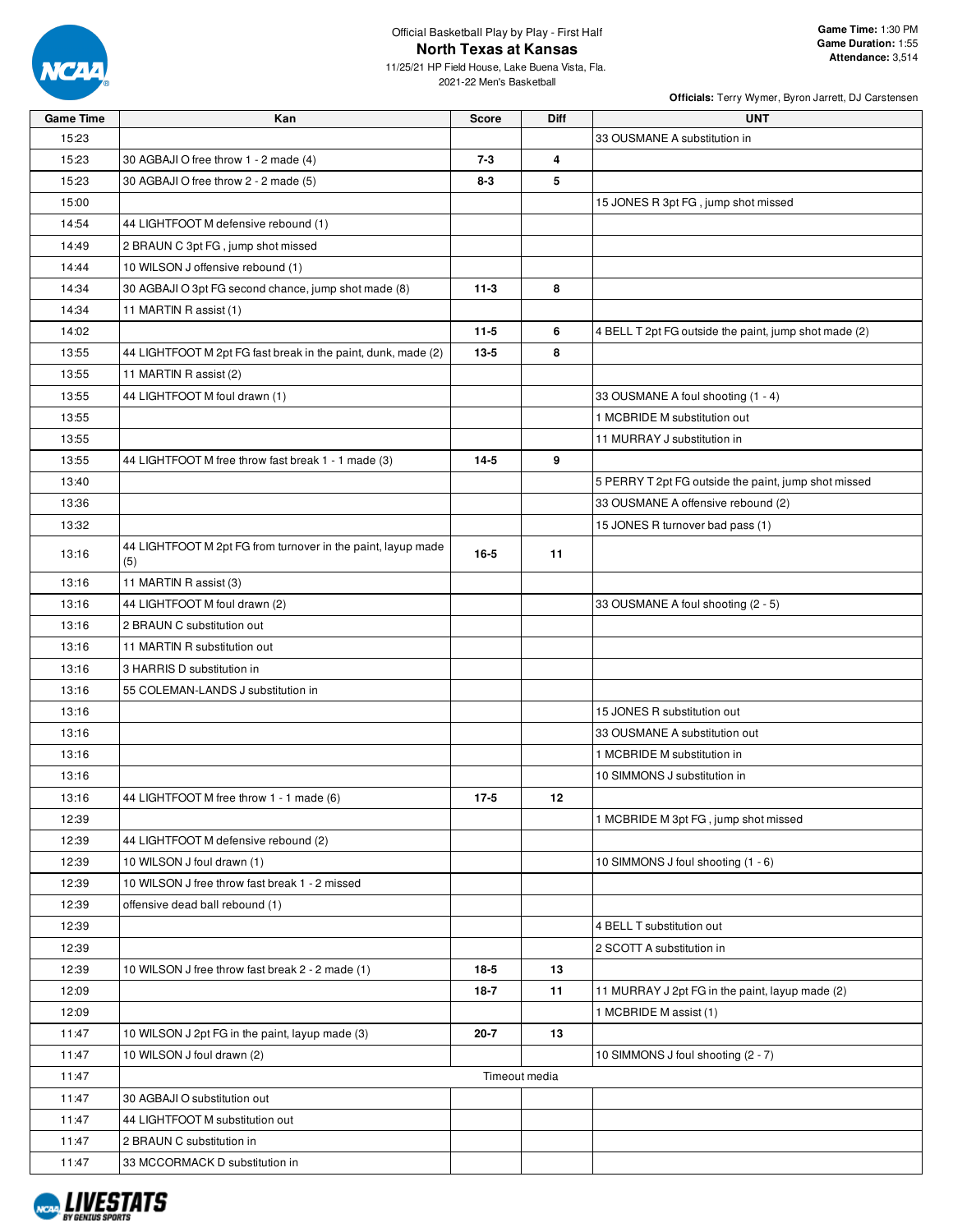

11/25/21 HP Field House, Lake Buena Vista, Fla. 2021-22 Men's Basketball

| 15:23<br>33 OUSMANE A substitution in<br>15:23<br>$7 - 3$<br>4<br>30 AGBAJI O free throw 1 - 2 made (4)<br>15:23<br>5<br>30 AGBAJI O free throw 2 - 2 made (5)<br>$8 - 3$<br>15:00<br>15 JONES R 3pt FG, jump shot missed<br>14:54<br>44 LIGHTFOOT M defensive rebound (1)<br>14:49<br>2 BRAUN C 3pt FG, jump shot missed<br>14:44<br>10 WILSON J offensive rebound (1)<br>14:34<br>30 AGBAJI O 3pt FG second chance, jump shot made (8)<br>$11-3$<br>8<br>14:34<br>11 MARTIN R assist (1) | <b>Game Time</b> | Kan | <b>Score</b> | <b>Diff</b> | <b>UNT</b>                                            |
|--------------------------------------------------------------------------------------------------------------------------------------------------------------------------------------------------------------------------------------------------------------------------------------------------------------------------------------------------------------------------------------------------------------------------------------------------------------------------------------------|------------------|-----|--------------|-------------|-------------------------------------------------------|
|                                                                                                                                                                                                                                                                                                                                                                                                                                                                                            |                  |     |              |             |                                                       |
|                                                                                                                                                                                                                                                                                                                                                                                                                                                                                            |                  |     |              |             |                                                       |
|                                                                                                                                                                                                                                                                                                                                                                                                                                                                                            |                  |     |              |             |                                                       |
|                                                                                                                                                                                                                                                                                                                                                                                                                                                                                            |                  |     |              |             |                                                       |
|                                                                                                                                                                                                                                                                                                                                                                                                                                                                                            |                  |     |              |             |                                                       |
|                                                                                                                                                                                                                                                                                                                                                                                                                                                                                            |                  |     |              |             |                                                       |
|                                                                                                                                                                                                                                                                                                                                                                                                                                                                                            |                  |     |              |             |                                                       |
|                                                                                                                                                                                                                                                                                                                                                                                                                                                                                            |                  |     |              |             |                                                       |
|                                                                                                                                                                                                                                                                                                                                                                                                                                                                                            |                  |     |              |             |                                                       |
|                                                                                                                                                                                                                                                                                                                                                                                                                                                                                            | 14:02            |     | $11-5$       | 6           | 4 BELL T 2pt FG outside the paint, jump shot made (2) |
| 13:55<br>44 LIGHTFOOT M 2pt FG fast break in the paint, dunk, made (2)<br>$13 - 5$<br>8                                                                                                                                                                                                                                                                                                                                                                                                    |                  |     |              |             |                                                       |
| 13:55<br>11 MARTIN R assist (2)                                                                                                                                                                                                                                                                                                                                                                                                                                                            |                  |     |              |             |                                                       |
| 13:55<br>44 LIGHTFOOT M foul drawn (1)<br>33 OUSMANE A foul shooting (1 - 4)                                                                                                                                                                                                                                                                                                                                                                                                               |                  |     |              |             |                                                       |
| 13:55<br>1 MCBRIDE M substitution out                                                                                                                                                                                                                                                                                                                                                                                                                                                      |                  |     |              |             |                                                       |
| 13:55<br>11 MURRAY J substitution in                                                                                                                                                                                                                                                                                                                                                                                                                                                       |                  |     |              |             |                                                       |
| 9<br>13:55<br>$14-5$<br>44 LIGHTFOOT M free throw fast break 1 - 1 made (3)                                                                                                                                                                                                                                                                                                                                                                                                                |                  |     |              |             |                                                       |
| 13:40<br>5 PERRY T 2pt FG outside the paint, jump shot missed                                                                                                                                                                                                                                                                                                                                                                                                                              |                  |     |              |             |                                                       |
| 13:36<br>33 OUSMANE A offensive rebound (2)                                                                                                                                                                                                                                                                                                                                                                                                                                                |                  |     |              |             |                                                       |
| 13:32<br>15 JONES R turnover bad pass (1)                                                                                                                                                                                                                                                                                                                                                                                                                                                  |                  |     |              |             |                                                       |
| 44 LIGHTFOOT M 2pt FG from turnover in the paint, layup made                                                                                                                                                                                                                                                                                                                                                                                                                               |                  |     |              |             |                                                       |
| 13:16<br>$16 - 5$<br>11<br>(5)                                                                                                                                                                                                                                                                                                                                                                                                                                                             |                  |     |              |             |                                                       |
| 13:16<br>11 MARTIN R assist (3)                                                                                                                                                                                                                                                                                                                                                                                                                                                            |                  |     |              |             |                                                       |
| 13:16<br>44 LIGHTFOOT M foul drawn (2)<br>33 OUSMANE A foul shooting (2 - 5)                                                                                                                                                                                                                                                                                                                                                                                                               |                  |     |              |             |                                                       |
| 13:16<br>2 BRAUN C substitution out                                                                                                                                                                                                                                                                                                                                                                                                                                                        |                  |     |              |             |                                                       |
| 13:16<br>11 MARTIN R substitution out                                                                                                                                                                                                                                                                                                                                                                                                                                                      |                  |     |              |             |                                                       |
| 13:16<br>3 HARRIS D substitution in                                                                                                                                                                                                                                                                                                                                                                                                                                                        |                  |     |              |             |                                                       |
| 13:16<br>55 COLEMAN-LANDS J substitution in                                                                                                                                                                                                                                                                                                                                                                                                                                                |                  |     |              |             |                                                       |
| 15 JONES R substitution out<br>13:16                                                                                                                                                                                                                                                                                                                                                                                                                                                       |                  |     |              |             |                                                       |
| 13:16<br>33 OUSMANE A substitution out                                                                                                                                                                                                                                                                                                                                                                                                                                                     |                  |     |              |             |                                                       |
| 13:16<br>1 MCBRIDE M substitution in                                                                                                                                                                                                                                                                                                                                                                                                                                                       |                  |     |              |             |                                                       |
| 13:16<br>10 SIMMONS J substitution in                                                                                                                                                                                                                                                                                                                                                                                                                                                      |                  |     |              |             |                                                       |
| 12<br>13:16<br>$17 - 5$<br>44 LIGHTFOOT M free throw 1 - 1 made (6)                                                                                                                                                                                                                                                                                                                                                                                                                        |                  |     |              |             |                                                       |
| 12:39<br>1 MCBRIDE M 3pt FG, jump shot missed                                                                                                                                                                                                                                                                                                                                                                                                                                              |                  |     |              |             |                                                       |
| 12:39<br>44 LIGHTFOOT M defensive rebound (2)                                                                                                                                                                                                                                                                                                                                                                                                                                              |                  |     |              |             |                                                       |
| 12:39<br>10 WILSON J foul drawn (1)<br>10 SIMMONS J foul shooting (1 - 6)                                                                                                                                                                                                                                                                                                                                                                                                                  |                  |     |              |             |                                                       |
| 12:39<br>10 WILSON J free throw fast break 1 - 2 missed                                                                                                                                                                                                                                                                                                                                                                                                                                    |                  |     |              |             |                                                       |
| 12:39<br>offensive dead ball rebound (1)                                                                                                                                                                                                                                                                                                                                                                                                                                                   |                  |     |              |             |                                                       |
| 12:39<br>4 BELL T substitution out                                                                                                                                                                                                                                                                                                                                                                                                                                                         |                  |     |              |             |                                                       |
| 12:39<br>2 SCOTT A substitution in                                                                                                                                                                                                                                                                                                                                                                                                                                                         |                  |     |              |             |                                                       |
| 12:39<br>$18-5$<br>13<br>10 WILSON J free throw fast break 2 - 2 made (1)                                                                                                                                                                                                                                                                                                                                                                                                                  |                  |     |              |             |                                                       |
| 12:09<br>$18-7$<br>11<br>11 MURRAY J 2pt FG in the paint, layup made (2)                                                                                                                                                                                                                                                                                                                                                                                                                   |                  |     |              |             |                                                       |
| 12:09<br>1 MCBRIDE M assist (1)                                                                                                                                                                                                                                                                                                                                                                                                                                                            |                  |     |              |             |                                                       |
| 11:47<br>10 WILSON J 2pt FG in the paint, layup made (3)<br>$20 - 7$<br>13                                                                                                                                                                                                                                                                                                                                                                                                                 |                  |     |              |             |                                                       |
| 11:47<br>10 WILSON J foul drawn (2)<br>10 SIMMONS J foul shooting (2 - 7)                                                                                                                                                                                                                                                                                                                                                                                                                  |                  |     |              |             |                                                       |
| Timeout media<br>11:47                                                                                                                                                                                                                                                                                                                                                                                                                                                                     |                  |     |              |             |                                                       |
| 11:47<br>30 AGBAJI O substitution out                                                                                                                                                                                                                                                                                                                                                                                                                                                      |                  |     |              |             |                                                       |
| 11:47<br>44 LIGHTFOOT M substitution out                                                                                                                                                                                                                                                                                                                                                                                                                                                   |                  |     |              |             |                                                       |
| 11:47<br>2 BRAUN C substitution in                                                                                                                                                                                                                                                                                                                                                                                                                                                         |                  |     |              |             |                                                       |
| 11:47<br>33 MCCORMACK D substitution in                                                                                                                                                                                                                                                                                                                                                                                                                                                    |                  |     |              |             |                                                       |

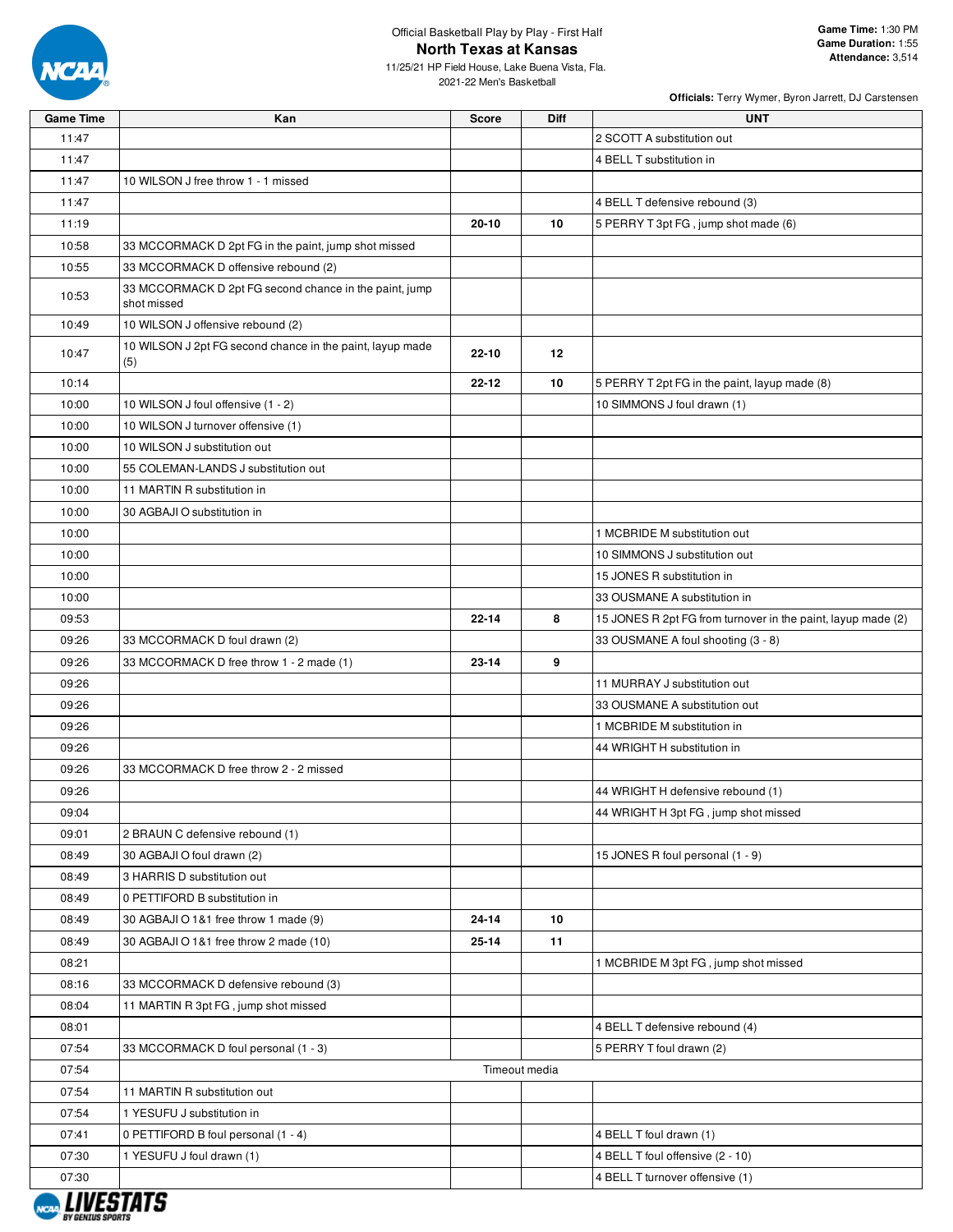

11/25/21 HP Field House, Lake Buena Vista, Fla. 2021-22 Men's Basketball

| <b>Game Time</b> | Kan                                                                   | <b>Score</b> | Diff          | <b>UNT</b>                                                   |
|------------------|-----------------------------------------------------------------------|--------------|---------------|--------------------------------------------------------------|
| 11:47            |                                                                       |              |               | 2 SCOTT A substitution out                                   |
| 11:47            |                                                                       |              |               | 4 BELL T substitution in                                     |
| 11:47            | 10 WILSON J free throw 1 - 1 missed                                   |              |               |                                                              |
| 11:47            |                                                                       |              |               | 4 BELL T defensive rebound (3)                               |
| 11:19            |                                                                       | $20 - 10$    | 10            | 5 PERRY T 3pt FG, jump shot made (6)                         |
| 10:58            | 33 MCCORMACK D 2pt FG in the paint, jump shot missed                  |              |               |                                                              |
| 10:55            | 33 MCCORMACK D offensive rebound (2)                                  |              |               |                                                              |
| 10:53            | 33 MCCORMACK D 2pt FG second chance in the paint, jump<br>shot missed |              |               |                                                              |
| 10:49            | 10 WILSON J offensive rebound (2)                                     |              |               |                                                              |
| 10:47            | 10 WILSON J 2pt FG second chance in the paint, layup made<br>(5)      | $22 - 10$    | 12            |                                                              |
| 10:14            |                                                                       | $22 - 12$    | 10            | 5 PERRY T 2pt FG in the paint, layup made (8)                |
| 10:00            | 10 WILSON J foul offensive (1 - 2)                                    |              |               | 10 SIMMONS J foul drawn (1)                                  |
| 10:00            | 10 WILSON J turnover offensive (1)                                    |              |               |                                                              |
| 10:00            | 10 WILSON J substitution out                                          |              |               |                                                              |
| 10:00            | 55 COLEMAN-LANDS J substitution out                                   |              |               |                                                              |
| 10:00            | 11 MARTIN R substitution in                                           |              |               |                                                              |
| 10:00            | 30 AGBAJI O substitution in                                           |              |               |                                                              |
| 10:00            |                                                                       |              |               | 1 MCBRIDE M substitution out                                 |
| 10:00            |                                                                       |              |               | 10 SIMMONS J substitution out                                |
| 10:00            |                                                                       |              |               | 15 JONES R substitution in                                   |
| 10:00            |                                                                       |              |               | 33 OUSMANE A substitution in                                 |
| 09:53            |                                                                       | $22 - 14$    | 8             | 15 JONES R 2pt FG from turnover in the paint, layup made (2) |
| 09:26            | 33 MCCORMACK D foul drawn (2)                                         |              |               | 33 OUSMANE A foul shooting (3 - 8)                           |
| 09:26            | 33 MCCORMACK D free throw 1 - 2 made (1)                              | $23 - 14$    | 9             |                                                              |
| 09:26            |                                                                       |              |               | 11 MURRAY J substitution out                                 |
| 09:26            |                                                                       |              |               | 33 OUSMANE A substitution out                                |
| 09:26            |                                                                       |              |               | 1 MCBRIDE M substitution in                                  |
| 09:26            |                                                                       |              |               | 44 WRIGHT H substitution in                                  |
| 09:26            | 33 MCCORMACK D free throw 2 - 2 missed                                |              |               |                                                              |
| 09:26            |                                                                       |              |               | 44 WRIGHT H defensive rebound (1)                            |
| 09:04            |                                                                       |              |               | 44 WRIGHT H 3pt FG, jump shot missed                         |
| 09:01            | 2 BRAUN C defensive rebound (1)                                       |              |               |                                                              |
| 08:49            | 30 AGBAJI O foul drawn (2)                                            |              |               | 15 JONES R foul personal (1 - 9)                             |
| 08:49            | 3 HARRIS D substitution out                                           |              |               |                                                              |
| 08:49            | 0 PETTIFORD B substitution in                                         |              |               |                                                              |
| 08:49            | 30 AGBAJI O 1&1 free throw 1 made (9)                                 | 24-14        | 10            |                                                              |
| 08:49            | 30 AGBAJI O 1&1 free throw 2 made (10)                                | 25-14        | 11            |                                                              |
| 08:21            |                                                                       |              |               | 1 MCBRIDE M 3pt FG, jump shot missed                         |
| 08:16            | 33 MCCORMACK D defensive rebound (3)                                  |              |               |                                                              |
| 08:04            | 11 MARTIN R 3pt FG, jump shot missed                                  |              |               |                                                              |
| 08:01            |                                                                       |              |               | 4 BELL T defensive rebound (4)                               |
| 07:54            | 33 MCCORMACK D foul personal (1 - 3)                                  |              |               | 5 PERRY T foul drawn (2)                                     |
| 07:54            |                                                                       |              | Timeout media |                                                              |
| 07:54            | 11 MARTIN R substitution out                                          |              |               |                                                              |
| 07:54            | 1 YESUFU J substitution in                                            |              |               |                                                              |
| 07:41            | 0 PETTIFORD B foul personal (1 - 4)                                   |              |               | 4 BELL T foul drawn (1)                                      |
| 07:30            | 1 YESUFU J foul drawn (1)                                             |              |               | 4 BELL T foul offensive (2 - 10)                             |
| 07:30            |                                                                       |              |               | 4 BELL T turnover offensive (1)                              |

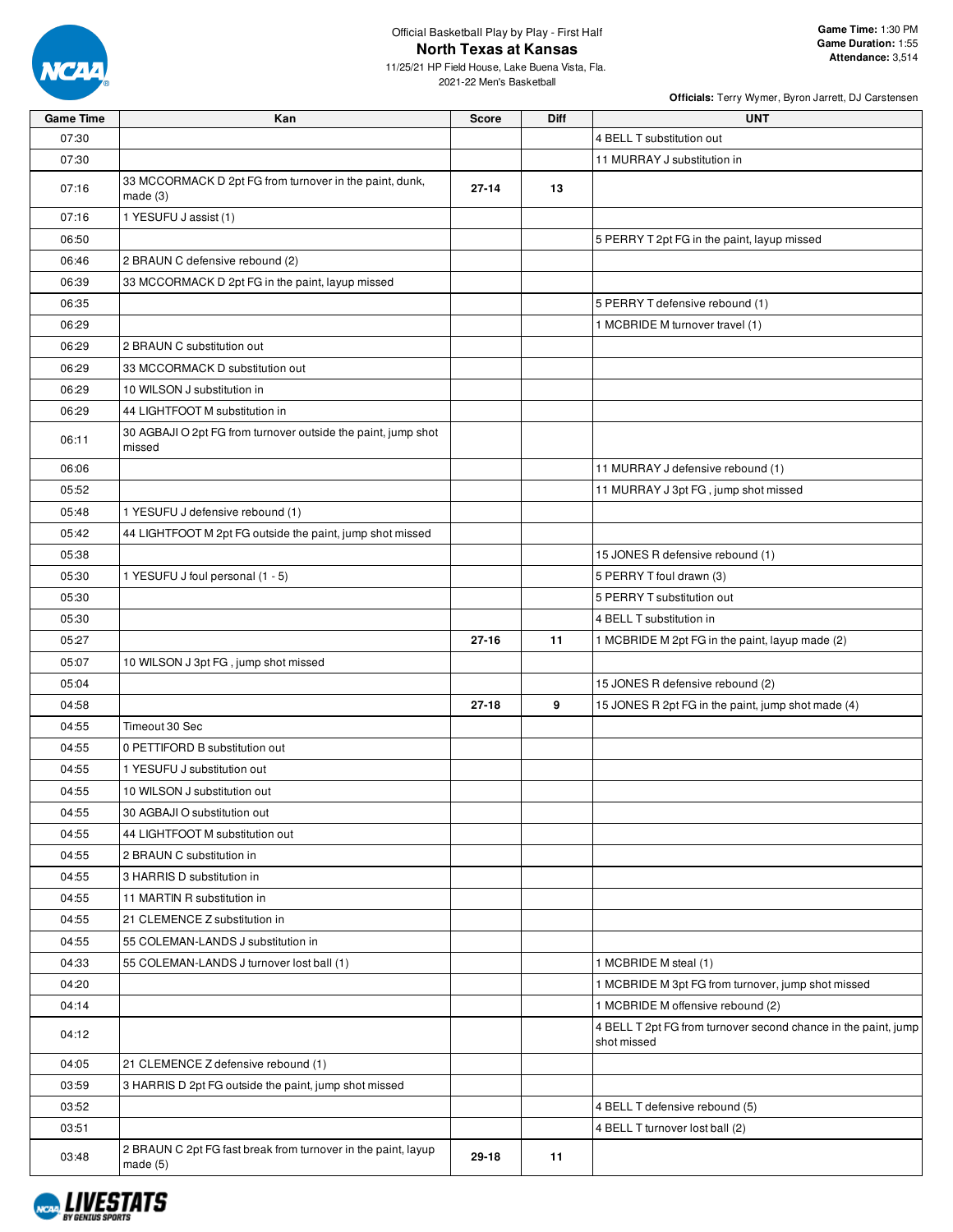

**Game Time:** 1:30 PM **Game Duration:** 1:55 **Attendance:** 3,514

11/25/21 HP Field House, Lake Buena Vista, Fla. 2021-22 Men's Basketball

| <b>Game Time</b> | Kan                                                                       | <b>Score</b> | Diff | <b>UNT</b>                                                                    |
|------------------|---------------------------------------------------------------------------|--------------|------|-------------------------------------------------------------------------------|
| 07:30            |                                                                           |              |      | 4 BELL T substitution out                                                     |
| 07:30            |                                                                           |              |      | 11 MURRAY J substitution in                                                   |
| 07:16            | 33 MCCORMACK D 2pt FG from turnover in the paint, dunk,<br>made (3)       | $27 - 14$    | 13   |                                                                               |
| 07:16            | 1 YESUFU J assist (1)                                                     |              |      |                                                                               |
| 06:50            |                                                                           |              |      | 5 PERRY T 2pt FG in the paint, layup missed                                   |
| 06:46            | 2 BRAUN C defensive rebound (2)                                           |              |      |                                                                               |
| 06:39            | 33 MCCORMACK D 2pt FG in the paint, layup missed                          |              |      |                                                                               |
| 06:35            |                                                                           |              |      | 5 PERRY T defensive rebound (1)                                               |
| 06:29            |                                                                           |              |      | 1 MCBRIDE M turnover travel (1)                                               |
| 06:29            | 2 BRAUN C substitution out                                                |              |      |                                                                               |
| 06:29            | 33 MCCORMACK D substitution out                                           |              |      |                                                                               |
| 06:29            | 10 WILSON J substitution in                                               |              |      |                                                                               |
| 06:29            | 44 LIGHTFOOT M substitution in                                            |              |      |                                                                               |
| 06:11            | 30 AGBAJI O 2pt FG from turnover outside the paint, jump shot<br>missed   |              |      |                                                                               |
| 06:06            |                                                                           |              |      | 11 MURRAY J defensive rebound (1)                                             |
| 05:52            |                                                                           |              |      | 11 MURRAY J 3pt FG, jump shot missed                                          |
| 05:48            | 1 YESUFU J defensive rebound (1)                                          |              |      |                                                                               |
| 05:42            | 44 LIGHTFOOT M 2pt FG outside the paint, jump shot missed                 |              |      |                                                                               |
| 05:38            |                                                                           |              |      | 15 JONES R defensive rebound (1)                                              |
| 05:30            | 1 YESUFU J foul personal (1 - 5)                                          |              |      | 5 PERRY T foul drawn (3)                                                      |
| 05:30            |                                                                           |              |      | 5 PERRY T substitution out                                                    |
| 05:30            |                                                                           |              |      | 4 BELL T substitution in                                                      |
| 05:27            |                                                                           | $27 - 16$    | 11   | 1 MCBRIDE M 2pt FG in the paint, layup made (2)                               |
| 05:07            | 10 WILSON J 3pt FG, jump shot missed                                      |              |      |                                                                               |
| 05:04            |                                                                           |              |      | 15 JONES R defensive rebound (2)                                              |
| 04:58            |                                                                           | $27 - 18$    | 9    | 15 JONES R 2pt FG in the paint, jump shot made (4)                            |
| 04:55            | Timeout 30 Sec                                                            |              |      |                                                                               |
| 04:55            | 0 PETTIFORD B substitution out                                            |              |      |                                                                               |
| 04:55            | 1 YESUFU J substitution out                                               |              |      |                                                                               |
| 04:55            | 10 WILSON J substitution out                                              |              |      |                                                                               |
| 04:55            | 30 AGBAJI O substitution out                                              |              |      |                                                                               |
| 04:55            | 44 LIGHTFOOT M substitution out                                           |              |      |                                                                               |
| 04:55            | 2 BRAUN C substitution in                                                 |              |      |                                                                               |
| 04:55            | 3 HARRIS D substitution in                                                |              |      |                                                                               |
| 04:55            | 11 MARTIN R substitution in                                               |              |      |                                                                               |
| 04:55            | 21 CLEMENCE Z substitution in                                             |              |      |                                                                               |
| 04:55            | 55 COLEMAN-LANDS J substitution in                                        |              |      |                                                                               |
| 04:33            | 55 COLEMAN-LANDS J turnover lost ball (1)                                 |              |      | 1 MCBRIDE M steal (1)                                                         |
| 04:20            |                                                                           |              |      | 1 MCBRIDE M 3pt FG from turnover, jump shot missed                            |
| 04:14            |                                                                           |              |      | 1 MCBRIDE M offensive rebound (2)                                             |
| 04:12            |                                                                           |              |      | 4 BELL T 2pt FG from turnover second chance in the paint, jump<br>shot missed |
| 04:05            | 21 CLEMENCE Z defensive rebound (1)                                       |              |      |                                                                               |
| 03:59            | 3 HARRIS D 2pt FG outside the paint, jump shot missed                     |              |      |                                                                               |
| 03:52            |                                                                           |              |      | 4 BELL T defensive rebound (5)                                                |
| 03:51            |                                                                           |              |      | 4 BELL T turnover lost ball (2)                                               |
| 03:48            | 2 BRAUN C 2pt FG fast break from turnover in the paint, layup<br>made (5) | 29-18        | 11   |                                                                               |

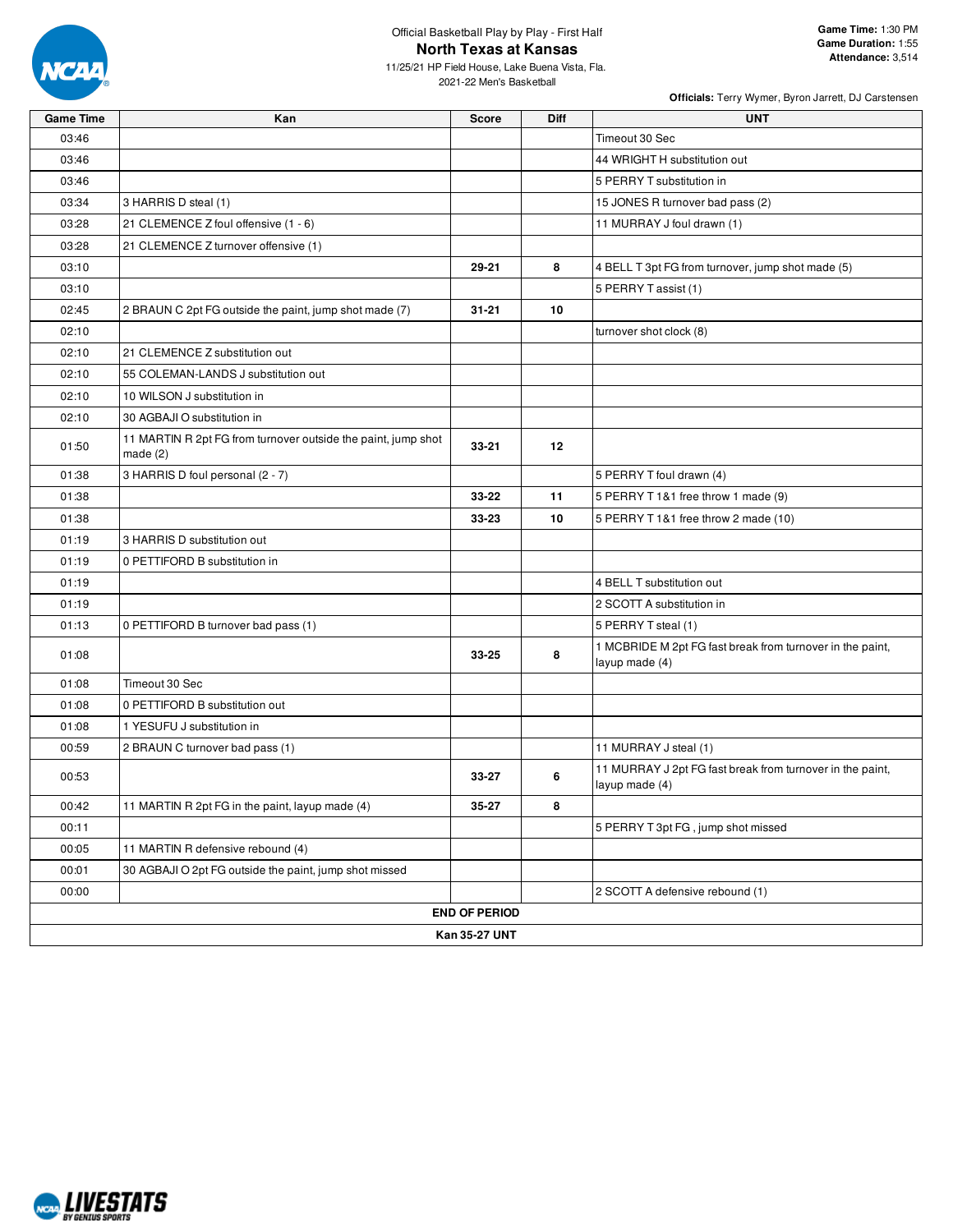

11/25/21 HP Field House, Lake Buena Vista, Fla. 2021-22 Men's Basketball

| <b>Game Time</b> | Kan                                                                         | <b>Score</b>         | <b>Diff</b> | <b>UNT</b>                                                                  |
|------------------|-----------------------------------------------------------------------------|----------------------|-------------|-----------------------------------------------------------------------------|
| 03:46            |                                                                             |                      |             | Timeout 30 Sec                                                              |
| 03:46            |                                                                             |                      |             | 44 WRIGHT H substitution out                                                |
| 03:46            |                                                                             |                      |             | 5 PERRY T substitution in                                                   |
| 03:34            | 3 HARRIS D steal (1)                                                        |                      |             | 15 JONES R turnover bad pass (2)                                            |
| 03:28            | 21 CLEMENCE Z foul offensive (1 - 6)                                        |                      |             | 11 MURRAY J foul drawn (1)                                                  |
| 03:28            | 21 CLEMENCE Z turnover offensive (1)                                        |                      |             |                                                                             |
| 03:10            |                                                                             | 29-21                | 8           | 4 BELL T 3pt FG from turnover, jump shot made (5)                           |
| 03:10            |                                                                             |                      |             | 5 PERRY T assist (1)                                                        |
| 02:45            | 2 BRAUN C 2pt FG outside the paint, jump shot made (7)                      | $31 - 21$            | 10          |                                                                             |
| 02:10            |                                                                             |                      |             | turnover shot clock (8)                                                     |
| 02:10            | 21 CLEMENCE Z substitution out                                              |                      |             |                                                                             |
| 02:10            | 55 COLEMAN-LANDS J substitution out                                         |                      |             |                                                                             |
| 02:10            | 10 WILSON J substitution in                                                 |                      |             |                                                                             |
| 02:10            | 30 AGBAJI O substitution in                                                 |                      |             |                                                                             |
| 01:50            | 11 MARTIN R 2pt FG from turnover outside the paint, jump shot<br>made $(2)$ | $33 - 21$            | 12          |                                                                             |
| 01:38            | 3 HARRIS D foul personal (2 - 7)                                            |                      |             | 5 PERRY T foul drawn (4)                                                    |
| 01:38            |                                                                             | 33-22                | 11          | 5 PERRY T 1&1 free throw 1 made (9)                                         |
| 01:38            |                                                                             | 33-23                | 10          | 5 PERRY T1&1 free throw 2 made (10)                                         |
| 01:19            | 3 HARRIS D substitution out                                                 |                      |             |                                                                             |
| 01:19            | 0 PETTIFORD B substitution in                                               |                      |             |                                                                             |
| 01:19            |                                                                             |                      |             | 4 BELL T substitution out                                                   |
| 01:19            |                                                                             |                      |             | 2 SCOTT A substitution in                                                   |
| 01:13            | 0 PETTIFORD B turnover bad pass (1)                                         |                      |             | 5 PERRY T steal (1)                                                         |
| 01:08            |                                                                             | 33-25                | 8           | 1 MCBRIDE M 2pt FG fast break from turnover in the paint,<br>layup made (4) |
| 01:08            | Timeout 30 Sec                                                              |                      |             |                                                                             |
| 01:08            | 0 PETTIFORD B substitution out                                              |                      |             |                                                                             |
| 01:08            | 1 YESUFU J substitution in                                                  |                      |             |                                                                             |
| 00:59            | 2 BRAUN C turnover bad pass (1)                                             |                      |             | 11 MURRAY J steal (1)                                                       |
| 00:53            |                                                                             | 33-27                | 6           | 11 MURRAY J 2pt FG fast break from turnover in the paint,<br>layup made (4) |
| 00:42            | 11 MARTIN R 2pt FG in the paint, layup made (4)                             | 35-27                | 8           |                                                                             |
| 00:11            |                                                                             |                      |             | 5 PERRY T 3pt FG, jump shot missed                                          |
| 00:05            | 11 MARTIN R defensive rebound (4)                                           |                      |             |                                                                             |
| 00:01            | 30 AGBAJI O 2pt FG outside the paint, jump shot missed                      |                      |             |                                                                             |
| 00:00            |                                                                             |                      |             | 2 SCOTT A defensive rebound (1)                                             |
|                  |                                                                             | <b>END OF PERIOD</b> |             |                                                                             |
|                  |                                                                             | Kan 35-27 UNT        |             |                                                                             |

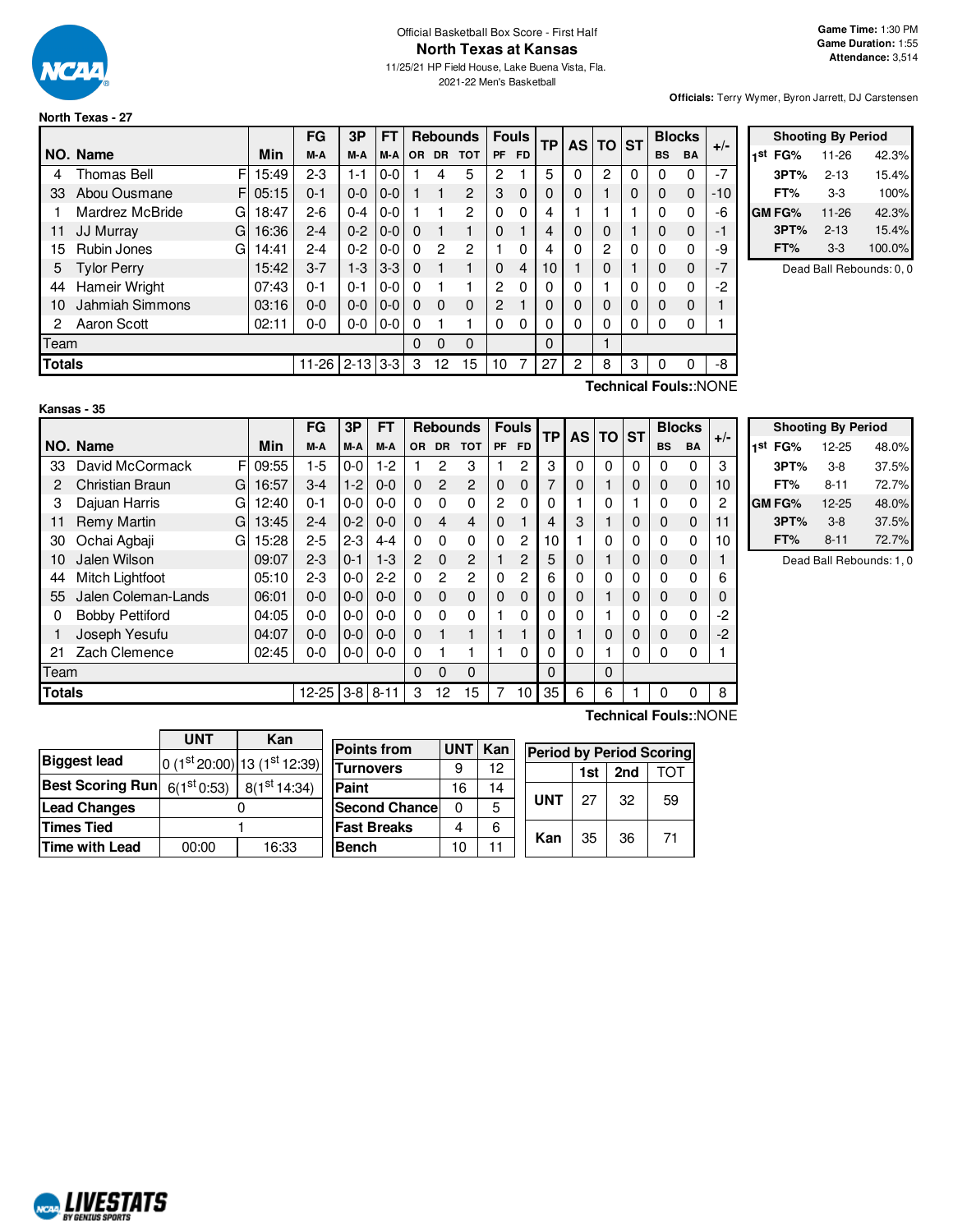

# Official Basketball Box Score - First Half **North Texas at Kansas**

11/25/21 HP Field House, Lake Buena Vista, Fla. 2021-22 Men's Basketball

**Officials:** Terry Wymer, Byron Jarrett, DJ Carstensen

### **North Texas - 27**

|               |                    |            | FG        | 3P       | <b>FT</b> |          |               | <b>Rebounds</b> |          | <b>Fouls</b> | <b>TP</b> | AS I        | <b>TO ST</b> |   |           | <b>Blocks</b> | $+/-$ |  |
|---------------|--------------------|------------|-----------|----------|-----------|----------|---------------|-----------------|----------|--------------|-----------|-------------|--------------|---|-----------|---------------|-------|--|
|               | NO. Name           | Min        | M-A       | M-A      | M-A       |          | OR DR         | <b>TOT</b>      |          | PF FD        |           |             |              |   | <b>BS</b> | <b>BA</b>     |       |  |
| 4             | Thomas Bell        | F<br>15:49 | $2 - 3$   | $1 - 1$  | $0-0$     |          | 4             | 5               | 2        |              | 5         | 0           | 2            | 0 | 0         | 0             | $-7$  |  |
| 33            | Abou Ousmane       | F<br>05:15 | $0 - 1$   | $0 - 0$  | $0-0$     |          |               | $\overline{c}$  | 3        | $\Omega$     | 0         | $\Omega$    |              | 0 | 0         | $\mathbf 0$   | -10   |  |
|               | Mardrez McBride    | 18:47<br>G | $2-6$     | $0 - 4$  | $0-0$     |          |               | 2               | $\Omega$ | 0            | 4         |             |              |   | $\Omega$  | $\Omega$      | -6    |  |
| 11            | JJ Murray<br>G     | 16:36      | $2 - 4$   | $0 - 2$  | $0-0$     | $\Omega$ |               |                 | $\Omega$ |              | 4         | $\mathbf 0$ | $\Omega$     |   | 0         | $\mathbf 0$   | $-1$  |  |
| 15            | Rubin Jones        | G<br>14:41 | $2 - 4$   | $0 - 2$  | $0-0$     | $\Omega$ | $\mathcal{P}$ | 2               |          | $\Omega$     | 4         | 0           | 2            | 0 | 0         | 0             | -9    |  |
| 5             | <b>Tylor Perry</b> | 15:42      | $3 - 7$   | $1 - 3$  | $3 - 3$   | $\Omega$ |               |                 | $\Omega$ | 4            | 10        |             | $\Omega$     |   | 0         | $\mathbf 0$   | $-7$  |  |
| 44            | Hameir Wright      | 07:43      | $0 - 1$   | $0 - 1$  | $0-0$     | $\Omega$ |               |                 | 2        | $\Omega$     | 0         | 0           |              | 0 | $\Omega$  | $\Omega$      | -2    |  |
| 10            | Jahmiah Simmons    | 03:16      | $0 - 0$   | $0 - 0$  | $0-0$     | $\Omega$ | $\Omega$      | 0               | 2        |              | 0         | $\Omega$    | 0            | 0 | $\Omega$  | $\Omega$      |       |  |
| 2             | Aaron Scott        | 02:11      | 0-0       | $0-0$    | $0-0$     | $\Omega$ |               |                 | 0        | $\Omega$     | 0         | 0           | 0            | 0 | 0         | 0             |       |  |
|               | Team               |            |           |          |           |          | 0             | $\Omega$        |          |              | $\Omega$  |             |              |   |           |               |       |  |
| <b>Totals</b> |                    |            | $11 - 26$ | $2 - 13$ | $3 - 3$   | 3        | 12            | 15              | 10       |              | 27        | 2           | 8            | 3 |           | 0             | -8    |  |

| <b>Shooting By Period</b> |               |          |        |  |  |  |
|---------------------------|---------------|----------|--------|--|--|--|
| 1st                       | FG%           | 11-26    | 42.3%  |  |  |  |
|                           | 3PT%          | $2 - 13$ | 15.4%  |  |  |  |
|                           | FT%           | $3-3$    | 100%   |  |  |  |
|                           | <b>GM FG%</b> | 11-26    | 42.3%  |  |  |  |
|                           | 3PT%          | $2 - 13$ | 15.4%  |  |  |  |
|                           | FT%           | $3-3$    | 100.0% |  |  |  |

Dead Ball Rebounds: 0, 0

**Technical Fouls:**:NONE

|               |                             |            | FG        | 3P      | FT       |                |                | <b>Rebounds</b> |           | <b>Fouls</b>   | <b>TP</b> | <b>AS</b> | <b>TO</b> | <b>ST</b> |           | <b>Blocks</b> | $+/-$ |
|---------------|-----------------------------|------------|-----------|---------|----------|----------------|----------------|-----------------|-----------|----------------|-----------|-----------|-----------|-----------|-----------|---------------|-------|
|               | NO. Name                    | <b>Min</b> | M-A       | M-A     | M-A      | 0R             | <b>DR</b>      | <b>TOT</b>      | <b>PF</b> | <b>FD</b>      |           |           |           |           | <b>BS</b> | <b>BA</b>     |       |
| 33            | David McCormack<br>F        | 09:55      | $1-5$     | $0-0$   | $1-2$    |                | 2              | 3               |           | 2              | 3         | 0         | $\Omega$  | 0         | $\Omega$  | 0             | 3     |
| 2             | <b>Christian Braun</b><br>G | 16:57      | $3-4$     | $1-2$   | $0 - 0$  | $\Omega$       | $\overline{2}$ | $\overline{2}$  | $\Omega$  | $\Omega$       | 7         | 0         |           | 0         | $\Omega$  | $\mathbf 0$   | 10    |
| 3             | Dajuan Harris<br>G          | 12:40      | $0 - 1$   | $0-0$   | $0 - 0$  | $\Omega$       | 0              | 0               | 2         | $\mathbf{0}$   | 0         |           | $\Omega$  |           | $\Omega$  | 0             | 2     |
| 11            | <b>Remy Martin</b><br>G     | 13:45      | $2 - 4$   | $0 - 2$ | $0 - 0$  | $\Omega$       | 4              | 4               | $\Omega$  |                | 4         | 3         |           | 0         | 0         | $\mathbf 0$   | 11    |
| 30            | Ochai Agbaji<br>G           | 15:28      | $2 - 5$   | $2 - 3$ | $4 - 4$  | $\Omega$       | 0              | 0               | 0         | $\overline{c}$ | 10        |           | 0         | 0         | $\Omega$  | 0             | 10    |
| 10            | Jalen Wilson                | 09:07      | $2 - 3$   | $0 - 1$ | $1-3$    | $\overline{2}$ | $\Omega$       | $\overline{2}$  |           | $\overline{c}$ | 5         | 0         |           | 0         | 0         | $\mathbf 0$   |       |
| 44            | Mitch Lightfoot             | 05:10      | $2 - 3$   | $0-0$   | $2-2$    | $\Omega$       | 2              | $\overline{2}$  | 0         | $\mathbf{2}$   | 6         | 0         | 0         | 0         | $\Omega$  | 0             | 6     |
| 55            | Jalen Coleman-Lands         | 06:01      | $0 - 0$   | $0-0$   | $0 - 0$  | $\Omega$       | $\Omega$       | 0               | $\Omega$  | $\Omega$       | 0         | 0         |           | 0         | 0         | 0             |       |
| 0             | <b>Bobby Pettiford</b>      | 04:05      | 0-0       | $0-0$   | $0 - 0$  | $\Omega$       | 0              | 0               |           | 0              | 0         | 0         |           | 0         | $\Omega$  | 0             | -2    |
|               | Joseph Yesufu               | 04:07      | $0-0$     | $0-0$   | $0 - 0$  | $\Omega$       |                | 1               |           |                | 0         |           | $\Omega$  | 0         | 0         | 0             | $-2$  |
| 21            | Zach Clemence               | 02:45      | 0-0       | $0-0$   | $0-0$    | 0              |                |                 |           | $\Omega$       | 0         | 0         |           | 0         | 0         | 0             |       |
| Team          |                             |            |           | 0       | $\Omega$ | 0              |                |                 | $\Omega$  |                | $\Omega$  |           |           |           |           |               |       |
| <b>Totals</b> |                             |            | $12 - 25$ | $3 - 8$ | $8 - 11$ | 3              | 12             | 15              | 7         | 10             | 35        | 6         | 6         |           | $\Omega$  | 0             | 8     |

| <b>Shooting By Period</b> |           |       |  |  |  |  |  |
|---------------------------|-----------|-------|--|--|--|--|--|
| 1st<br>FG%                | $12 - 25$ | 48.0% |  |  |  |  |  |
| 3PT%                      | $3-8$     | 37.5% |  |  |  |  |  |
| FT%                       | $8 - 11$  | 72.7% |  |  |  |  |  |
| <b>GMFG%</b>              | $12 - 25$ | 48.0% |  |  |  |  |  |
| 3PT%                      | $3 - 8$   | 37.5% |  |  |  |  |  |
| FT%                       | $8 - 11$  | 72.7% |  |  |  |  |  |

Dead Ball Rebounds: 1, 0

|                         | <b>UNT</b>              | Kan                       |  |  |
|-------------------------|-------------------------|---------------------------|--|--|
| <b>Biggest lead</b>     |                         | $0(1st20:00)13(1st12:39)$ |  |  |
| <b>Best Scoring Run</b> | 6(1 <sup>st</sup> 0:53) | 8(1 <sup>st</sup> 14:34)  |  |  |
| <b>Lead Changes</b>     |                         |                           |  |  |
| <b>Times Tied</b>       |                         |                           |  |  |
| <b>Time with Lead</b>   | 16:33<br>00:00          |                           |  |  |

| <b>Points from</b>   | <b>UNT</b> | Kan | Period by  |    |
|----------------------|------------|-----|------------|----|
| <b>Turnovers</b>     |            | 12  |            | ls |
| Paint                | 16         | 14  |            |    |
| <b>Second Chance</b> | ი          | 5   | <b>UNT</b> | 2. |
| <b>Fast Breaks</b>   |            | 6   |            |    |
| <b>Bench</b>         | 10         | 11  | Kan        | 35 |

**Technical Fouls:**:NONE

| <b>Period by Period Scoring</b> |     |     |     |  |  |  |  |  |  |
|---------------------------------|-----|-----|-----|--|--|--|--|--|--|
|                                 | 1st | 2nd | TOT |  |  |  |  |  |  |
| UNT                             | 27  | 32  | 59  |  |  |  |  |  |  |
| Kan                             | 35  | 36  | 71  |  |  |  |  |  |  |

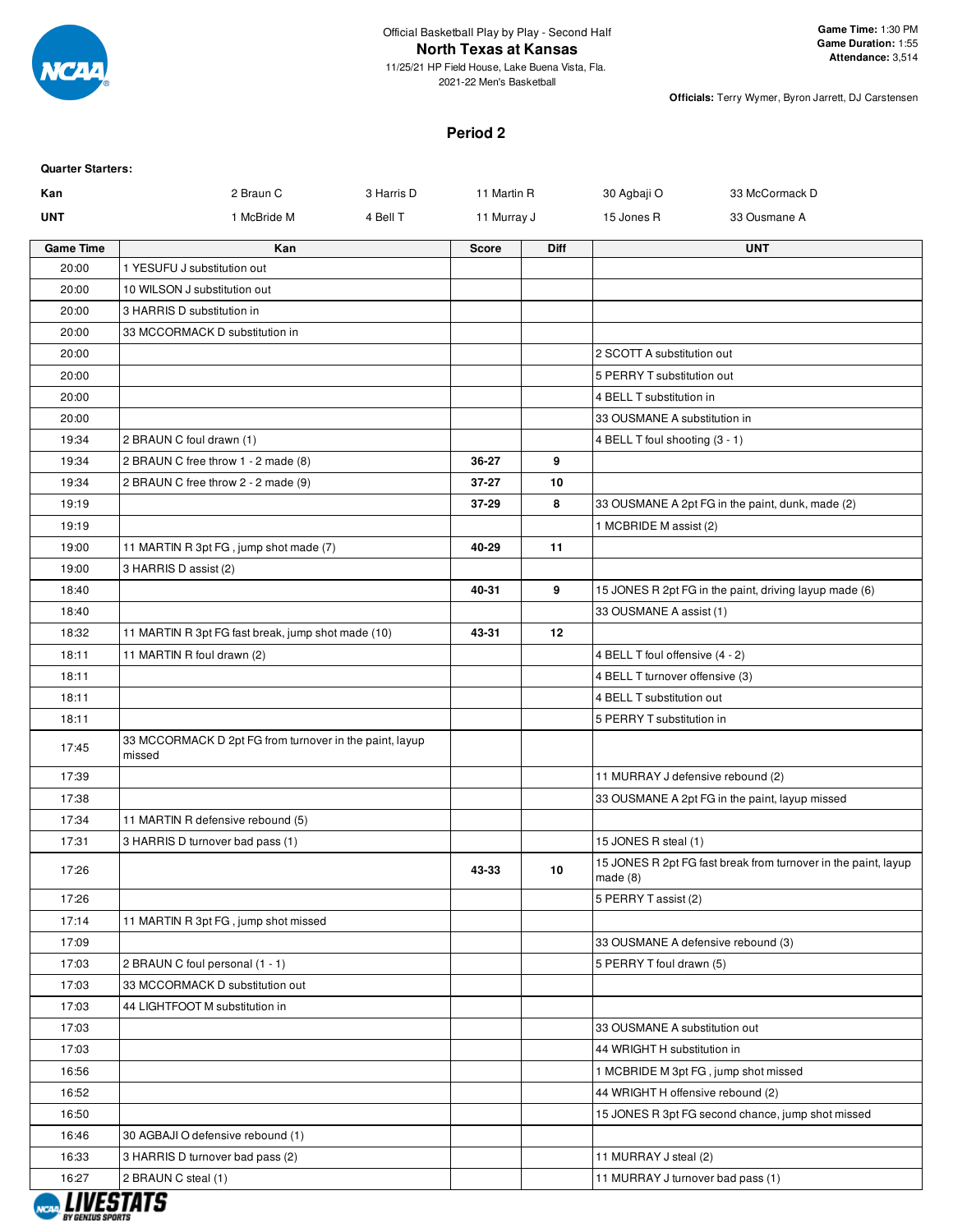

#### **Period 2**

| 2 Braun C<br>3 Harris D<br>11 Martin R<br>30 Agbaji O<br>33 McCormack D<br>Kan<br><b>UNT</b><br>15 Jones R<br>1 McBride M<br>4 Bell T<br>11 Murray J<br>33 Ousmane A<br><b>Game Time</b><br>Kan<br>Diff<br><b>UNT</b><br><b>Score</b><br>20:00<br>1 YESUFU J substitution out<br>20:00<br>10 WILSON J substitution out<br>20:00<br>3 HARRIS D substitution in<br>20:00<br>33 MCCORMACK D substitution in<br>20:00<br>2 SCOTT A substitution out<br>20:00<br>5 PERRY T substitution out<br>20:00<br>4 BELL T substitution in<br>33 OUSMANE A substitution in<br>20:00<br>19:34<br>2 BRAUN C foul drawn (1)<br>4 BELL T foul shooting (3 - 1)<br>19:34<br>2 BRAUN C free throw 1 - 2 made (8)<br>36-27<br>9<br>19:34<br>2 BRAUN C free throw 2 - 2 made (9)<br>$37 - 27$<br>10<br>8<br>19:19<br>37-29<br>33 OUSMANE A 2pt FG in the paint, dunk, made (2)<br>19:19<br>1 MCBRIDE M assist (2)<br>40-29<br>11<br>19:00<br>11 MARTIN R 3pt FG, jump shot made (7)<br>19:00<br>3 HARRIS D assist (2)<br>9<br>18:40<br>40-31<br>15 JONES R 2pt FG in the paint, driving layup made (6)<br>18:40<br>33 OUSMANE A assist (1)<br>43-31<br>12<br>18:32<br>11 MARTIN R 3pt FG fast break, jump shot made (10)<br>18:11<br>11 MARTIN R foul drawn (2)<br>4 BELL T foul offensive (4 - 2)<br>18:11<br>4 BELL T turnover offensive (3)<br>18:11<br>4 BELL T substitution out<br>18:11<br>5 PERRY T substitution in<br>33 MCCORMACK D 2pt FG from turnover in the paint, layup<br>17:45<br>missed<br>17:39<br>11 MURRAY J defensive rebound (2)<br>17:38<br>33 OUSMANE A 2pt FG in the paint, layup missed<br>17:34<br>11 MARTIN R defensive rebound (5)<br>17:31<br>15 JONES R steal (1)<br>3 HARRIS D turnover bad pass (1)<br>15 JONES R 2pt FG fast break from turnover in the paint, layup<br>43-33<br>10<br>17:26<br>made(8)<br>5 PERRY T assist (2)<br>17:26<br>17:14<br>11 MARTIN R 3pt FG, jump shot missed<br>17:09<br>33 OUSMANE A defensive rebound (3)<br>17:03<br>2 BRAUN C foul personal (1 - 1)<br>5 PERRY T foul drawn (5)<br>17:03<br>33 MCCORMACK D substitution out<br>17:03<br>44 LIGHTFOOT M substitution in<br>17:03<br>33 OUSMANE A substitution out<br>17:03<br>44 WRIGHT H substitution in<br>1 MCBRIDE M 3pt FG, jump shot missed<br>16:56<br>16:52<br>44 WRIGHT H offensive rebound (2)<br>15 JONES R 3pt FG second chance, jump shot missed<br>16:50<br>16:46<br>30 AGBAJI O defensive rebound (1)<br>16:33<br>3 HARRIS D turnover bad pass (2)<br>11 MURRAY J steal (2)<br>16:27<br>2 BRAUN C steal (1)<br>11 MURRAY J turnover bad pass (1) | <b>Quarter Starters:</b> |  |  |  |
|------------------------------------------------------------------------------------------------------------------------------------------------------------------------------------------------------------------------------------------------------------------------------------------------------------------------------------------------------------------------------------------------------------------------------------------------------------------------------------------------------------------------------------------------------------------------------------------------------------------------------------------------------------------------------------------------------------------------------------------------------------------------------------------------------------------------------------------------------------------------------------------------------------------------------------------------------------------------------------------------------------------------------------------------------------------------------------------------------------------------------------------------------------------------------------------------------------------------------------------------------------------------------------------------------------------------------------------------------------------------------------------------------------------------------------------------------------------------------------------------------------------------------------------------------------------------------------------------------------------------------------------------------------------------------------------------------------------------------------------------------------------------------------------------------------------------------------------------------------------------------------------------------------------------------------------------------------------------------------------------------------------------------------------------------------------------------------------------------------------------------------------------------------------------------------------------------------------------------------------------------------------------------------------------------------------------------------------------------------------------------------------------------------------------------------------------------------------------------------------------------------------------------------------------------------|--------------------------|--|--|--|
|                                                                                                                                                                                                                                                                                                                                                                                                                                                                                                                                                                                                                                                                                                                                                                                                                                                                                                                                                                                                                                                                                                                                                                                                                                                                                                                                                                                                                                                                                                                                                                                                                                                                                                                                                                                                                                                                                                                                                                                                                                                                                                                                                                                                                                                                                                                                                                                                                                                                                                                                                            |                          |  |  |  |
|                                                                                                                                                                                                                                                                                                                                                                                                                                                                                                                                                                                                                                                                                                                                                                                                                                                                                                                                                                                                                                                                                                                                                                                                                                                                                                                                                                                                                                                                                                                                                                                                                                                                                                                                                                                                                                                                                                                                                                                                                                                                                                                                                                                                                                                                                                                                                                                                                                                                                                                                                            |                          |  |  |  |
|                                                                                                                                                                                                                                                                                                                                                                                                                                                                                                                                                                                                                                                                                                                                                                                                                                                                                                                                                                                                                                                                                                                                                                                                                                                                                                                                                                                                                                                                                                                                                                                                                                                                                                                                                                                                                                                                                                                                                                                                                                                                                                                                                                                                                                                                                                                                                                                                                                                                                                                                                            |                          |  |  |  |
|                                                                                                                                                                                                                                                                                                                                                                                                                                                                                                                                                                                                                                                                                                                                                                                                                                                                                                                                                                                                                                                                                                                                                                                                                                                                                                                                                                                                                                                                                                                                                                                                                                                                                                                                                                                                                                                                                                                                                                                                                                                                                                                                                                                                                                                                                                                                                                                                                                                                                                                                                            |                          |  |  |  |
|                                                                                                                                                                                                                                                                                                                                                                                                                                                                                                                                                                                                                                                                                                                                                                                                                                                                                                                                                                                                                                                                                                                                                                                                                                                                                                                                                                                                                                                                                                                                                                                                                                                                                                                                                                                                                                                                                                                                                                                                                                                                                                                                                                                                                                                                                                                                                                                                                                                                                                                                                            |                          |  |  |  |
|                                                                                                                                                                                                                                                                                                                                                                                                                                                                                                                                                                                                                                                                                                                                                                                                                                                                                                                                                                                                                                                                                                                                                                                                                                                                                                                                                                                                                                                                                                                                                                                                                                                                                                                                                                                                                                                                                                                                                                                                                                                                                                                                                                                                                                                                                                                                                                                                                                                                                                                                                            |                          |  |  |  |
|                                                                                                                                                                                                                                                                                                                                                                                                                                                                                                                                                                                                                                                                                                                                                                                                                                                                                                                                                                                                                                                                                                                                                                                                                                                                                                                                                                                                                                                                                                                                                                                                                                                                                                                                                                                                                                                                                                                                                                                                                                                                                                                                                                                                                                                                                                                                                                                                                                                                                                                                                            |                          |  |  |  |
|                                                                                                                                                                                                                                                                                                                                                                                                                                                                                                                                                                                                                                                                                                                                                                                                                                                                                                                                                                                                                                                                                                                                                                                                                                                                                                                                                                                                                                                                                                                                                                                                                                                                                                                                                                                                                                                                                                                                                                                                                                                                                                                                                                                                                                                                                                                                                                                                                                                                                                                                                            |                          |  |  |  |
|                                                                                                                                                                                                                                                                                                                                                                                                                                                                                                                                                                                                                                                                                                                                                                                                                                                                                                                                                                                                                                                                                                                                                                                                                                                                                                                                                                                                                                                                                                                                                                                                                                                                                                                                                                                                                                                                                                                                                                                                                                                                                                                                                                                                                                                                                                                                                                                                                                                                                                                                                            |                          |  |  |  |
|                                                                                                                                                                                                                                                                                                                                                                                                                                                                                                                                                                                                                                                                                                                                                                                                                                                                                                                                                                                                                                                                                                                                                                                                                                                                                                                                                                                                                                                                                                                                                                                                                                                                                                                                                                                                                                                                                                                                                                                                                                                                                                                                                                                                                                                                                                                                                                                                                                                                                                                                                            |                          |  |  |  |
|                                                                                                                                                                                                                                                                                                                                                                                                                                                                                                                                                                                                                                                                                                                                                                                                                                                                                                                                                                                                                                                                                                                                                                                                                                                                                                                                                                                                                                                                                                                                                                                                                                                                                                                                                                                                                                                                                                                                                                                                                                                                                                                                                                                                                                                                                                                                                                                                                                                                                                                                                            |                          |  |  |  |
|                                                                                                                                                                                                                                                                                                                                                                                                                                                                                                                                                                                                                                                                                                                                                                                                                                                                                                                                                                                                                                                                                                                                                                                                                                                                                                                                                                                                                                                                                                                                                                                                                                                                                                                                                                                                                                                                                                                                                                                                                                                                                                                                                                                                                                                                                                                                                                                                                                                                                                                                                            |                          |  |  |  |
|                                                                                                                                                                                                                                                                                                                                                                                                                                                                                                                                                                                                                                                                                                                                                                                                                                                                                                                                                                                                                                                                                                                                                                                                                                                                                                                                                                                                                                                                                                                                                                                                                                                                                                                                                                                                                                                                                                                                                                                                                                                                                                                                                                                                                                                                                                                                                                                                                                                                                                                                                            |                          |  |  |  |
|                                                                                                                                                                                                                                                                                                                                                                                                                                                                                                                                                                                                                                                                                                                                                                                                                                                                                                                                                                                                                                                                                                                                                                                                                                                                                                                                                                                                                                                                                                                                                                                                                                                                                                                                                                                                                                                                                                                                                                                                                                                                                                                                                                                                                                                                                                                                                                                                                                                                                                                                                            |                          |  |  |  |
|                                                                                                                                                                                                                                                                                                                                                                                                                                                                                                                                                                                                                                                                                                                                                                                                                                                                                                                                                                                                                                                                                                                                                                                                                                                                                                                                                                                                                                                                                                                                                                                                                                                                                                                                                                                                                                                                                                                                                                                                                                                                                                                                                                                                                                                                                                                                                                                                                                                                                                                                                            |                          |  |  |  |
|                                                                                                                                                                                                                                                                                                                                                                                                                                                                                                                                                                                                                                                                                                                                                                                                                                                                                                                                                                                                                                                                                                                                                                                                                                                                                                                                                                                                                                                                                                                                                                                                                                                                                                                                                                                                                                                                                                                                                                                                                                                                                                                                                                                                                                                                                                                                                                                                                                                                                                                                                            |                          |  |  |  |
|                                                                                                                                                                                                                                                                                                                                                                                                                                                                                                                                                                                                                                                                                                                                                                                                                                                                                                                                                                                                                                                                                                                                                                                                                                                                                                                                                                                                                                                                                                                                                                                                                                                                                                                                                                                                                                                                                                                                                                                                                                                                                                                                                                                                                                                                                                                                                                                                                                                                                                                                                            |                          |  |  |  |
|                                                                                                                                                                                                                                                                                                                                                                                                                                                                                                                                                                                                                                                                                                                                                                                                                                                                                                                                                                                                                                                                                                                                                                                                                                                                                                                                                                                                                                                                                                                                                                                                                                                                                                                                                                                                                                                                                                                                                                                                                                                                                                                                                                                                                                                                                                                                                                                                                                                                                                                                                            |                          |  |  |  |
|                                                                                                                                                                                                                                                                                                                                                                                                                                                                                                                                                                                                                                                                                                                                                                                                                                                                                                                                                                                                                                                                                                                                                                                                                                                                                                                                                                                                                                                                                                                                                                                                                                                                                                                                                                                                                                                                                                                                                                                                                                                                                                                                                                                                                                                                                                                                                                                                                                                                                                                                                            |                          |  |  |  |
|                                                                                                                                                                                                                                                                                                                                                                                                                                                                                                                                                                                                                                                                                                                                                                                                                                                                                                                                                                                                                                                                                                                                                                                                                                                                                                                                                                                                                                                                                                                                                                                                                                                                                                                                                                                                                                                                                                                                                                                                                                                                                                                                                                                                                                                                                                                                                                                                                                                                                                                                                            |                          |  |  |  |
|                                                                                                                                                                                                                                                                                                                                                                                                                                                                                                                                                                                                                                                                                                                                                                                                                                                                                                                                                                                                                                                                                                                                                                                                                                                                                                                                                                                                                                                                                                                                                                                                                                                                                                                                                                                                                                                                                                                                                                                                                                                                                                                                                                                                                                                                                                                                                                                                                                                                                                                                                            |                          |  |  |  |
|                                                                                                                                                                                                                                                                                                                                                                                                                                                                                                                                                                                                                                                                                                                                                                                                                                                                                                                                                                                                                                                                                                                                                                                                                                                                                                                                                                                                                                                                                                                                                                                                                                                                                                                                                                                                                                                                                                                                                                                                                                                                                                                                                                                                                                                                                                                                                                                                                                                                                                                                                            |                          |  |  |  |
|                                                                                                                                                                                                                                                                                                                                                                                                                                                                                                                                                                                                                                                                                                                                                                                                                                                                                                                                                                                                                                                                                                                                                                                                                                                                                                                                                                                                                                                                                                                                                                                                                                                                                                                                                                                                                                                                                                                                                                                                                                                                                                                                                                                                                                                                                                                                                                                                                                                                                                                                                            |                          |  |  |  |
|                                                                                                                                                                                                                                                                                                                                                                                                                                                                                                                                                                                                                                                                                                                                                                                                                                                                                                                                                                                                                                                                                                                                                                                                                                                                                                                                                                                                                                                                                                                                                                                                                                                                                                                                                                                                                                                                                                                                                                                                                                                                                                                                                                                                                                                                                                                                                                                                                                                                                                                                                            |                          |  |  |  |
|                                                                                                                                                                                                                                                                                                                                                                                                                                                                                                                                                                                                                                                                                                                                                                                                                                                                                                                                                                                                                                                                                                                                                                                                                                                                                                                                                                                                                                                                                                                                                                                                                                                                                                                                                                                                                                                                                                                                                                                                                                                                                                                                                                                                                                                                                                                                                                                                                                                                                                                                                            |                          |  |  |  |
|                                                                                                                                                                                                                                                                                                                                                                                                                                                                                                                                                                                                                                                                                                                                                                                                                                                                                                                                                                                                                                                                                                                                                                                                                                                                                                                                                                                                                                                                                                                                                                                                                                                                                                                                                                                                                                                                                                                                                                                                                                                                                                                                                                                                                                                                                                                                                                                                                                                                                                                                                            |                          |  |  |  |
|                                                                                                                                                                                                                                                                                                                                                                                                                                                                                                                                                                                                                                                                                                                                                                                                                                                                                                                                                                                                                                                                                                                                                                                                                                                                                                                                                                                                                                                                                                                                                                                                                                                                                                                                                                                                                                                                                                                                                                                                                                                                                                                                                                                                                                                                                                                                                                                                                                                                                                                                                            |                          |  |  |  |
|                                                                                                                                                                                                                                                                                                                                                                                                                                                                                                                                                                                                                                                                                                                                                                                                                                                                                                                                                                                                                                                                                                                                                                                                                                                                                                                                                                                                                                                                                                                                                                                                                                                                                                                                                                                                                                                                                                                                                                                                                                                                                                                                                                                                                                                                                                                                                                                                                                                                                                                                                            |                          |  |  |  |
|                                                                                                                                                                                                                                                                                                                                                                                                                                                                                                                                                                                                                                                                                                                                                                                                                                                                                                                                                                                                                                                                                                                                                                                                                                                                                                                                                                                                                                                                                                                                                                                                                                                                                                                                                                                                                                                                                                                                                                                                                                                                                                                                                                                                                                                                                                                                                                                                                                                                                                                                                            |                          |  |  |  |
|                                                                                                                                                                                                                                                                                                                                                                                                                                                                                                                                                                                                                                                                                                                                                                                                                                                                                                                                                                                                                                                                                                                                                                                                                                                                                                                                                                                                                                                                                                                                                                                                                                                                                                                                                                                                                                                                                                                                                                                                                                                                                                                                                                                                                                                                                                                                                                                                                                                                                                                                                            |                          |  |  |  |
|                                                                                                                                                                                                                                                                                                                                                                                                                                                                                                                                                                                                                                                                                                                                                                                                                                                                                                                                                                                                                                                                                                                                                                                                                                                                                                                                                                                                                                                                                                                                                                                                                                                                                                                                                                                                                                                                                                                                                                                                                                                                                                                                                                                                                                                                                                                                                                                                                                                                                                                                                            |                          |  |  |  |
|                                                                                                                                                                                                                                                                                                                                                                                                                                                                                                                                                                                                                                                                                                                                                                                                                                                                                                                                                                                                                                                                                                                                                                                                                                                                                                                                                                                                                                                                                                                                                                                                                                                                                                                                                                                                                                                                                                                                                                                                                                                                                                                                                                                                                                                                                                                                                                                                                                                                                                                                                            |                          |  |  |  |
|                                                                                                                                                                                                                                                                                                                                                                                                                                                                                                                                                                                                                                                                                                                                                                                                                                                                                                                                                                                                                                                                                                                                                                                                                                                                                                                                                                                                                                                                                                                                                                                                                                                                                                                                                                                                                                                                                                                                                                                                                                                                                                                                                                                                                                                                                                                                                                                                                                                                                                                                                            |                          |  |  |  |
|                                                                                                                                                                                                                                                                                                                                                                                                                                                                                                                                                                                                                                                                                                                                                                                                                                                                                                                                                                                                                                                                                                                                                                                                                                                                                                                                                                                                                                                                                                                                                                                                                                                                                                                                                                                                                                                                                                                                                                                                                                                                                                                                                                                                                                                                                                                                                                                                                                                                                                                                                            |                          |  |  |  |
|                                                                                                                                                                                                                                                                                                                                                                                                                                                                                                                                                                                                                                                                                                                                                                                                                                                                                                                                                                                                                                                                                                                                                                                                                                                                                                                                                                                                                                                                                                                                                                                                                                                                                                                                                                                                                                                                                                                                                                                                                                                                                                                                                                                                                                                                                                                                                                                                                                                                                                                                                            |                          |  |  |  |
|                                                                                                                                                                                                                                                                                                                                                                                                                                                                                                                                                                                                                                                                                                                                                                                                                                                                                                                                                                                                                                                                                                                                                                                                                                                                                                                                                                                                                                                                                                                                                                                                                                                                                                                                                                                                                                                                                                                                                                                                                                                                                                                                                                                                                                                                                                                                                                                                                                                                                                                                                            |                          |  |  |  |
|                                                                                                                                                                                                                                                                                                                                                                                                                                                                                                                                                                                                                                                                                                                                                                                                                                                                                                                                                                                                                                                                                                                                                                                                                                                                                                                                                                                                                                                                                                                                                                                                                                                                                                                                                                                                                                                                                                                                                                                                                                                                                                                                                                                                                                                                                                                                                                                                                                                                                                                                                            |                          |  |  |  |
|                                                                                                                                                                                                                                                                                                                                                                                                                                                                                                                                                                                                                                                                                                                                                                                                                                                                                                                                                                                                                                                                                                                                                                                                                                                                                                                                                                                                                                                                                                                                                                                                                                                                                                                                                                                                                                                                                                                                                                                                                                                                                                                                                                                                                                                                                                                                                                                                                                                                                                                                                            |                          |  |  |  |
|                                                                                                                                                                                                                                                                                                                                                                                                                                                                                                                                                                                                                                                                                                                                                                                                                                                                                                                                                                                                                                                                                                                                                                                                                                                                                                                                                                                                                                                                                                                                                                                                                                                                                                                                                                                                                                                                                                                                                                                                                                                                                                                                                                                                                                                                                                                                                                                                                                                                                                                                                            |                          |  |  |  |
|                                                                                                                                                                                                                                                                                                                                                                                                                                                                                                                                                                                                                                                                                                                                                                                                                                                                                                                                                                                                                                                                                                                                                                                                                                                                                                                                                                                                                                                                                                                                                                                                                                                                                                                                                                                                                                                                                                                                                                                                                                                                                                                                                                                                                                                                                                                                                                                                                                                                                                                                                            |                          |  |  |  |
|                                                                                                                                                                                                                                                                                                                                                                                                                                                                                                                                                                                                                                                                                                                                                                                                                                                                                                                                                                                                                                                                                                                                                                                                                                                                                                                                                                                                                                                                                                                                                                                                                                                                                                                                                                                                                                                                                                                                                                                                                                                                                                                                                                                                                                                                                                                                                                                                                                                                                                                                                            |                          |  |  |  |
|                                                                                                                                                                                                                                                                                                                                                                                                                                                                                                                                                                                                                                                                                                                                                                                                                                                                                                                                                                                                                                                                                                                                                                                                                                                                                                                                                                                                                                                                                                                                                                                                                                                                                                                                                                                                                                                                                                                                                                                                                                                                                                                                                                                                                                                                                                                                                                                                                                                                                                                                                            |                          |  |  |  |
|                                                                                                                                                                                                                                                                                                                                                                                                                                                                                                                                                                                                                                                                                                                                                                                                                                                                                                                                                                                                                                                                                                                                                                                                                                                                                                                                                                                                                                                                                                                                                                                                                                                                                                                                                                                                                                                                                                                                                                                                                                                                                                                                                                                                                                                                                                                                                                                                                                                                                                                                                            |                          |  |  |  |
|                                                                                                                                                                                                                                                                                                                                                                                                                                                                                                                                                                                                                                                                                                                                                                                                                                                                                                                                                                                                                                                                                                                                                                                                                                                                                                                                                                                                                                                                                                                                                                                                                                                                                                                                                                                                                                                                                                                                                                                                                                                                                                                                                                                                                                                                                                                                                                                                                                                                                                                                                            |                          |  |  |  |
|                                                                                                                                                                                                                                                                                                                                                                                                                                                                                                                                                                                                                                                                                                                                                                                                                                                                                                                                                                                                                                                                                                                                                                                                                                                                                                                                                                                                                                                                                                                                                                                                                                                                                                                                                                                                                                                                                                                                                                                                                                                                                                                                                                                                                                                                                                                                                                                                                                                                                                                                                            |                          |  |  |  |

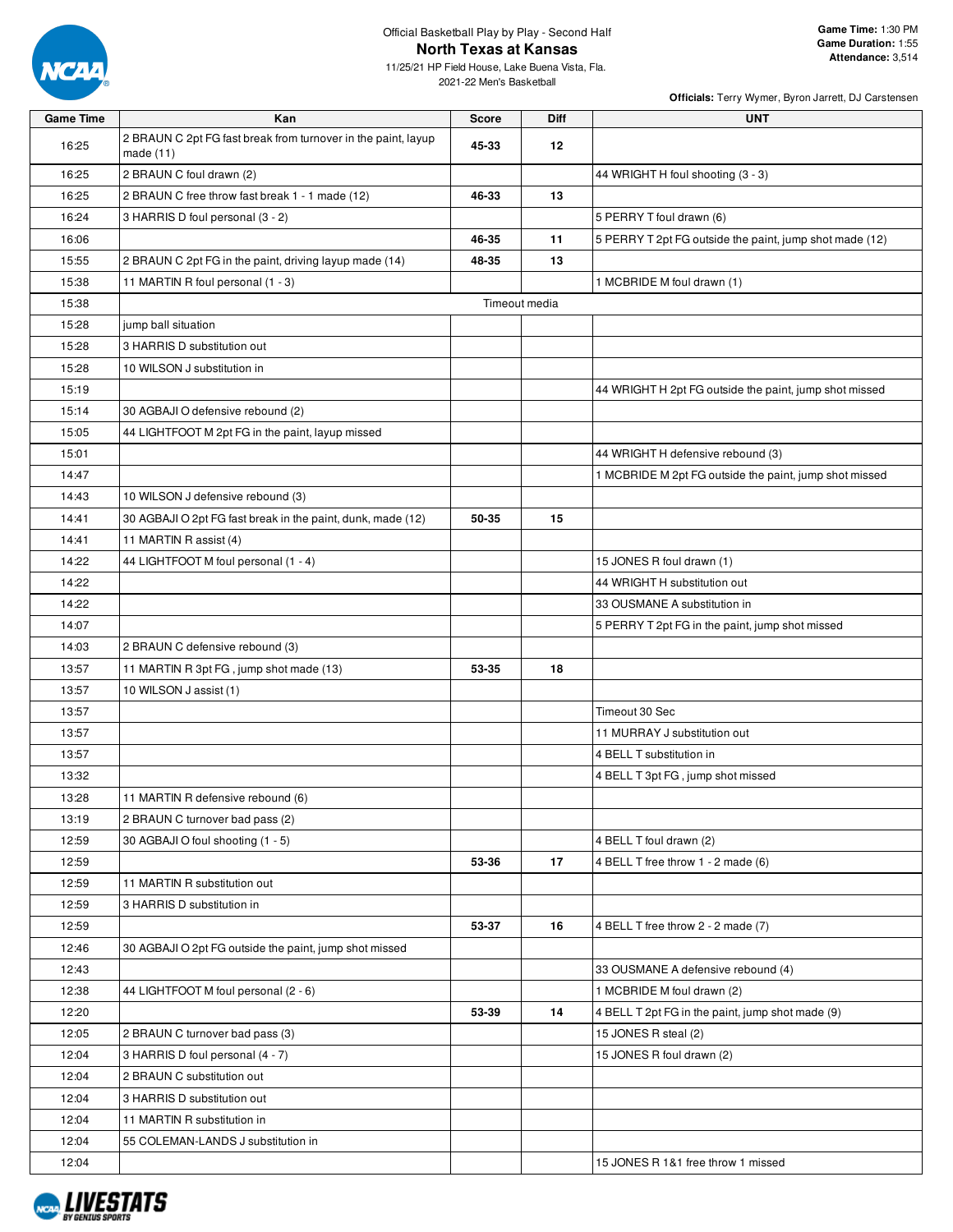

11/25/21 HP Field House, Lake Buena Vista, Fla. 2021-22 Men's Basketball

| <b>Game Time</b> | Kan                                                                          | <b>Score</b>  | Diff    | <b>UNT</b>                                              |
|------------------|------------------------------------------------------------------------------|---------------|---------|---------------------------------------------------------|
| 16:25            | 2 BRAUN C 2pt FG fast break from turnover in the paint, layup<br>made $(11)$ | 45-33         | $12 \,$ |                                                         |
| 16:25            | 2 BRAUN C foul drawn (2)                                                     |               |         | 44 WRIGHT H foul shooting (3 - 3)                       |
| 16:25            | 2 BRAUN C free throw fast break 1 - 1 made (12)                              | 46-33         | 13      |                                                         |
| 16:24            | 3 HARRIS D foul personal (3 - 2)                                             |               |         | 5 PERRY T foul drawn (6)                                |
| 16:06            |                                                                              | 46-35         | 11      | 5 PERRY T 2pt FG outside the paint, jump shot made (12) |
| 15:55            | 2 BRAUN C 2pt FG in the paint, driving layup made (14)                       | 48-35         | 13      |                                                         |
| 15:38            | 11 MARTIN R foul personal (1 - 3)                                            |               |         | 1 MCBRIDE M foul drawn (1)                              |
| 15:38            |                                                                              | Timeout media |         |                                                         |
| 15:28            | jump ball situation                                                          |               |         |                                                         |
| 15:28            | 3 HARRIS D substitution out                                                  |               |         |                                                         |
| 15:28            | 10 WILSON J substitution in                                                  |               |         |                                                         |
| 15:19            |                                                                              |               |         | 44 WRIGHT H 2pt FG outside the paint, jump shot missed  |
| 15:14            | 30 AGBAJI O defensive rebound (2)                                            |               |         |                                                         |
| 15:05            | 44 LIGHTFOOT M 2pt FG in the paint, layup missed                             |               |         |                                                         |
| 15:01            |                                                                              |               |         | 44 WRIGHT H defensive rebound (3)                       |
| 14:47            |                                                                              |               |         | 1 MCBRIDE M 2pt FG outside the paint, jump shot missed  |
| 14:43            | 10 WILSON J defensive rebound (3)                                            |               |         |                                                         |
| 14:41            | 30 AGBAJI O 2pt FG fast break in the paint, dunk, made (12)                  | 50-35         | 15      |                                                         |
| 14:41            | 11 MARTIN R assist (4)                                                       |               |         |                                                         |
| 14:22            | 44 LIGHTFOOT M foul personal (1 - 4)                                         |               |         | 15 JONES R foul drawn (1)                               |
| 14:22            |                                                                              |               |         | 44 WRIGHT H substitution out                            |
| 14:22            |                                                                              |               |         | 33 OUSMANE A substitution in                            |
| 14:07            |                                                                              |               |         | 5 PERRY T 2pt FG in the paint, jump shot missed         |
| 14:03            | 2 BRAUN C defensive rebound (3)                                              |               |         |                                                         |
| 13:57            | 11 MARTIN R 3pt FG, jump shot made (13)                                      | 53-35         | 18      |                                                         |
| 13:57            | 10 WILSON J assist (1)                                                       |               |         |                                                         |
| 13:57            |                                                                              |               |         | Timeout 30 Sec                                          |
| 13:57            |                                                                              |               |         | 11 MURRAY J substitution out                            |
| 13:57            |                                                                              |               |         |                                                         |
| 13:32            |                                                                              |               |         | 4 BELL T substitution in                                |
|                  |                                                                              |               |         | 4 BELL T 3pt FG, jump shot missed                       |
| 13:28            | 11 MARTIN R defensive rebound (6)                                            |               |         |                                                         |
| 13:19            | 2 BRAUN C turnover bad pass (2)                                              |               |         |                                                         |
| 12:59            | 30 AGBAJI O foul shooting (1 - 5)                                            |               |         | 4 BELL T foul drawn (2)                                 |
| 12:59            |                                                                              | 53-36         | 17      | 4 BELL T free throw 1 - 2 made (6)                      |
| 12:59            | 11 MARTIN R substitution out                                                 |               |         |                                                         |
| 12:59            | 3 HARRIS D substitution in                                                   |               |         |                                                         |
| 12:59            |                                                                              | 53-37         | 16      | 4 BELL T free throw 2 - 2 made (7)                      |
| 12:46            | 30 AGBAJI O 2pt FG outside the paint, jump shot missed                       |               |         |                                                         |
| 12:43            |                                                                              |               |         | 33 OUSMANE A defensive rebound (4)                      |
| 12:38            | 44 LIGHTFOOT M foul personal (2 - 6)                                         |               |         | 1 MCBRIDE M foul drawn (2)                              |
| 12:20            |                                                                              | 53-39         | 14      | 4 BELL T 2pt FG in the paint, jump shot made (9)        |
| 12:05            | 2 BRAUN C turnover bad pass (3)                                              |               |         | 15 JONES R steal (2)                                    |
| 12:04            | 3 HARRIS D foul personal (4 - 7)                                             |               |         | 15 JONES R foul drawn (2)                               |
| 12:04            | 2 BRAUN C substitution out                                                   |               |         |                                                         |
| 12:04            | 3 HARRIS D substitution out                                                  |               |         |                                                         |
| 12:04            | 11 MARTIN R substitution in                                                  |               |         |                                                         |
| 12:04            | 55 COLEMAN-LANDS J substitution in                                           |               |         |                                                         |
| 12:04            |                                                                              |               |         | 15 JONES R 1&1 free throw 1 missed                      |

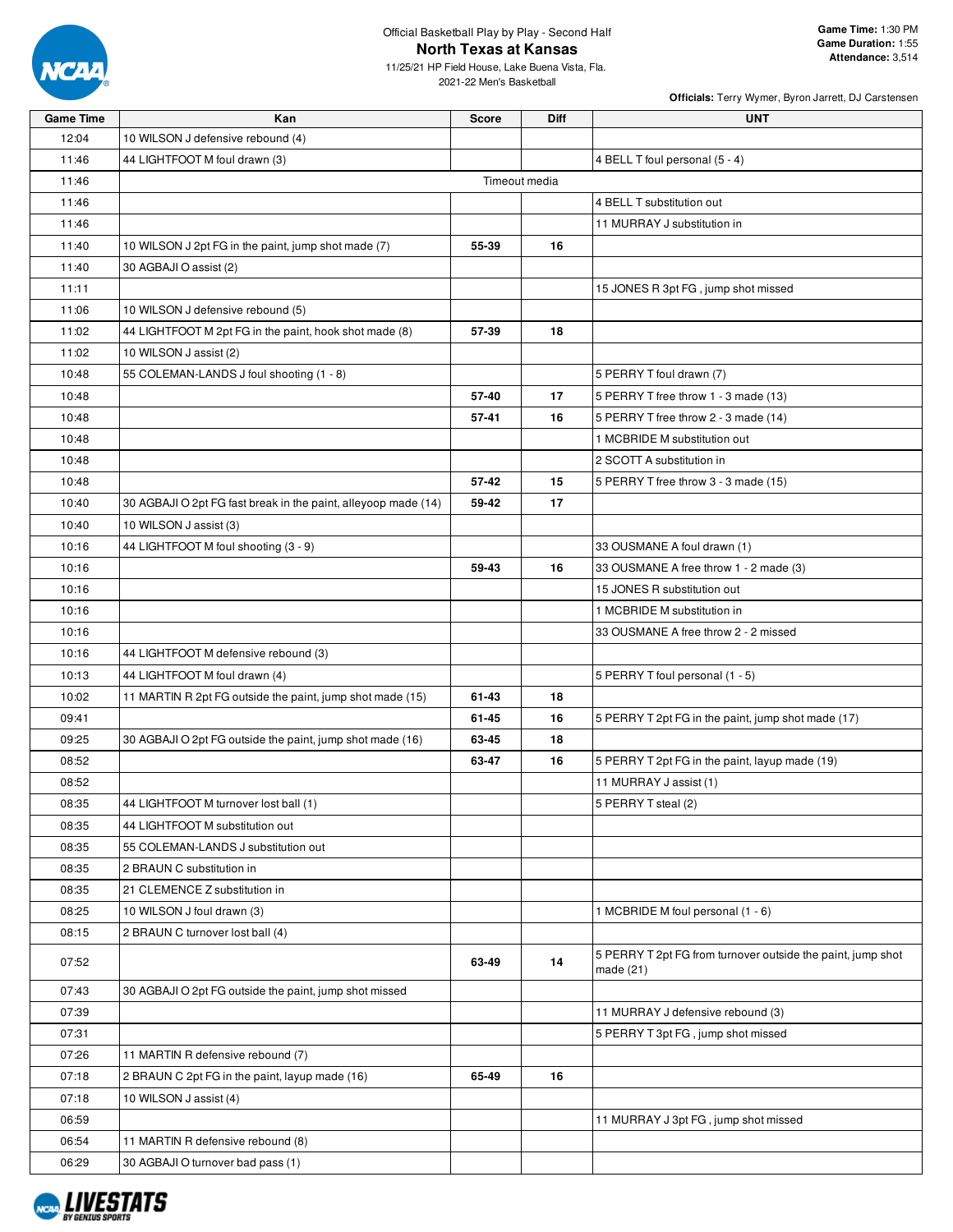

11/25/21 HP Field House, Lake Buena Vista, Fla. 2021-22 Men's Basketball

| <b>Game Time</b> | Kan                                                            | <b>Score</b> | <b>Diff</b>   | <b>UNT</b>                                                               |
|------------------|----------------------------------------------------------------|--------------|---------------|--------------------------------------------------------------------------|
| 12:04            | 10 WILSON J defensive rebound (4)                              |              |               |                                                                          |
| 11:46            | 44 LIGHTFOOT M foul drawn (3)                                  |              |               | 4 BELL T foul personal (5 - 4)                                           |
| 11:46            |                                                                |              | Timeout media |                                                                          |
| 11:46            |                                                                |              |               | 4 BELL T substitution out                                                |
| 11:46            |                                                                |              |               | 11 MURRAY J substitution in                                              |
| 11:40            | 10 WILSON J 2pt FG in the paint, jump shot made (7)            | 55-39        | 16            |                                                                          |
| 11:40            | 30 AGBAJI O assist (2)                                         |              |               |                                                                          |
| 11:11            |                                                                |              |               | 15 JONES R 3pt FG, jump shot missed                                      |
| 11:06            | 10 WILSON J defensive rebound (5)                              |              |               |                                                                          |
| 11:02            | 44 LIGHTFOOT M 2pt FG in the paint, hook shot made (8)         | 57-39        | 18            |                                                                          |
| 11:02            | 10 WILSON J assist (2)                                         |              |               |                                                                          |
| 10:48            | 55 COLEMAN-LANDS J foul shooting (1 - 8)                       |              |               | 5 PERRY T foul drawn (7)                                                 |
| 10:48            |                                                                | 57-40        | 17            | 5 PERRY T free throw 1 - 3 made (13)                                     |
| 10:48            |                                                                | 57-41        | 16            | 5 PERRY T free throw 2 - 3 made (14)                                     |
| 10:48            |                                                                |              |               | 1 MCBRIDE M substitution out                                             |
| 10:48            |                                                                |              |               | 2 SCOTT A substitution in                                                |
| 10:48            |                                                                | 57-42        | 15            | 5 PERRY T free throw 3 - 3 made (15)                                     |
| 10:40            | 30 AGBAJI O 2pt FG fast break in the paint, alleyoop made (14) | 59-42        | 17            |                                                                          |
| 10:40            | 10 WILSON J assist (3)                                         |              |               |                                                                          |
| 10:16            | 44 LIGHTFOOT M foul shooting (3 - 9)                           |              |               | 33 OUSMANE A foul drawn (1)                                              |
| 10:16            |                                                                | 59-43        | 16            | 33 OUSMANE A free throw 1 - 2 made (3)                                   |
| 10:16            |                                                                |              |               | 15 JONES R substitution out                                              |
| 10:16            |                                                                |              |               | 1 MCBRIDE M substitution in                                              |
| 10:16            |                                                                |              |               | 33 OUSMANE A free throw 2 - 2 missed                                     |
| 10:16            | 44 LIGHTFOOT M defensive rebound (3)                           |              |               |                                                                          |
| 10:13            | 44 LIGHTFOOT M foul drawn (4)                                  |              |               | 5 PERRY T foul personal (1 - 5)                                          |
| 10:02            | 11 MARTIN R 2pt FG outside the paint, jump shot made (15)      | 61-43        | 18            |                                                                          |
| 09:41            |                                                                | 61-45        | 16            | 5 PERRY T 2pt FG in the paint, jump shot made (17)                       |
| 09:25            | 30 AGBAJI O 2pt FG outside the paint, jump shot made (16)      | 63-45        | 18            |                                                                          |
| 08:52            |                                                                | 63-47        | 16            | 5 PERRY T 2pt FG in the paint, layup made (19)                           |
| 08:52            |                                                                |              |               | 11 MURRAY J assist (1)                                                   |
| 08:35            | 44 LIGHTFOOT M turnover lost ball (1)                          |              |               | 5 PERRY T steal (2)                                                      |
| 08:35            | 44 LIGHTFOOT M substitution out                                |              |               |                                                                          |
| 08:35            | 55 COLEMAN-LANDS J substitution out                            |              |               |                                                                          |
| 08:35            | 2 BRAUN C substitution in                                      |              |               |                                                                          |
| 08:35            | 21 CLEMENCE Z substitution in                                  |              |               |                                                                          |
| 08:25            | 10 WILSON J foul drawn (3)                                     |              |               | 1 MCBRIDE M foul personal (1 - 6)                                        |
| 08:15            | 2 BRAUN C turnover lost ball (4)                               |              |               |                                                                          |
| 07:52            |                                                                | 63-49        | 14            | 5 PERRY T 2pt FG from turnover outside the paint, jump shot<br>made (21) |
| 07:43            | 30 AGBAJI O 2pt FG outside the paint, jump shot missed         |              |               |                                                                          |
| 07:39            |                                                                |              |               | 11 MURRAY J defensive rebound (3)                                        |
| 07:31            |                                                                |              |               | 5 PERRY T 3pt FG, jump shot missed                                       |
| 07:26            | 11 MARTIN R defensive rebound (7)                              |              |               |                                                                          |
| 07:18            | 2 BRAUN C 2pt FG in the paint, layup made (16)                 | 65-49        | 16            |                                                                          |
| 07:18            | 10 WILSON J assist (4)                                         |              |               |                                                                          |
| 06:59            |                                                                |              |               | 11 MURRAY J 3pt FG, jump shot missed                                     |
| 06:54            | 11 MARTIN R defensive rebound (8)                              |              |               |                                                                          |
| 06:29            | 30 AGBAJI O turnover bad pass (1)                              |              |               |                                                                          |
|                  |                                                                |              |               |                                                                          |

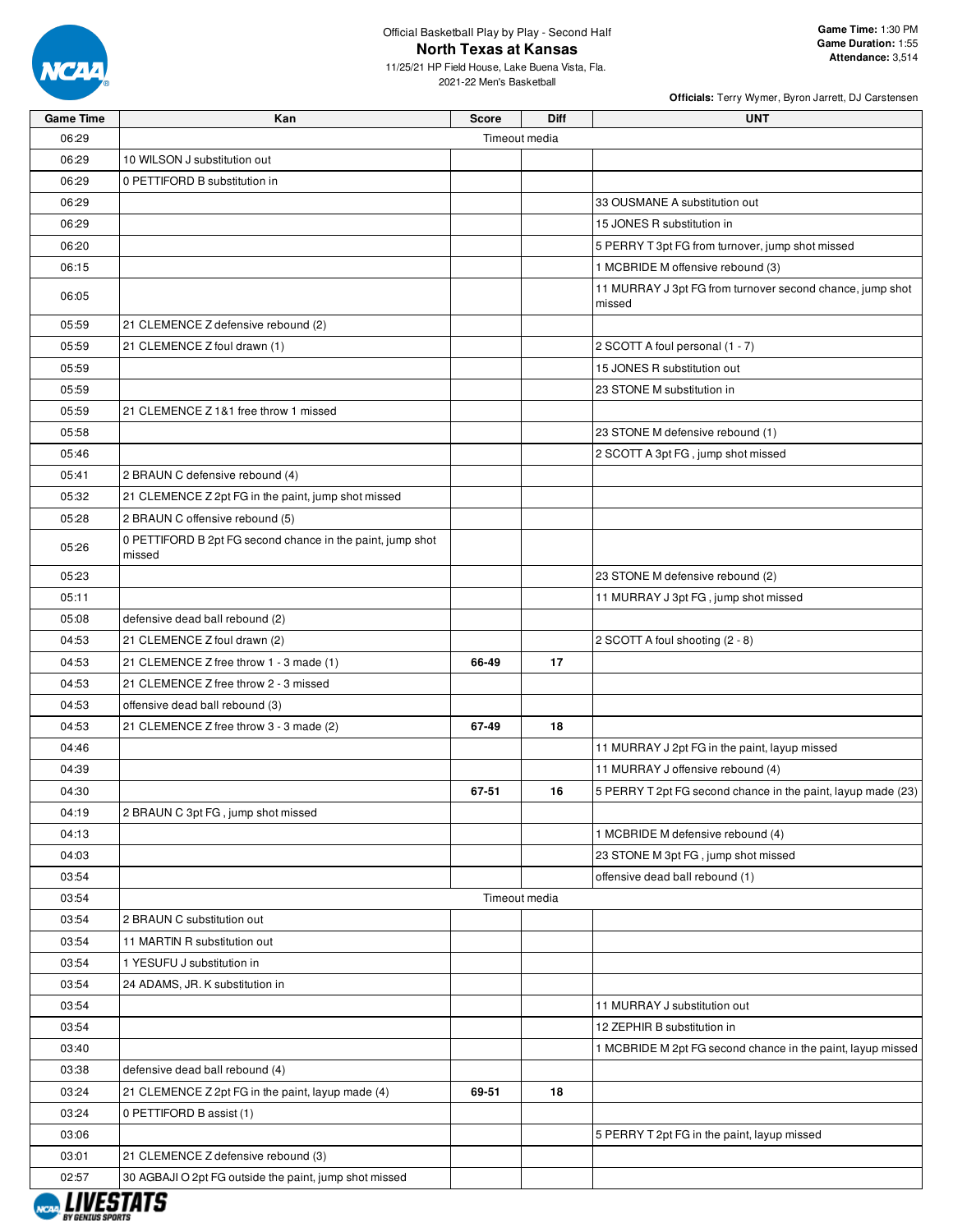

11/25/21 HP Field House, Lake Buena Vista, Fla. 2021-22 Men's Basketball

| <b>Game Time</b> | Kan                                                                  | <b>Score</b>  | Diff | <b>UNT</b>                                                          |
|------------------|----------------------------------------------------------------------|---------------|------|---------------------------------------------------------------------|
| 06:29            |                                                                      | Timeout media |      |                                                                     |
| 06:29            | 10 WILSON J substitution out                                         |               |      |                                                                     |
| 06:29            | 0 PETTIFORD B substitution in                                        |               |      |                                                                     |
| 06:29            |                                                                      |               |      | 33 OUSMANE A substitution out                                       |
| 06:29            |                                                                      |               |      | 15 JONES R substitution in                                          |
| 06:20            |                                                                      |               |      | 5 PERRY T 3pt FG from turnover, jump shot missed                    |
| 06:15            |                                                                      |               |      | 1 MCBRIDE M offensive rebound (3)                                   |
| 06:05            |                                                                      |               |      | 11 MURRAY J 3pt FG from turnover second chance, jump shot<br>missed |
| 05:59            | 21 CLEMENCE Z defensive rebound (2)                                  |               |      |                                                                     |
| 05:59            | 21 CLEMENCE Z foul drawn (1)                                         |               |      | 2 SCOTT A foul personal (1 - 7)                                     |
| 05:59            |                                                                      |               |      | 15 JONES R substitution out                                         |
| 05:59            |                                                                      |               |      | 23 STONE M substitution in                                          |
| 05:59            | 21 CLEMENCE Z 1&1 free throw 1 missed                                |               |      |                                                                     |
| 05:58            |                                                                      |               |      | 23 STONE M defensive rebound (1)                                    |
| 05:46            |                                                                      |               |      | 2 SCOTT A 3pt FG, jump shot missed                                  |
| 05:41            | 2 BRAUN C defensive rebound (4)                                      |               |      |                                                                     |
| 05:32            | 21 CLEMENCE Z 2pt FG in the paint, jump shot missed                  |               |      |                                                                     |
| 05:28            | 2 BRAUN C offensive rebound (5)                                      |               |      |                                                                     |
| 05:26            | 0 PETTIFORD B 2pt FG second chance in the paint, jump shot<br>missed |               |      |                                                                     |
| 05:23            |                                                                      |               |      | 23 STONE M defensive rebound (2)                                    |
| 05:11            |                                                                      |               |      | 11 MURRAY J 3pt FG, jump shot missed                                |
| 05:08            | defensive dead ball rebound (2)                                      |               |      |                                                                     |
| 04:53            | 21 CLEMENCE Z foul drawn (2)                                         |               |      | 2 SCOTT A foul shooting (2 - 8)                                     |
| 04:53            | 21 CLEMENCE Z free throw 1 - 3 made (1)                              | 66-49         | 17   |                                                                     |
| 04:53            | 21 CLEMENCE Z free throw 2 - 3 missed                                |               |      |                                                                     |
| 04:53            | offensive dead ball rebound (3)                                      |               |      |                                                                     |
| 04:53            | 21 CLEMENCE Z free throw 3 - 3 made (2)                              | 67-49         | 18   |                                                                     |
| 04:46            |                                                                      |               |      | 11 MURRAY J 2pt FG in the paint, layup missed                       |
| 04:39            |                                                                      |               |      | 11 MURRAY J offensive rebound (4)                                   |
| 04:30            |                                                                      | 67-51         | 16   | 5 PERRY T 2pt FG second chance in the paint, layup made (23)        |
| 04:19            | 2 BRAUN C 3pt FG, jump shot missed                                   |               |      |                                                                     |
| 04:13            |                                                                      |               |      | 1 MCBRIDE M defensive rebound (4)                                   |
| 04:03            |                                                                      |               |      | 23 STONE M 3pt FG, jump shot missed                                 |
| 03:54            |                                                                      |               |      | offensive dead ball rebound (1)                                     |
| 03:54            |                                                                      | Timeout media |      |                                                                     |
| 03:54            | 2 BRAUN C substitution out                                           |               |      |                                                                     |
| 03:54            | 11 MARTIN R substitution out                                         |               |      |                                                                     |
| 03:54            | 1 YESUFU J substitution in                                           |               |      |                                                                     |
| 03:54            | 24 ADAMS, JR. K substitution in                                      |               |      |                                                                     |
| 03:54            |                                                                      |               |      | 11 MURRAY J substitution out                                        |
| 03:54            |                                                                      |               |      | 12 ZEPHIR B substitution in                                         |
| 03:40            |                                                                      |               |      | 1 MCBRIDE M 2pt FG second chance in the paint, layup missed         |
| 03:38            | defensive dead ball rebound (4)                                      |               |      |                                                                     |
| 03:24            | 21 CLEMENCE Z 2pt FG in the paint, layup made (4)                    | 69-51         | 18   |                                                                     |
| 03:24            | 0 PETTIFORD B assist (1)                                             |               |      |                                                                     |
| 03:06            |                                                                      |               |      | 5 PERRY T 2pt FG in the paint, layup missed                         |
| 03:01            | 21 CLEMENCE Z defensive rebound (3)                                  |               |      |                                                                     |
| 02:57            | 30 AGBAJI O 2pt FG outside the paint, jump shot missed               |               |      |                                                                     |

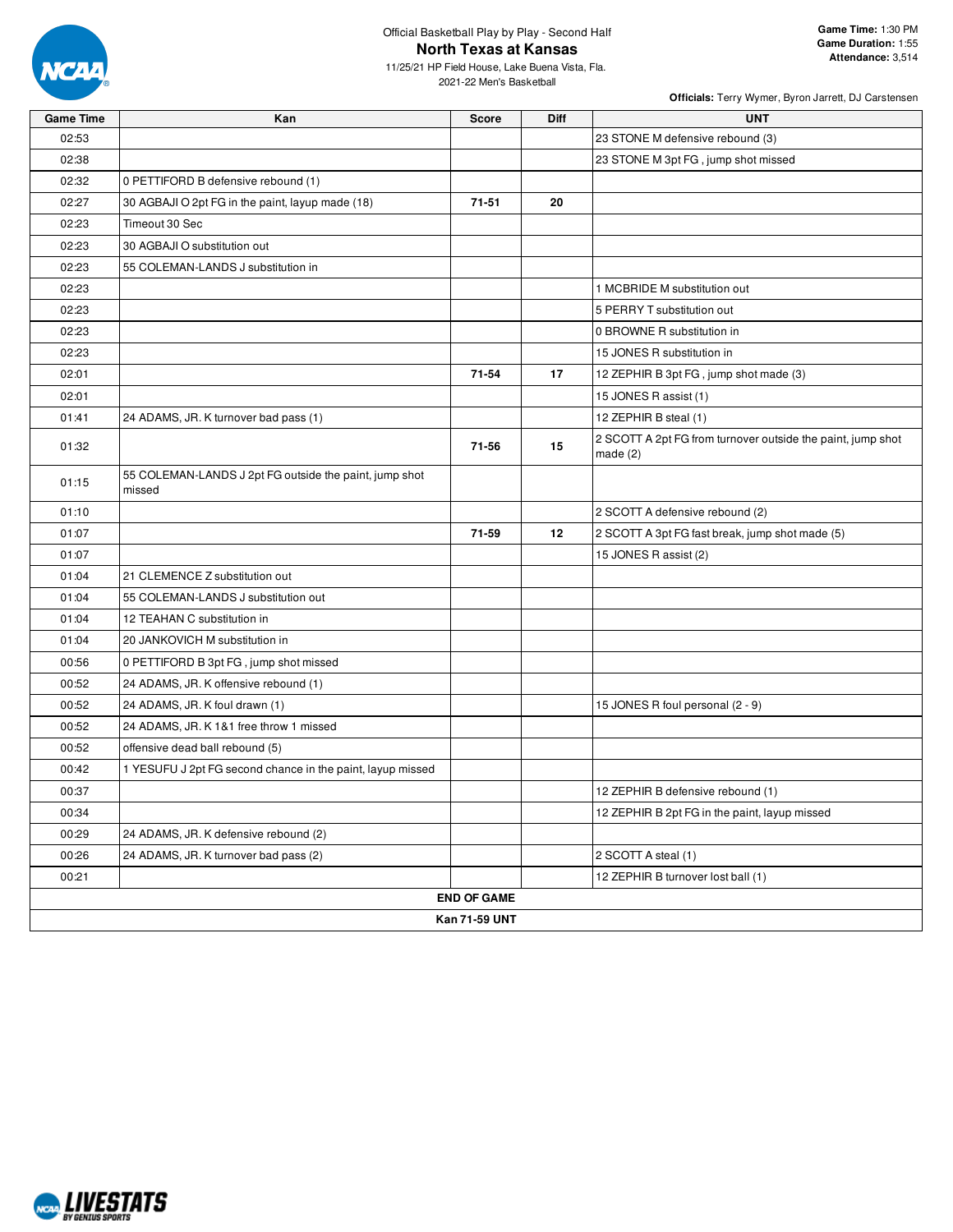

11/25/21 HP Field House, Lake Buena Vista, Fla. 2021-22 Men's Basketball

| <b>Game Time</b> | Kan                                                              | <b>Score</b>       | <b>Diff</b> | <b>UNT</b>                                                                |  |  |  |
|------------------|------------------------------------------------------------------|--------------------|-------------|---------------------------------------------------------------------------|--|--|--|
| 02:53            |                                                                  |                    |             | 23 STONE M defensive rebound (3)                                          |  |  |  |
| 02:38            |                                                                  |                    |             | 23 STONE M 3pt FG, jump shot missed                                       |  |  |  |
| 02:32            | 0 PETTIFORD B defensive rebound (1)                              |                    |             |                                                                           |  |  |  |
| 02:27            | 30 AGBAJI O 2pt FG in the paint, layup made (18)                 | 71-51              | 20          |                                                                           |  |  |  |
| 02:23            | Timeout 30 Sec                                                   |                    |             |                                                                           |  |  |  |
| 02:23            | 30 AGBAJI O substitution out                                     |                    |             |                                                                           |  |  |  |
| 02:23            | 55 COLEMAN-LANDS J substitution in                               |                    |             |                                                                           |  |  |  |
| 02:23            |                                                                  |                    |             | 1 MCBRIDE M substitution out                                              |  |  |  |
| 02:23            |                                                                  |                    |             | 5 PERRY T substitution out                                                |  |  |  |
| 02:23            |                                                                  |                    |             | 0 BROWNE R substitution in                                                |  |  |  |
| 02:23            |                                                                  |                    |             | 15 JONES R substitution in                                                |  |  |  |
| 02:01            |                                                                  | 71-54              | 17          | 12 ZEPHIR B 3pt FG, jump shot made (3)                                    |  |  |  |
| 02:01            |                                                                  |                    |             | 15 JONES R assist (1)                                                     |  |  |  |
| 01:41            | 24 ADAMS, JR. K turnover bad pass (1)                            |                    |             | 12 ZEPHIR B steal (1)                                                     |  |  |  |
| 01:32            |                                                                  | 71-56              | 15          | 2 SCOTT A 2pt FG from turnover outside the paint, jump shot<br>made $(2)$ |  |  |  |
| 01:15            | 55 COLEMAN-LANDS J 2pt FG outside the paint, jump shot<br>missed |                    |             |                                                                           |  |  |  |
| 01:10            |                                                                  |                    |             | 2 SCOTT A defensive rebound (2)                                           |  |  |  |
| 01:07            |                                                                  | 71-59              | 12          | 2 SCOTT A 3pt FG fast break, jump shot made (5)                           |  |  |  |
| 01:07            |                                                                  |                    |             | 15 JONES R assist (2)                                                     |  |  |  |
| 01:04            | 21 CLEMENCE Z substitution out                                   |                    |             |                                                                           |  |  |  |
| 01:04            | 55 COLEMAN-LANDS J substitution out                              |                    |             |                                                                           |  |  |  |
| 01:04            | 12 TEAHAN C substitution in                                      |                    |             |                                                                           |  |  |  |
| 01:04            | 20 JANKOVICH M substitution in                                   |                    |             |                                                                           |  |  |  |
| 00:56            | 0 PETTIFORD B 3pt FG, jump shot missed                           |                    |             |                                                                           |  |  |  |
| 00:52            | 24 ADAMS, JR. K offensive rebound (1)                            |                    |             |                                                                           |  |  |  |
| 00:52            | 24 ADAMS, JR. K foul drawn (1)                                   |                    |             | 15 JONES R foul personal (2 - 9)                                          |  |  |  |
| 00:52            | 24 ADAMS, JR. K 1&1 free throw 1 missed                          |                    |             |                                                                           |  |  |  |
| 00:52            | offensive dead ball rebound (5)                                  |                    |             |                                                                           |  |  |  |
| 00:42            | 1 YESUFU J 2pt FG second chance in the paint, layup missed       |                    |             |                                                                           |  |  |  |
| 00:37            |                                                                  |                    |             | 12 ZEPHIR B defensive rebound (1)                                         |  |  |  |
| 00:34            |                                                                  |                    |             | 12 ZEPHIR B 2pt FG in the paint, layup missed                             |  |  |  |
| 00:29            | 24 ADAMS, JR. K defensive rebound (2)                            |                    |             |                                                                           |  |  |  |
| 00:26            | 24 ADAMS, JR. K turnover bad pass (2)                            |                    |             | 2 SCOTT A steal (1)                                                       |  |  |  |
| 00:21            |                                                                  |                    |             | 12 ZEPHIR B turnover lost ball (1)                                        |  |  |  |
|                  |                                                                  | <b>END OF GAME</b> |             |                                                                           |  |  |  |
| Kan 71-59 UNT    |                                                                  |                    |             |                                                                           |  |  |  |

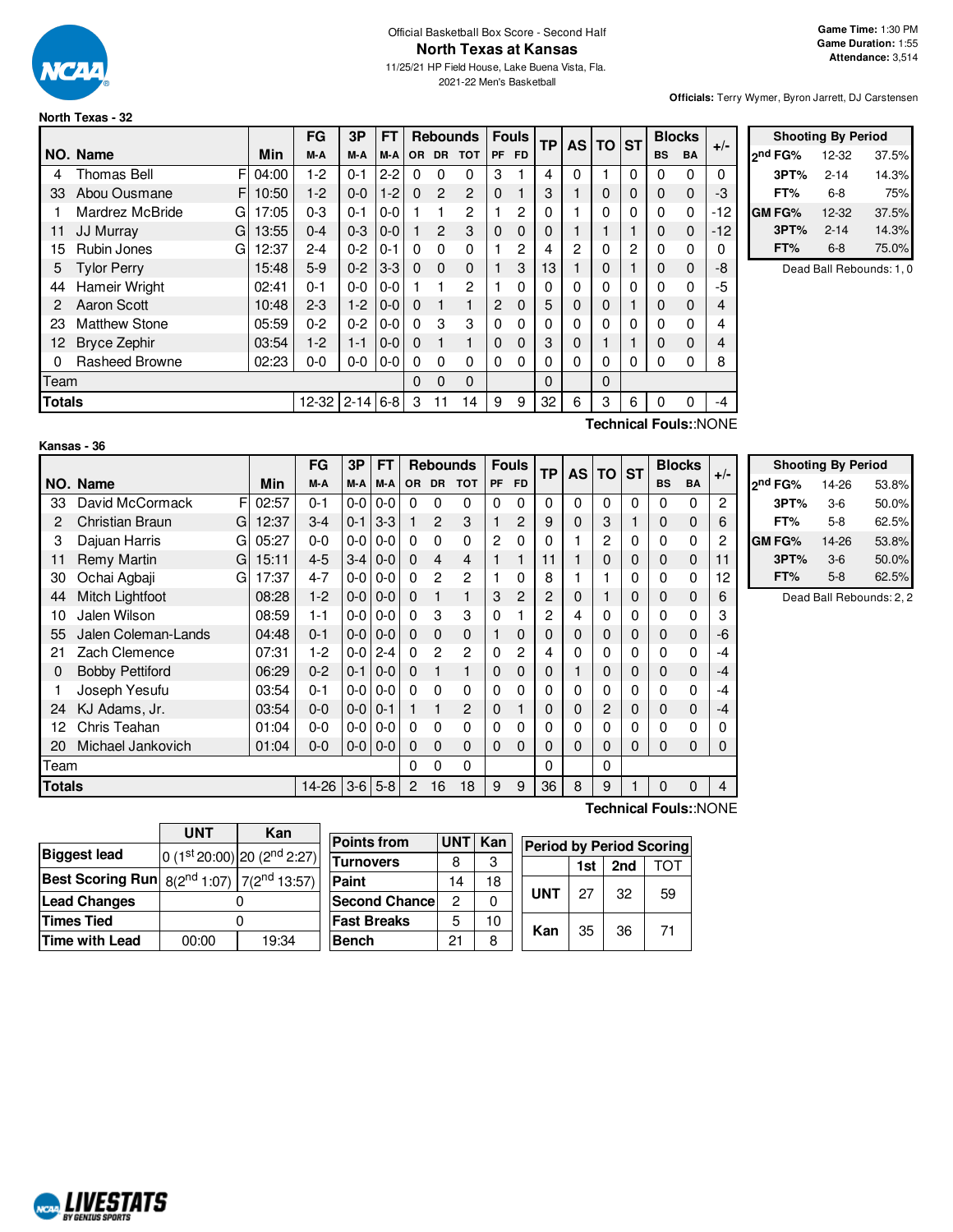

# Official Basketball Box Score - Second Half **North Texas at Kansas**

11/25/21 HP Field House, Lake Buena Vista, Fla. 2021-22 Men's Basketball

**Officials:** Terry Wymer, Byron Jarrett, DJ Carstensen

**Shooting By Period**

# **North Texas - 32**

|               |                      |       | FG             | 3P      | <b>FT</b> |              |                | <b>Rebounds</b> |                | <b>Fouls</b> | <b>TP</b> |   | AS TO ST     |          |           | <b>Blocks</b> | $+/-$ |               | <b>Shooting By Period</b> |                          |
|---------------|----------------------|-------|----------------|---------|-----------|--------------|----------------|-----------------|----------------|--------------|-----------|---|--------------|----------|-----------|---------------|-------|---------------|---------------------------|--------------------------|
|               | NO. Name             | Min   | M-A            | M-A     | M-A       |              |                | OR DR TOT       |                | PF FD        |           |   |              |          | <b>BS</b> | BA            |       | 2nd FG%       | 12-32                     | 37.5%                    |
| 4             | F<br>Thomas Bell     | 04:00 | $1-2$          | $0 - 1$ | $2 - 2$   |              |                | 0               | 3              |              | 4         | 0 |              |          | 0         | 0             | 0     | 3PT%          | $2 - 14$                  | 14.3%                    |
| 33            | Abou Ousmane<br>F    | 10:50 | $1-2$          | $0 - 0$ | $1-2$     | $\Omega$     | $\overline{2}$ | 2               | 0              |              | 3         |   | $\mathbf 0$  | $\Omega$ | 0         | 0             | -3    | FT%           | $6-8$                     | 75%                      |
|               | Mardrez McBride<br>G | 17:05 | $0 - 3$        | $0 - 1$ | $0 - 0$   |              |                | 2               |                | 2            | $\Omega$  |   | $\Omega$     |          | 0         | 0             | -12   | <b>GM FG%</b> | $12 - 32$                 | 37.5%                    |
| 11            | JJ Murray<br>G       | 13:55 | $0 - 4$        | $0 - 3$ | $0-0$     |              | 2              | 3               | $\mathbf{0}$   | $\Omega$     | $\Omega$  |   |              |          | 0         | 0             | -12   | 3PT%          | $2 - 14$                  | 14.3%                    |
| 15            | Rubin Jones<br>G     | 12:37 | $2 - 4$        | $0 - 2$ | $0 - 1$   |              | $\Omega$       | 0               |                | 2            | 4         | 2 | 0            | 2        | 0         | 0             | 0     | FT%           | $6-8$                     | 75.0%                    |
| 5.            | <b>Tylor Perry</b>   | 15:48 | $5-9$          | $0 - 2$ | $ 3-3 $   | $\Omega$     | $\Omega$       | $\Omega$        |                | 3            | 13        |   | $\mathbf 0$  |          | 0         | 0             | -8    |               |                           | Dead Ball Rebounds: 1, 0 |
| 44            | Hameir Wright        | 02:41 | $0 - 1$        | $0-0$   | $0-0$     |              |                | 2               |                | $\Omega$     | $\Omega$  | 0 | 0            |          | 0         | 0             | -5    |               |                           |                          |
| 2             | Aaron Scott          | 10:48 | $2 - 3$        | $1-2$   | $10-0$    | $\Omega$     |                |                 | $\overline{2}$ | $\mathbf 0$  | 5         | 0 | $\mathbf{0}$ |          | 0         | 0             | 4     |               |                           |                          |
| 23            | <b>Matthew Stone</b> | 05:59 | $0 - 2$        | $0 - 2$ | $0 - 0$   | <sup>0</sup> | з              | 3               | 0              | $\Omega$     | $\Omega$  | 0 | 0            | 0        | 0         | 0             | 4     |               |                           |                          |
| 12.           | Bryce Zephir         | 03:54 | $1-2$          | $1 - 1$ | $ 0-0 $   | $\Omega$     |                |                 | $\mathbf{0}$   | $\Omega$     | 3         | 0 |              |          | 0         | $\Omega$      | 4     |               |                           |                          |
|               | Rasheed Browne       | 02:23 | $0-0$          | $0-0$   | $0-0$     | 0            | $\Omega$       | 0               | $\mathbf{0}$   | $\Omega$     | 0         | 0 | 0            | 0        | 0         | 0             | 8     |               |                           |                          |
| Team          |                      |       |                |         |           | 0            | $\Omega$       | $\Omega$        |                |              | $\Omega$  |   | $\Omega$     |          |           |               |       |               |                           |                          |
| <b>Totals</b> |                      |       | 12-32 2-14 6-8 |         |           | 3            | 11             | 14              | 9              | 9            | 32        | 6 | 3            | 6.       | $\Omega$  |               | $-4$  |               |                           |                          |

#### **Kansas - 36**

**Technical Fouls:**:NONE

|               |                        |       | FG      | 3P      | FT              |          |                | <b>Rebounds</b> |          | <b>Fouls</b>   | <b>TP</b> | <b>AS TO</b> |          | <b>ST</b> |             | <b>Blocks</b> | $+/-$ |                |
|---------------|------------------------|-------|---------|---------|-----------------|----------|----------------|-----------------|----------|----------------|-----------|--------------|----------|-----------|-------------|---------------|-------|----------------|
|               | NO. Name               | Min   | M-A     | M-A I   | M-A             |          | OR DR          | <b>TOT</b>      | PF       | <b>FD</b>      |           |              |          |           | <b>BS</b>   | <b>BA</b>     |       | 2 <sup>1</sup> |
| 33            | David McCormack<br>FI  | 02:57 | $0 - 1$ |         | $0 - 0 1 0 - 0$ | $\Omega$ | 0              | 0               | 0        | 0              | $\Omega$  | $\Omega$     | $\Omega$ | $\Omega$  | 0           | $\Omega$      | 2     |                |
| 2             | Christian Braun<br>Gl  | 12:37 | $3 - 4$ | $0 - 1$ | $3-3$           |          | $\overline{2}$ | 3               |          | $\overline{c}$ | 9         | 0            | 3        |           | $\mathbf 0$ | $\mathbf 0$   | 6     |                |
| 3             | Dajuan Harris<br>GI    | 05:27 | $0-0$   |         | $0 - 0 1 0 - 0$ | $\Omega$ | 0              | 0               | 2        | 0              | 0         |              | 2        | 0         | 0           | 0             | 2     | G              |
| 11            | Remy Martin<br>GI      | 15:11 | $4 - 5$ | $3-4$   | $0-0$           | $\Omega$ | 4              | 4               |          |                | 11        |              | 0        | 0         | 0           | $\mathbf 0$   | 11    |                |
| 30            | Ochai Agbaji<br>GI     | 17:37 | $4 - 7$ |         | $0 - 0 1 0 - 0$ | $\Omega$ | $\overline{2}$ | 2               |          | 0              | 8         |              |          | 0         | $\Omega$    | 0             | 12    |                |
| 44            | Mitch Lightfoot        | 08:28 | $1-2$   | $0-0$   | $0 - 0$         | $\Omega$ |                | 1               | 3        | 2              | 2         | 0            |          | 0         | 0           | $\mathbf 0$   | 6     |                |
| 10            | Jalen Wilson           | 08:59 | $1 - 1$ | $0-0$   | $0 - 0$         | $\Omega$ | 3              | 3               | $\Omega$ |                | 2         | 4            | $\Omega$ | 0         | 0           | $\Omega$      | 3     |                |
| 55            | Jalen Coleman-Lands    | 04:48 | $0 - 1$ | $0-0$   | $0 - 0$         | $\Omega$ | $\Omega$       | 0               |          | 0              | 0         | 0            | 0        | 0         | 0           | $\mathbf 0$   | -6    |                |
| 21            | Zach Clemence          | 07:31 | $1-2$   | $0-0$   | $2 - 4$         | $\Omega$ | 2              | 2               | $\Omega$ | 2              | 4         | 0            | 0        | 0         | 0           | 0             | -4    |                |
| 0             | <b>Bobby Pettiford</b> | 06:29 | $0 - 2$ | $0 - 1$ | $0-0$           | $\Omega$ |                | 1               | $\Omega$ | 0              | 0         |              | 0        | $\Omega$  | 0           | $\mathbf 0$   | -4    |                |
|               | Joseph Yesufu          | 03:54 | $0 - 1$ |         | $0 - 0 0 - 0$   | $\Omega$ | 0              | 0               | 0        | 0              | 0         | 0            | 0        | 0         | 0           | 0             | -4    |                |
| 24            | KJ Adams, Jr.          | 03:54 | $0 - 0$ |         | $0 - 0 0 - 1$   |          |                | 2               | 0        |                | 0         | 0            | 2        | $\Omega$  | 0           | $\mathbf 0$   | $-4$  |                |
| 12            | Chris Teahan           | 01:04 | $0 - 0$ |         | $0 - 0 1 0 - 0$ | $\Omega$ | $\Omega$       | 0               | $\Omega$ | $\Omega$       |           | 0            | 0        | 0         | 0           | $\Omega$      | 0     |                |
| 20            | Michael Jankovich      | 01:04 | $0-0$   |         | $0 - 0 0 - 0$   | $\Omega$ | $\Omega$       | $\mathbf{0}$    | $\Omega$ | 0              | 0         | 0            | 0        | $\Omega$  | 0           | $\mathbf 0$   | 0     |                |
| Team          |                        |       |         |         |                 | $\Omega$ | 0              | 0               |          |                | $\Omega$  |              | 0        |           |             |               |       |                |
| <b>Totals</b> |                        |       | 14-26   | $3-6$   | $5-8$           | 2        | 16             | 18              | 9        | 9              | 36        | 8            | 9        |           | 0           | $\Omega$      | 4     |                |

|                     |      | <b>Shooting By Period</b> |       |
|---------------------|------|---------------------------|-------|
| 2 <sup>nd</sup> FG% |      | 14-26                     | 53.8% |
|                     | 3PT% | $3-6$                     | 50.0% |
| FT%                 |      | $5-8$                     | 62.5% |
| GM FG%              |      | 14-26                     | 53.8% |
|                     | 3PT% | $3-6$                     | 50.0% |
| FT%                 |      | $5-8$                     | 62.5% |

Dead Ball Rebounds: 2, 2

|                                                                   | <b>UNT</b> | Kan                             |  |
|-------------------------------------------------------------------|------------|---------------------------------|--|
| <b>Biggest lead</b>                                               |            | 0 $(1st 20:00)$ 20 $(2nd 2:27)$ |  |
| <b>Best Scoring Run</b> $8(2^{nd} 1:07)$ 7(2 <sup>nd</sup> 13:57) |            |                                 |  |
| <b>Lead Changes</b>                                               |            |                                 |  |
| <b>Times Tied</b>                                                 |            |                                 |  |
| <b>Time with Lead</b>                                             | 00:00      | 19:34                           |  |

| Kan                                   |  |                   |          |                                             |
|---------------------------------------|--|-------------------|----------|---------------------------------------------|
| 3                                     |  | 1st               | 2nd      | ГОТ                                         |
| 18                                    |  |                   |          |                                             |
|                                       |  |                   |          | 59                                          |
| 10                                    |  |                   |          | 71                                          |
| 8                                     |  |                   |          |                                             |
| <b>UNT</b><br>8<br>14<br>2<br>5<br>21 |  | <b>UNT</b><br>Kan | 27<br>35 | <b>Period by Period Scoring</b><br>32<br>36 |

**Technical Fouls:**:NONE

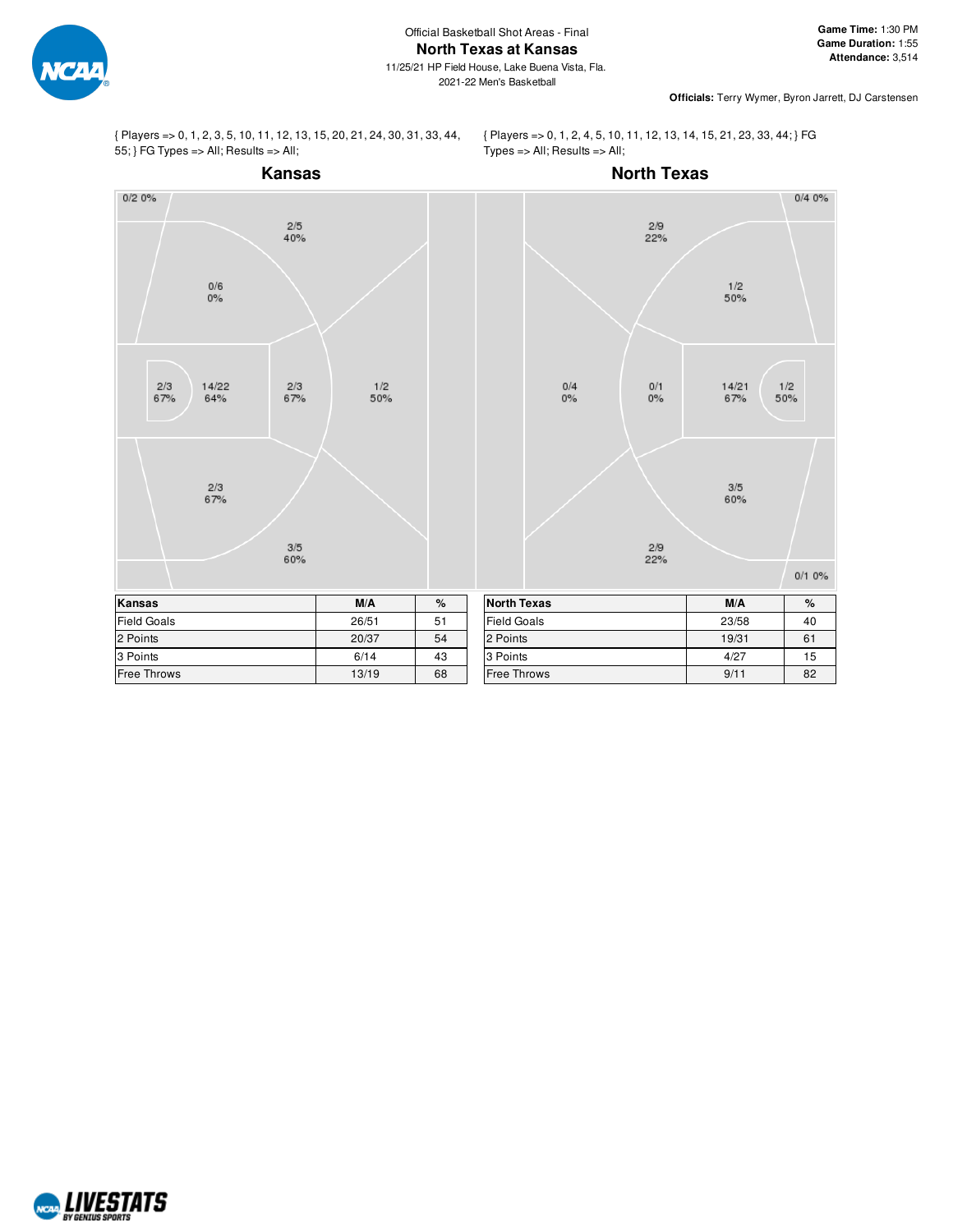

{ Players => 0, 1, 2, 3, 5, 10, 11, 12, 13, 15, 20, 21, 24, 30, 31, 33, 44, 55; } FG Types => All; Results => All;

{ Players => 0, 1, 2, 4, 5, 10, 11, 12, 13, 14, 15, 21, 23, 33, 44; } FG Types => All; Results => All;



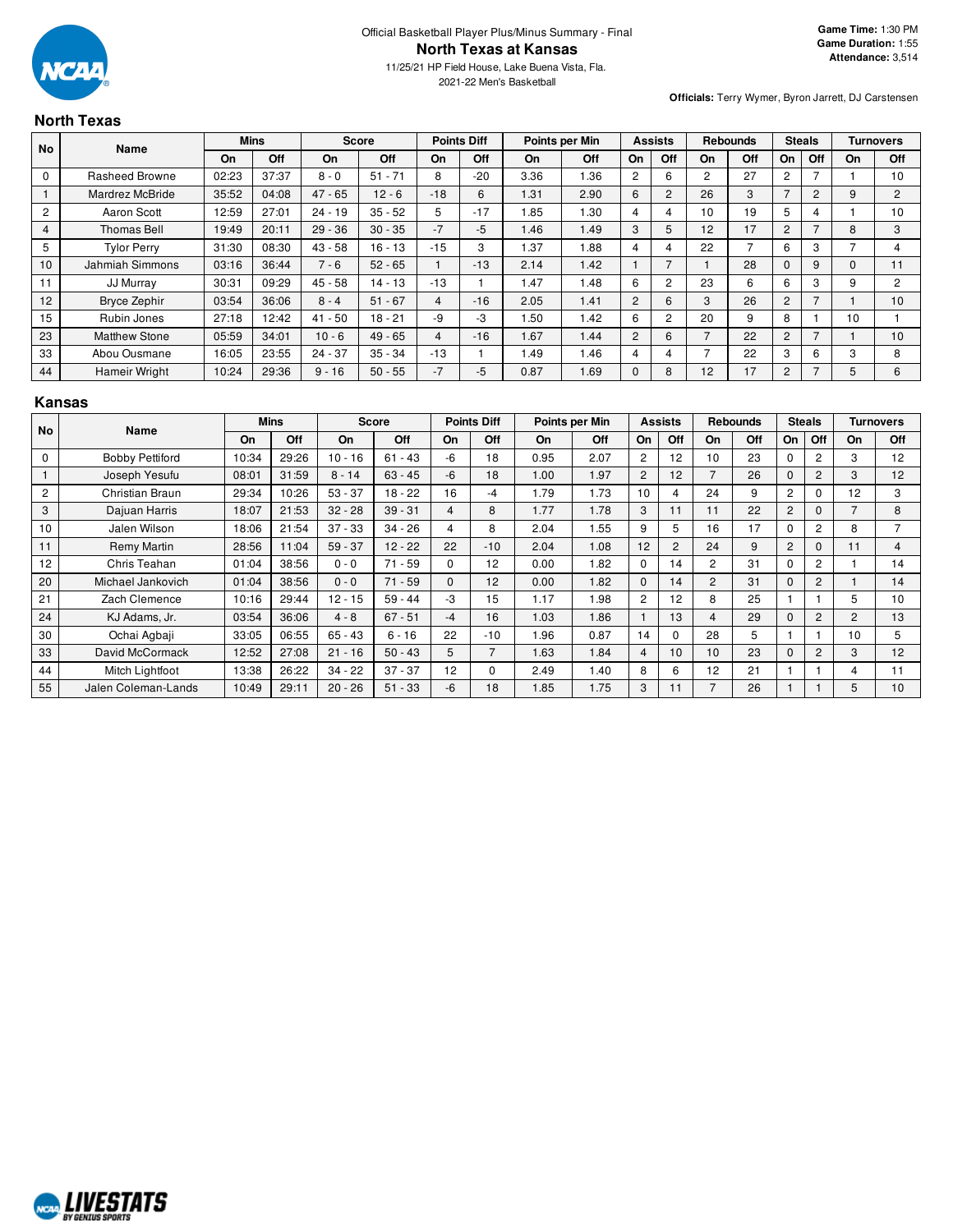

2021-22 Men's Basketball

**Officials:** Terry Wymer, Byron Jarrett, DJ Carstensen

### **North Texas**

| <b>No</b>   | <b>Name</b>           |       | <b>Mins</b> | <b>Score</b> |           |       | <b>Points Diff</b> |           | Points per Min |                | <b>Assists</b> |                | <b>Rebounds</b> |                | <b>Steals</b>  |           | <b>Turnovers</b> |
|-------------|-----------------------|-------|-------------|--------------|-----------|-------|--------------------|-----------|----------------|----------------|----------------|----------------|-----------------|----------------|----------------|-----------|------------------|
|             |                       | On    | Off         | On           | Off       | On    | Off                | <b>On</b> | <b>Off</b>     | On             | Off            | <b>On</b>      | Off             | On             | Off            | <b>On</b> | Off              |
| $\mathbf 0$ | <b>Rasheed Browne</b> | 02:23 | 37:37       | $8 - 0$      | $51 - 71$ | 8     | $-20$              | 3.36      | 1.36           | $\overline{2}$ | 6              | $\overline{2}$ | 27              | 2              |                |           | 10               |
|             | Mardrez McBride       | 35:52 | 04:08       | $47 - 65$    | $12 - 6$  | $-18$ | 6                  | 1.31      | 2.90           | 6              | $\overline{2}$ | 26             | 3               | -              | $\overline{c}$ | 9         | $\overline{2}$   |
| 2           | Aaron Scott           | 12:59 | 27:01       | $24 - 19$    | $35 - 52$ | 5     | $-17$              | .85       | 1.30           | 4              | 4              | 10             | 19              | 5              | 4              |           | 10               |
| 4           | <b>Thomas Bell</b>    | 19:49 | 20:11       | $29 - 36$    | $30 - 35$ | $-7$  | $-5$               | 1.46      | 1.49           | 3              | 5              | 12             | 17              | $\overline{c}$ |                | 8         | 3                |
| 5           | <b>Tylor Perry</b>    | 31:30 | 08:30       | $43 - 58$    | $16 - 13$ | $-15$ | 3                  | 1.37      | 1.88           | 4              | 4              | 22             |                 | 6              | 3              |           | 4                |
| 10          | Jahmiah Simmons       | 03:16 | 36:44       | $7 - 6$      | $52 - 65$ |       | $-13$              | 2.14      | 1.42           |                | $\overline{7}$ |                | 28              | $\Omega$       | 9              | 0         | 11               |
| 11          | JJ Murray             | 30:31 | 09:29       | $45 - 58$    | $14 - 13$ | $-13$ |                    | 1.47      | 1.48           | 6              | $\overline{2}$ | 23             | 6               | 6              | 3              | 9         | $\overline{2}$   |
| 12          | <b>Bryce Zephir</b>   | 03:54 | 36:06       | $8 - 4$      | $51 - 67$ | 4     | $-16$              | 2.05      | 1.41           | $\overline{2}$ | 6              | 3              | 26              | 2              |                |           | 10               |
| 15          | Rubin Jones           | 27:18 | 12:42       | $41 - 50$    | $18 - 21$ | -9    | $-3$               | .50       | 1.42           | 6              | $\overline{2}$ | 20             | 9               | 8              |                | 10        |                  |
| 23          | <b>Matthew Stone</b>  | 05:59 | 34:01       | $10 - 6$     | $49 - 65$ | 4     | $-16$              | 1.67      | 1.44           | $\overline{2}$ | 6              |                | 22              | $\overline{2}$ |                |           | 10               |
| 33          | Abou Ousmane          | 16:05 | 23:55       | $24 - 37$    | $35 - 34$ | $-13$ |                    | 1.49      | 1.46           | 4              | 4              |                | 22              | 3              | 6              | 3         | 8                |
| 44          | Hameir Wright         | 10:24 | 29:36       | $9 - 16$     | $50 - 55$ | $-7$  | $-5$               | 0.87      | 1.69           | $\Omega$       | 8              | 12             | 17              | 2              |                | 5         | 6                |

### **Kansas**

| No             | <b>Name</b>            |       | <b>Mins</b> |           | <b>Score</b> |          | <b>Points Diff</b> |      | Points per Min |                | <b>Assists</b> |                | <b>Rebounds</b> |                | <b>Steals</b>  |                | <b>Turnovers</b> |
|----------------|------------------------|-------|-------------|-----------|--------------|----------|--------------------|------|----------------|----------------|----------------|----------------|-----------------|----------------|----------------|----------------|------------------|
|                |                        | On    | Off         | On        | Off          | On       | Off                | On   | Off            | On             | Off            | On             | Off             | On             | Off            | On             | Off              |
| $\mathbf 0$    | <b>Bobby Pettiford</b> | 10:34 | 29:26       | $10 - 16$ | $61 - 43$    | -6       | 18                 | 0.95 | 2.07           | 2              | 12             | 10             | 23              | 0              | 2              | 3              | 12               |
|                | Joseph Yesufu          | 08:01 | 31:59       | $8 - 14$  | $63 - 45$    | -6       | 18                 | 1.00 | 1.97           | $\overline{c}$ | 12             | $\overline{7}$ | 26              | $\Omega$       | $\overline{c}$ | 3              | 12               |
| $\overline{c}$ | Christian Braun        | 29:34 | 10:26       | $53 - 37$ | $18 - 22$    | 16       | -4                 | 1.79 | 1.73           | 10             | 4              | 24             | 9               | 2              | $\Omega$       | 12             | 3                |
| 3              | Dajuan Harris          | 18:07 | 21:53       | $32 - 28$ | $39 - 31$    | 4        | 8                  | 1.77 | 1.78           | 3              | 11             | 11             | 22              | $\overline{2}$ | 0              |                | 8                |
| 10             | Jalen Wilson           | 18:06 | 21:54       | $37 - 33$ | $34 - 26$    | 4        | 8                  | 2.04 | 1.55           | 9              | 5              | 16             | 17              | $\Omega$       | $\overline{c}$ | 8              | $\overline{7}$   |
| 11             | Remy Martin            | 28:56 | 11:04       | $59 - 37$ | $12 - 22$    | 22       | $-10$              | 2.04 | 1.08           | 12             | $\overline{c}$ | 24             | 9               | $\overline{2}$ | $\Omega$       | 11             | 4                |
| 12             | Chris Teahan           | 01:04 | 38:56       | $0 - 0$   | $71 - 59$    | $\Omega$ | 12                 | 0.00 | 1.82           | $\Omega$       | 14             | 2              | 31              | $\Omega$       | 2              |                | 14               |
| 20             | Michael Jankovich      | 01:04 | 38:56       | $0 - 0$   | $71 - 59$    | $\Omega$ | 12                 | 0.00 | 1.82           | $\Omega$       | 14             | $\overline{2}$ | 31              | $\Omega$       | $\overline{c}$ |                | 14               |
| 21             | Zach Clemence          | 10:16 | 29:44       | $12 - 15$ | $59 - 44$    | -3       | 15                 | 1.17 | 1.98           | $\overline{c}$ | 12             | 8              | 25              |                |                | 5              | 10               |
| 24             | KJ Adams, Jr.          | 03:54 | 36:06       | $4 - 8$   | $67 - 51$    | -4       | 16                 | 1.03 | 1.86           |                | 13             | 4              | 29              | $\mathbf{0}$   | $\overline{c}$ | $\overline{2}$ | 13               |
| 30             | Ochai Agbaji           | 33:05 | 06:55       | $65 - 43$ | $6 - 16$     | 22       | $-10$              | 1.96 | 0.87           | 14             | $\Omega$       | 28             | 5               |                |                | 10             | 5                |
| 33             | David McCormack        | 12:52 | 27:08       | $21 - 16$ | $50 - 43$    | 5        | 7                  | 1.63 | 1.84           | 4              | 10             | 10             | 23              | $\Omega$       | 2              | 3              | 12               |
| 44             | Mitch Lightfoot        | 13:38 | 26:22       | $34 - 22$ | $37 - 37$    | 12       | $\Omega$           | 2.49 | 1.40           | 8              | 6              | 12             | 21              |                |                | 4              | 11               |
| 55             | Jalen Coleman-Lands    | 10:49 | 29:11       | $20 - 26$ | $51 - 33$    | -6       | 18                 | 1.85 | 1.75           | 3              | 11             |                | 26              |                |                | 5              | 10               |

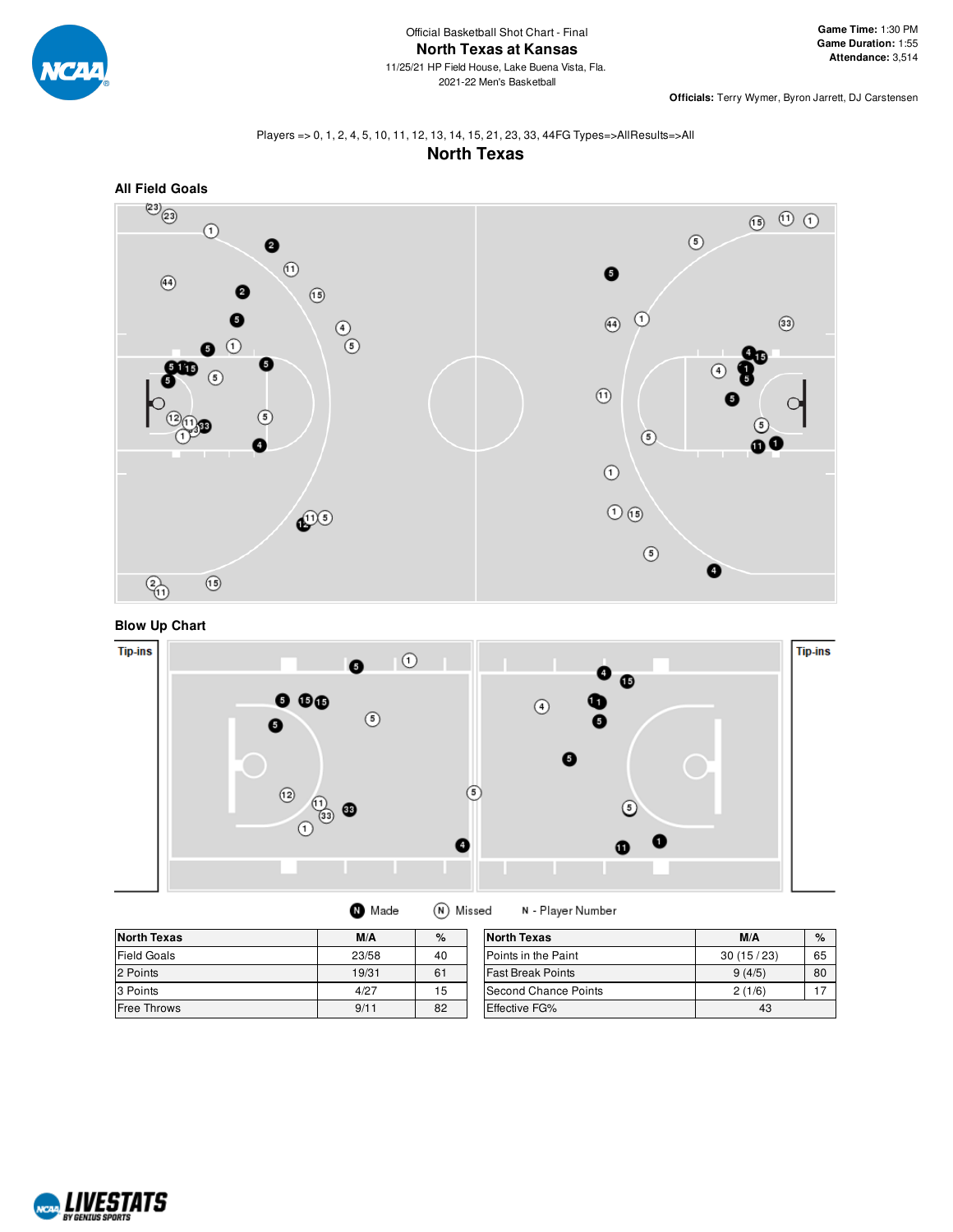

# Players => 0, 1, 2, 4, 5, 10, 11, 12, 13, 14, 15, 21, 23, 33, 44FG Types=>AllResults=>All





**Blow Up Chart**



N - Player Number

| <b>North Texas</b> | M/A   | %  | <b>North Texas</b>       | M/A       | %  |
|--------------------|-------|----|--------------------------|-----------|----|
| <b>Field Goals</b> | 23/58 | 40 | Points in the Paint      | 30(15/23) | 65 |
| 2 Points           | 19/31 | 61 | <b>Fast Break Points</b> | 9(4/5)    | 80 |
| 3 Points           | 4/27  | 15 | Second Chance Points     | 2(1/6)    |    |
| <b>Free Throws</b> | 9/11  | 82 | <b>Effective FG%</b>     | 43        |    |

**O** Made

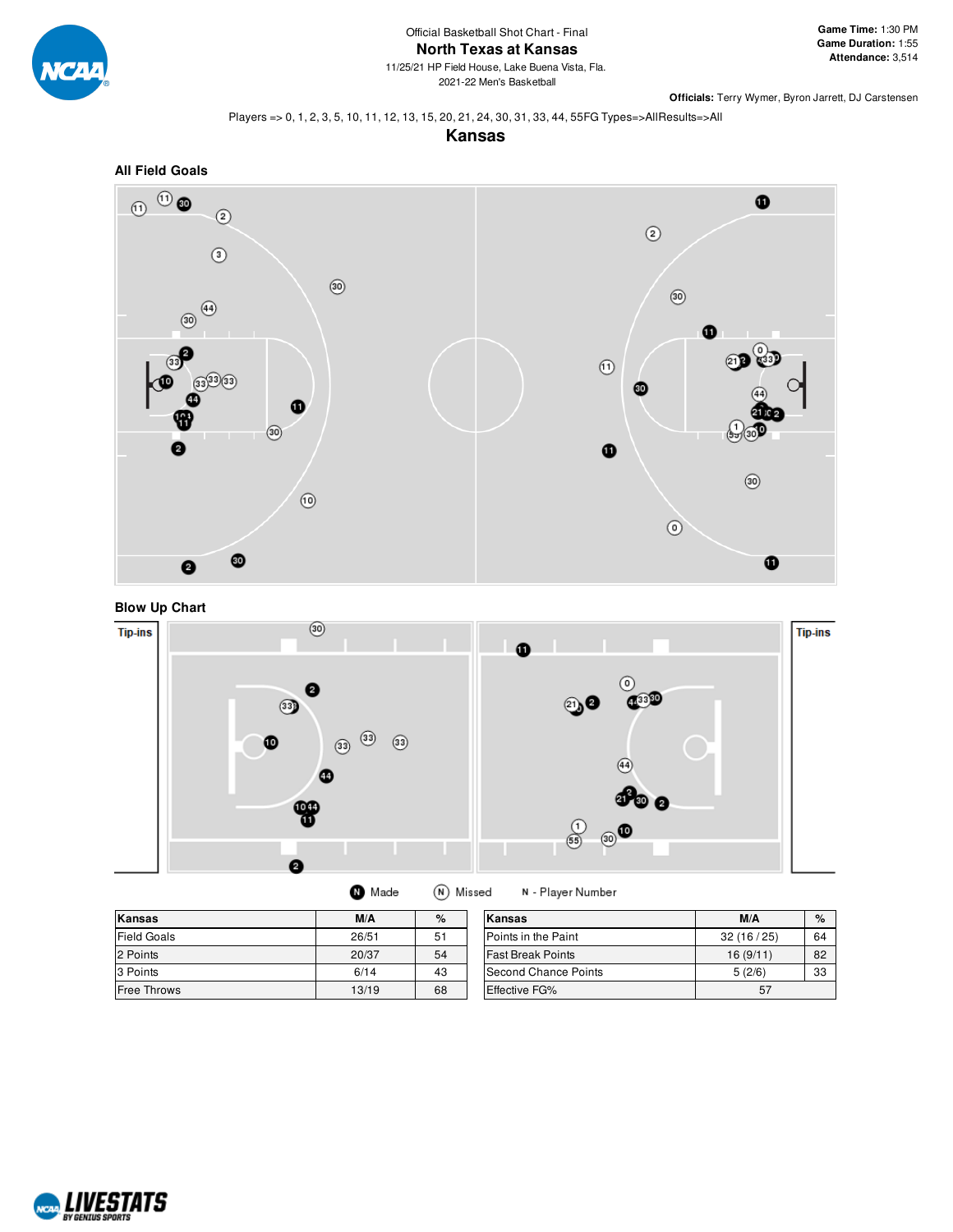

#### Players => 0, 1, 2, 3, 5, 10, 11, 12, 13, 15, 20, 21, 24, 30, 31, 33, 44, 55FG Types=>AllResults=>All









| Kansas             | M/A   | %  | Kansas                   | M/A       | $\%$ |
|--------------------|-------|----|--------------------------|-----------|------|
| Field Goals        | 26/51 | 51 | Points in the Paint      | 32(16/25) | 64   |
| 2 Points           | 20/37 | 54 | <b>Fast Break Points</b> | 16(9/11)  | 82   |
| 3 Points           | 6/14  | 43 | Second Chance Points     | 5(2/6)    | 33   |
| <b>Free Throws</b> | 13/19 | 68 | <b>Effective FG%</b>     | 57        |      |

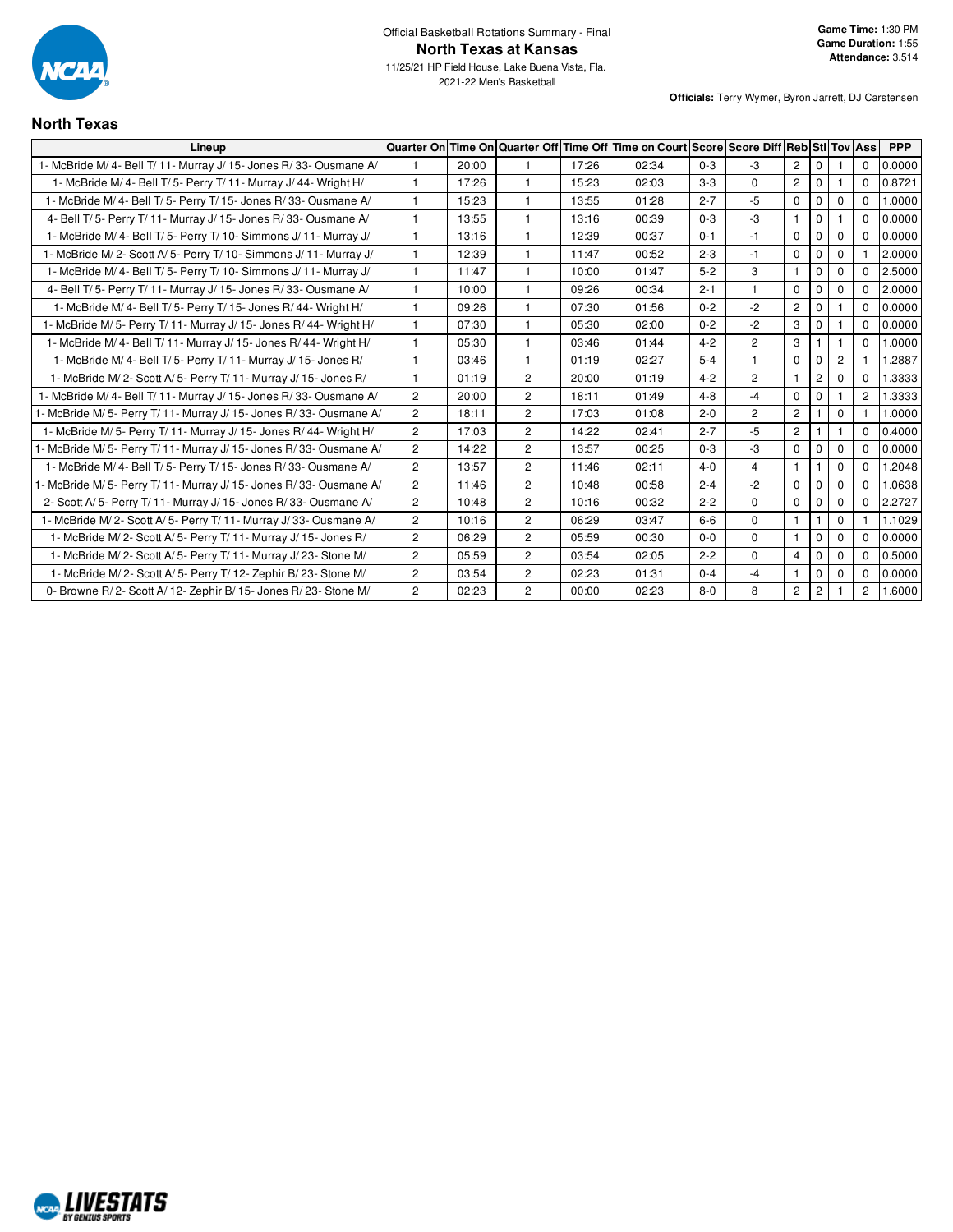

2021-22 Men's Basketball

## **North Texas**

| Lineup                                                              | <b>Quarter On</b>     |       |                |       | Time On Quarter Off Time Off Time on Court Score Score Diff Reb StI Tov Ass |         |                |                |                |                |                      | <b>PPP</b> |
|---------------------------------------------------------------------|-----------------------|-------|----------------|-------|-----------------------------------------------------------------------------|---------|----------------|----------------|----------------|----------------|----------------------|------------|
| 1- McBride M/ 4- Bell T/ 11- Murray J/ 15- Jones R/ 33- Ousmane A/  |                       | 20:00 |                | 17:26 | 02:34                                                                       | $0 - 3$ | $-3$           | $\overline{2}$ | $\Omega$       |                | 0                    | 0.0000     |
| 1- McBride M/ 4- Bell T/ 5- Perry T/ 11- Murray J/ 44- Wright H/    | $\mathbf{1}$          | 17:26 | 1              | 15:23 | 02:03                                                                       | $3 - 3$ | $\Omega$       | $\overline{c}$ | $\mathbf 0$    |                | 0                    | 0.8721     |
| 1- McBride M/4- Bell T/5- Perry T/15- Jones R/33- Ousmane A/        | $\mathbf{1}$          | 15:23 | $\overline{1}$ | 13:55 | 01:28                                                                       | $2 - 7$ | $-5$           | $\mathbf 0$    | $\mathbf{0}$   | $\mathbf 0$    | $\Omega$             | 1.0000     |
| 4- Bell T/5- Perry T/11- Murray J/15- Jones R/33- Ousmane A/        | 1                     | 13:55 | $\mathbf{1}$   | 13:16 | 00:39                                                                       | $0 - 3$ | $-3$           | $\mathbf{1}$   | $\mathbf 0$    |                | 0                    | 0.0000     |
| 1- McBride M/4- Bell T/5- Perry T/10- Simmons J/11- Murray J/       | $\mathbf{1}$          | 13:16 | $\mathbf{1}$   | 12:39 | 00:37                                                                       | $0 - 1$ | $-1$           | $\mathbf 0$    | $\mathbf{0}$   | $\mathbf 0$    | $\Omega$             | 0.0000     |
| 1- McBride M/2- Scott A/5- Perry T/10- Simmons J/11- Murray J/      | 1                     | 12:39 | 1              | 11:47 | 00:52                                                                       | $2 - 3$ | $-1$           | $\mathbf 0$    | 0              | $\mathbf 0$    |                      | 2.0000     |
| 1- McBride M/4- Bell T/5- Perry T/10- Simmons J/11- Murray J/       | $\mathbf{1}$          | 11:47 | 1              | 10:00 | 01:47                                                                       | $5 - 2$ | 3              | 1              | $\mathbf{0}$   | $\Omega$       | 0                    | 2.5000     |
| 4- Bell T/5- Perry T/11- Murray J/15- Jones R/33- Ousmane A/        | $\mathbf{1}$          | 10:00 | $\overline{1}$ | 09:26 | 00:34                                                                       | $2 - 1$ | $\mathbf{1}$   | $\mathbf 0$    | $\mathbf{0}$   | $\mathbf 0$    | $\Omega$             | 2.0000     |
| 1- McBride M/ 4- Bell T/ 5- Perry T/ 15- Jones R/ 44- Wright H/     | 1                     | 09:26 | 1              | 07:30 | 01:56                                                                       | $0 - 2$ | $-2$           | $\overline{c}$ | $\mathbf{0}$   |                | $\Omega$             | 0.0000     |
| 1- McBride M/ 5- Perry T/ 11- Murray J/ 15- Jones R/ 44- Wright H/  | 1                     | 07:30 | $\mathbf{1}$   | 05:30 | 02:00                                                                       | $0 - 2$ | $-2$           | 3              | $\mathbf 0$    |                | 0                    | 0.0000     |
| 1- McBride M/4- Bell T/11- Murray J/15- Jones R/44- Wright H/       | 1                     | 05:30 | 1              | 03:46 | 01:44                                                                       | $4 - 2$ | $\overline{2}$ | 3              |                |                | $\Omega$             | 1.0000     |
| 1- McBride M/ 4- Bell T/ 5- Perry T/ 11- Murray J/ 15- Jones R/     | 1                     | 03:46 | 1              | 01:19 | 02:27                                                                       | $5 - 4$ | 1              | $\mathbf 0$    | $\mathbf 0$    | $\overline{c}$ |                      | 1.2887     |
| 1- McBride M/2- Scott A/5- Perry T/11- Murray J/15- Jones R/        | 1                     | 01:19 | $\overline{2}$ | 20:00 | 01:19                                                                       | $4 - 2$ | $\overline{2}$ | $\mathbf{1}$   | $\mathbf{2}$   | $\mathbf 0$    | $\Omega$             | 1.3333     |
| 1- McBride M/4- Bell T/11- Murray J/15- Jones R/33- Ousmane A/      | $\mathbf{2}^{\prime}$ | 20:00 | $\overline{2}$ | 18:11 | 01:49                                                                       | $4 - 8$ | $-4$           | $\mathbf 0$    | $\Omega$       |                | $\overline{2}$       | 1.3333     |
| 1- McBride M/ 5- Perry T/ 11- Murray J/ 15- Jones R/ 33- Ousmane A/ | $\overline{2}$        | 18:11 | $\overline{2}$ | 17:03 | 01:08                                                                       | $2 - 0$ | $\overline{2}$ | $\overline{c}$ |                | 0              |                      | 1.0000     |
| 1- McBride M/5- Perry T/11- Murray J/15- Jones R/44- Wright H/      | $\overline{2}$        | 17:03 | $\overline{2}$ | 14:22 | 02:41                                                                       | $2 - 7$ | $-5$           | $\overline{2}$ |                |                | $\Omega$             | 0.4000     |
| 1- McBride M/ 5- Perry T/ 11- Murray J/ 15- Jones R/ 33- Ousmane A/ | $\overline{2}$        | 14:22 | $\overline{2}$ | 13:57 | 00:25                                                                       | $0 - 3$ | $-3$           | $\mathbf 0$    | $\mathbf{0}$   | $\mathbf 0$    | $\Omega$             | 0.0000     |
| 1- McBride M/4- Bell T/5- Perry T/15- Jones R/33- Ousmane A/        | $\overline{2}$        | 13:57 | $\overline{2}$ | 11:46 | 02:11                                                                       | $4 - 0$ | 4              | $\mathbf{1}$   |                | $\mathbf 0$    | $\Omega$             | 1.2048     |
| 1- McBride M/ 5- Perry T/ 11- Murray J/ 15- Jones R/ 33- Ousmane A/ | $\overline{c}$        | 11:46 | $\overline{c}$ | 10:48 | 00:58                                                                       | $2 - 4$ | $-2$           | $\mathbf 0$    | $\mathbf{0}$   | 0              | 0                    | 1.0638     |
| 2- Scott A/5- Perry T/11- Murray J/15- Jones R/33- Ousmane A/       | $\mathbf{2}^{\prime}$ | 10:48 | $\overline{c}$ | 10:16 | 00:32                                                                       | $2 - 2$ | $\Omega$       | $\mathbf 0$    | $\Omega$       | $\mathbf 0$    | $\Omega$             | 2.2727     |
| 1- McBride M/2- Scott A/5- Perry T/11- Murray J/33- Ousmane A/      | $\mathbf{2}^{\prime}$ | 10:16 | $\overline{2}$ | 06:29 | 03:47                                                                       | $6-6$   | $\Omega$       | $\mathbf{1}$   |                | $\mathbf 0$    |                      | 1.1029     |
| 1- McBride M/2- Scott A/5- Perry T/11- Murray J/15- Jones R/        | $\overline{2}$        | 06:29 | $\overline{2}$ | 05:59 | 00:30                                                                       | $0-0$   | $\mathbf{0}$   | $\mathbf{1}$   | 0              | $\mathbf 0$    | 0                    | 0.0000     |
| 1- McBride M/2- Scott A/5- Perry T/11- Murray J/23- Stone M/        | $\overline{2}$        | 05:59 | $\overline{2}$ | 03:54 | 02:05                                                                       | $2 - 2$ | $\Omega$       | $\overline{4}$ | $\mathbf{0}$   | $\mathbf 0$    | $\Omega$             | 0.5000     |
| 1- McBride M/2- Scott A/5- Perry T/12- Zephir B/23- Stone M/        | $\overline{c}$        | 03:54 | $\overline{2}$ | 02:23 | 01:31                                                                       | $0 - 4$ | $-4$           | $\mathbf{1}$   | $\mathbf{0}$   | 0              | 0                    | 0.0000     |
| 0- Browne R/2- Scott A/12- Zephir B/15- Jones R/23- Stone M/        | $\overline{c}$        | 02:23 | $\overline{2}$ | 00:00 | 02:23                                                                       | $8-0$   | 8              | $\overline{2}$ | $\overline{2}$ |                | $\mathbf{2}^{\circ}$ | 1.6000     |

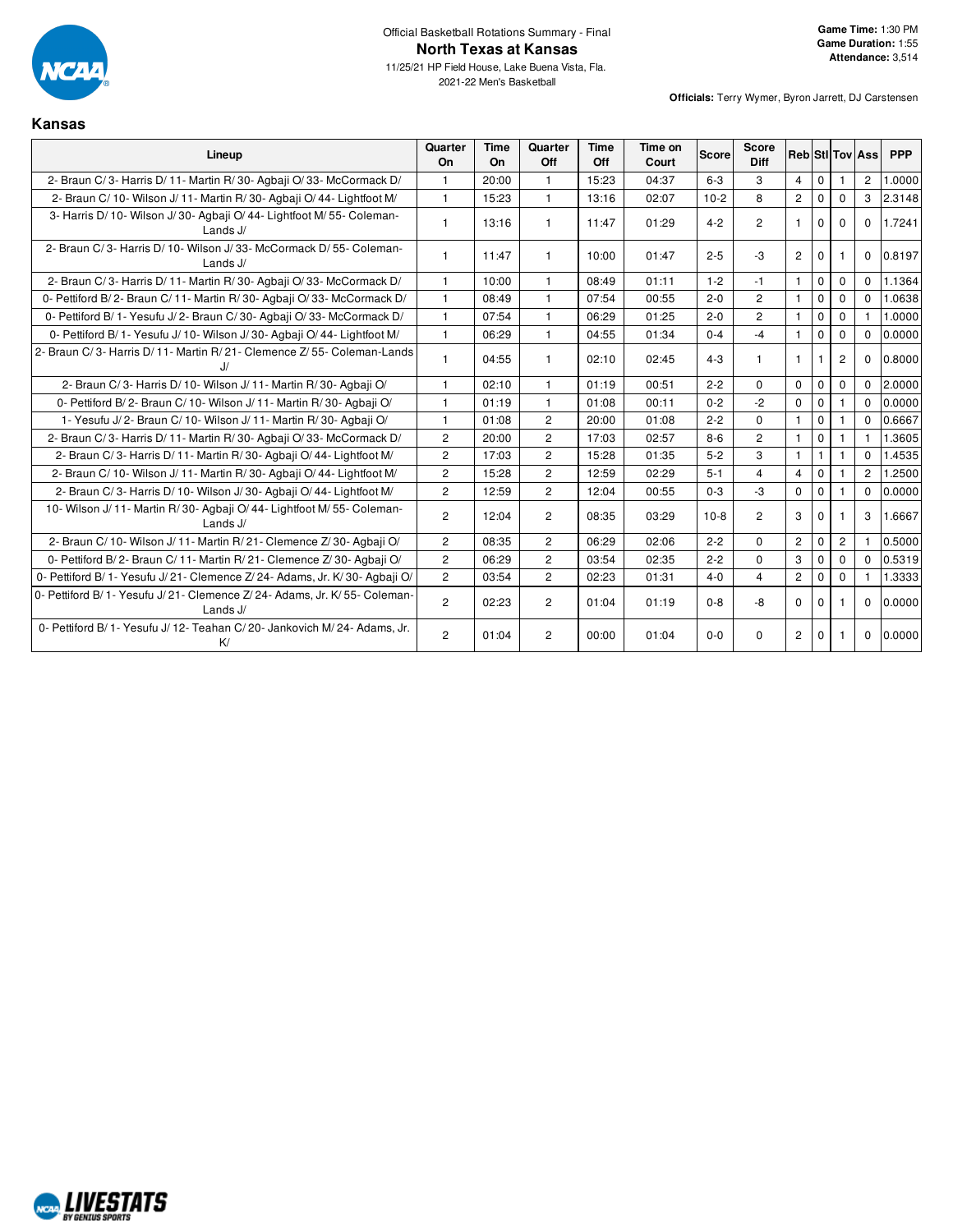

**Kansas**

11/25/21 HP Field House, Lake Buena Vista, Fla. 2021-22 Men's Basketball

| Lineup                                                                                | Quarter<br>On  | <b>Time</b><br>On | Quarter<br>Off | <b>Time</b><br>Off | Time on<br>Court | <b>Score</b> | <b>Score</b><br><b>Diff</b> |                |              |                | <b>Reb</b> StilTov Ass | <b>PPP</b> |
|---------------------------------------------------------------------------------------|----------------|-------------------|----------------|--------------------|------------------|--------------|-----------------------------|----------------|--------------|----------------|------------------------|------------|
| 2- Braun C/3- Harris D/11- Martin R/30- Agbaji O/33- McCormack D/                     | 1              | 20:00             | $\mathbf{1}$   | 15:23              | 04:37            | $6 - 3$      | 3                           | 4              | $\mathbf 0$  |                | $\overline{c}$         | 1.0000     |
| 2- Braun C/10- Wilson J/11- Martin R/30- Agbaji O/44- Lightfoot M/                    | $\mathbf{1}$   | 15:23             | $\overline{1}$ | 13:16              | 02:07            | $10-2$       | 8                           | $\overline{2}$ | $\mathbf 0$  | $\Omega$       | 3                      | 2.3148     |
| 3- Harris D/ 10- Wilson J/ 30- Agbaji O/ 44- Lightfoot M/ 55- Coleman-<br>Lands $J/$  | $\mathbf{1}$   | 13:16             | $\mathbf{1}$   | 11:47              | 01:29            | $4 - 2$      | $\overline{2}$              | $\mathbf{1}$   | $\mathbf 0$  | $\Omega$       | $\Omega$               | 1.7241     |
| 2- Braun C/3- Harris D/10- Wilson J/33- McCormack D/55- Coleman-<br>Lands J/          |                | 11:47             | $\mathbf{1}$   | 10:00              | 01:47            | $2 - 5$      | $-3$                        | $\overline{2}$ | $\mathbf 0$  |                | $\Omega$               | 0.8197     |
| 2- Braun C/3- Harris D/11- Martin R/30- Agbaii O/33- McCormack D/                     | $\mathbf{1}$   | 10:00             | $\mathbf{1}$   | 08:49              | 01:11            | $1 - 2$      | $-1$                        | $\mathbf{1}$   | $\mathbf 0$  | $\mathbf{0}$   | $\mathbf 0$            | 1.1364     |
| 0- Pettiford B/2- Braun C/11- Martin R/30- Agbaji O/33- McCormack D/                  | $\mathbf{1}$   | 08:49             | $\overline{1}$ | 07:54              | 00:55            | $2 - 0$      | $\overline{2}$              | $\mathbf{1}$   | $\mathbf 0$  | $\mathbf 0$    | $\Omega$               | 1.0638     |
| 0- Pettiford B/1- Yesufu J/2- Braun C/30- Agbaii O/33- McCormack D/                   | $\mathbf{1}$   | 07:54             | $\mathbf{1}$   | 06:29              | 01:25            | $2 - 0$      | $\overline{c}$              | $\mathbf{1}$   | $\mathbf 0$  | $\Omega$       |                        | 1.0000     |
| 0- Pettiford B/ 1- Yesufu J/ 10- Wilson J/ 30- Agbaji O/ 44- Lightfoot M/             | $\mathbf{1}$   | 06:29             | $\overline{1}$ | 04:55              | 01:34            | $0 - 4$      | $-4$                        | $\mathbf{1}$   | $\mathbf 0$  | $\Omega$       | $\Omega$               | 0.0000     |
| 2- Braun C/3- Harris D/11- Martin R/21- Clemence Z/55- Coleman-Lands                  |                | 04:55             | $\mathbf{1}$   | 02:10              | 02:45            | $4 - 3$      | $\mathbf{1}$                | $\mathbf{1}$   |              | $\overline{2}$ | 0                      | 0.8000     |
| 2- Braun C/3- Harris D/10- Wilson J/11- Martin R/30- Agbaji O/                        | 1              | 02:10             | $\mathbf{1}$   | 01:19              | 00:51            | $2 - 2$      | 0                           | $\Omega$       | $\mathbf 0$  | $\mathbf 0$    | $\Omega$               | 2.0000     |
| 0- Pettiford B/2- Braun C/10- Wilson J/11- Martin R/30- Agbaji O/                     | 1              | 01:19             | $\mathbf{1}$   | 01:08              | 00:11            | $0 - 2$      | $-2$                        | $\mathbf 0$    | $\mathbf 0$  |                | $\Omega$               | 0.0000     |
| 1- Yesufu J/2- Braun C/10- Wilson J/11- Martin R/30- Agbaji O/                        | $\mathbf{1}$   | 01:08             | $\overline{2}$ | 20:00              | 01:08            | $2 - 2$      | $\Omega$                    | $\mathbf{1}$   | $\mathbf 0$  | $\mathbf{1}$   | $\mathbf 0$            | 0.6667     |
| 2- Braun C/3- Harris D/11- Martin R/30- Agbaii O/33- McCormack D/                     | $\overline{2}$ | 20:00             | 2              | 17:03              | 02:57            | $8 - 6$      | $\overline{2}$              | $\mathbf{1}$   | $\mathbf 0$  | $\mathbf{1}$   | 1                      | 1.3605     |
| 2- Braun C/3- Harris D/11- Martin R/30- Agbaii O/44- Lightfoot M/                     | $\overline{2}$ | 17:03             | $\overline{2}$ | 15:28              | 01:35            | $5 - 2$      | 3                           | $\mathbf{1}$   | $\mathbf{1}$ | 1              | $\Omega$               | 1.4535     |
| 2- Braun C/ 10- Wilson J/ 11- Martin R/ 30- Agbaji O/ 44- Lightfoot M/                | $\overline{2}$ | 15:28             | $\overline{2}$ | 12:59              | 02:29            | $5 - 1$      | $\overline{4}$              | $\overline{4}$ | $\mathbf 0$  |                | $\overline{2}$         | 1.2500     |
| 2- Braun C/3- Harris D/10- Wilson J/30- Agbaji O/44- Lightfoot M/                     | $\overline{2}$ | 12:59             | $\overline{2}$ | 12:04              | 00:55            | $0 - 3$      | $-3$                        | $\Omega$       | $\Omega$     |                | $\Omega$               | 0.0000     |
| 10- Wilson J/ 11- Martin R/ 30- Agbaii O/ 44- Lightfoot M/ 55- Coleman-<br>Lands J/   | $\overline{2}$ | 12:04             | $\overline{c}$ | 08:35              | 03:29            | $10-8$       | $\overline{2}$              | 3              | $\mathbf 0$  |                | 3                      | 1.6667     |
| 2- Braun C/10- Wilson J/11- Martin R/21- Clemence Z/30- Agbaji O/                     | $\overline{c}$ | 08:35             | $\overline{c}$ | 06:29              | 02:06            | $2 - 2$      | 0                           | $\mathbf{2}$   | $\mathbf 0$  | $\overline{c}$ | 1                      | 0.5000     |
| 0- Pettiford B/2- Braun C/11- Martin R/21- Clemence Z/30- Agbaji O/                   | $\overline{2}$ | 06:29             | 2              | 03:54              | 02:35            | $2 - 2$      | $\Omega$                    | 3              | $\Omega$     | $\Omega$       | $\Omega$               | 0.5319     |
| 0- Pettiford B/ 1- Yesufu J/ 21- Clemence Z/ 24- Adams, Jr. K/ 30- Agbaji O/          | $\overline{2}$ | 03:54             | $\overline{2}$ | 02:23              | 01:31            | $4 - 0$      | $\overline{4}$              | $\overline{2}$ | 0            | $\mathbf{0}$   |                        | 1.3333     |
| 0- Pettiford B/1- Yesufu J/21- Clemence Z/24- Adams, Jr. K/55- Coleman-<br>Lands $J/$ | $\overline{c}$ | 02:23             | $\overline{c}$ | 01:04              | 01:19            | $0 - 8$      | -8                          | $\Omega$       | $\Omega$     |                | 0                      | 0.0000     |
| 0- Pettiford B/ 1- Yesufu J/ 12- Teahan C/ 20- Jankovich M/ 24- Adams, Jr.<br>K/      | $\overline{2}$ | 01:04             | $\overline{2}$ | 00:00              | 01:04            | $0 - 0$      | 0                           | $\overline{2}$ | $\Omega$     |                | $\Omega$               | 0.0000     |

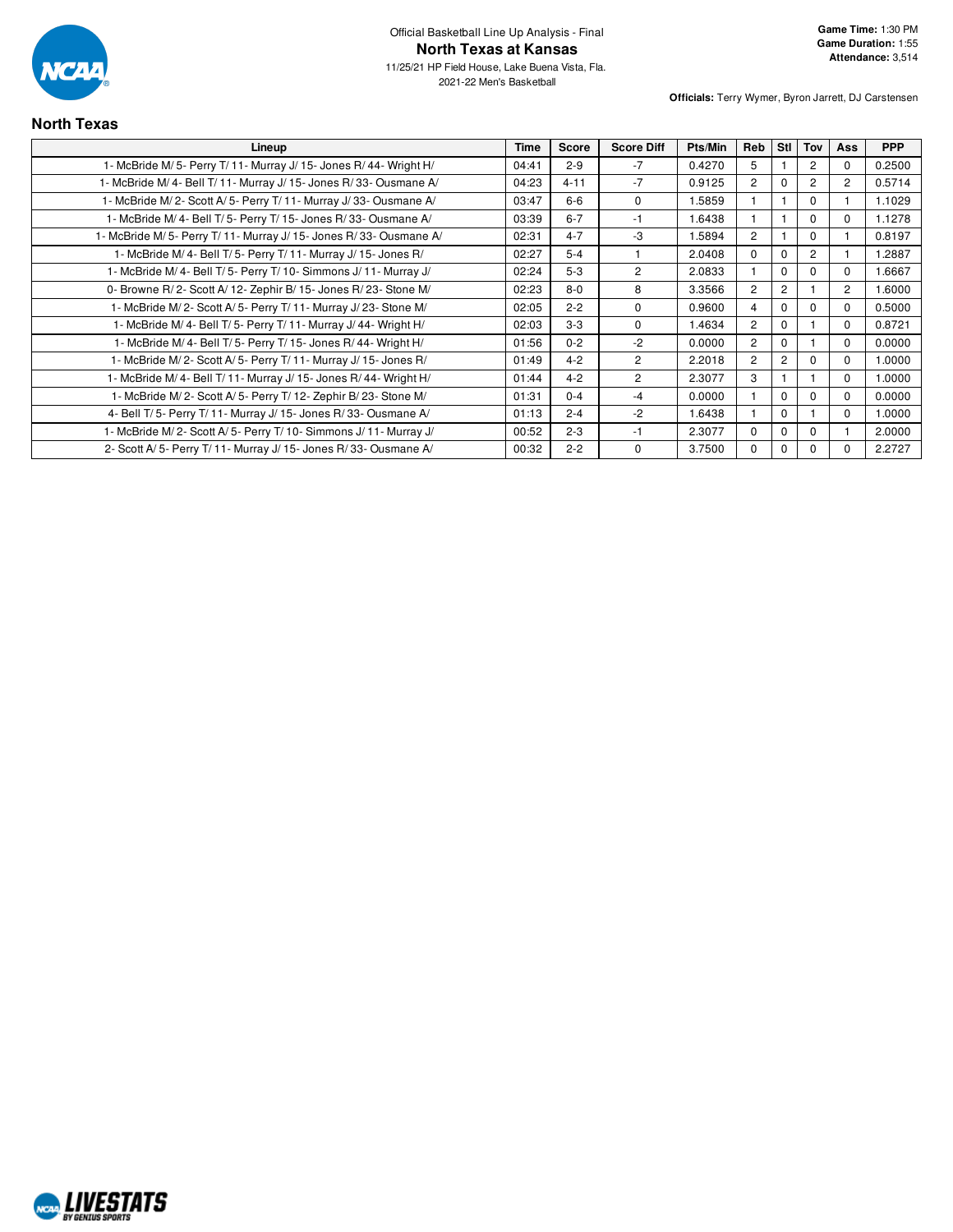

| <b>North Texas</b>                                                |             |              |                   |         |                |                |                |                |            |
|-------------------------------------------------------------------|-------------|--------------|-------------------|---------|----------------|----------------|----------------|----------------|------------|
| Lineup                                                            | <b>Time</b> | <b>Score</b> | <b>Score Diff</b> | Pts/Min | Reb            | Stl            | Tov            | <b>Ass</b>     | <b>PPP</b> |
| 1- McBride M/5- Perry T/11- Murray J/15- Jones R/44- Wright H/    | 04:41       | $2 - 9$      | $-7$              | 0.4270  | 5              |                | 2              | $\Omega$       | 0.2500     |
| 1- McBride M/4- Bell T/11- Murray J/15- Jones R/33- Ousmane A/    | 04:23       | $4 - 11$     | $-7$              | 0.9125  | $\overline{2}$ | $\Omega$       | $\overline{2}$ | $\overline{2}$ | 0.5714     |
| 1- McBride M/2- Scott A/5- Perry T/11- Murray J/33- Ousmane A/    | 03:47       | $6 - 6$      | $\Omega$          | 1.5859  |                |                | $\Omega$       |                | 1.1029     |
| 1- McBride M/4- Bell T/5- Perry T/15- Jones R/33- Ousmane A/      | 03:39       | $6 - 7$      | $-1$              | 1.6438  |                |                | $\Omega$       | $\Omega$       | 1.1278     |
| 1- McBride M/5- Perry T/11- Murray J/15- Jones R/33- Ousmane A/   | 02:31       | $4 - 7$      | -3                | 1.5894  | $\overline{2}$ |                | $\Omega$       |                | 0.8197     |
| 1- McBride M/ 4- Bell T/ 5- Perry T/ 11- Murray J/ 15- Jones R/   | 02:27       | $5 - 4$      |                   | 2.0408  | $\Omega$       | $\Omega$       | $\overline{2}$ |                | 1.2887     |
| 1- McBride M/ 4- Bell T/ 5- Perry T/ 10- Simmons J/ 11- Murray J/ | 02:24       | $5-3$        | $\overline{2}$    | 2.0833  |                | $\Omega$       | $\Omega$       | $\Omega$       | 1.6667     |
| 0- Browne R/2- Scott A/12- Zephir B/15- Jones R/23- Stone M/      | 02:23       | $8 - 0$      | 8                 | 3.3566  | $\overline{2}$ | $\overline{2}$ |                | $\overline{c}$ | 1.6000     |
| 1- McBride M/2- Scott A/5- Perry T/11- Murray J/23- Stone M/      | 02:05       | $2 - 2$      | $\mathbf 0$       | 0.9600  | 4              | $\mathbf 0$    | $\Omega$       | 0              | 0.5000     |
| 1- McBride M/4- Bell T/5- Perry T/11- Murray J/44- Wright H/      | 02:03       | $3-3$        | $\Omega$          | 1.4634  | $\overline{2}$ | $\Omega$       |                | $\Omega$       | 0.8721     |
| 1- McBride M/ 4- Bell T/ 5- Perry T/ 15- Jones R/ 44- Wright H/   | 01:56       | $0 - 2$      | $-2$              | 0.0000  | $\overline{2}$ | $\Omega$       |                | $\Omega$       | 0.0000     |
| 1- McBride M/2- Scott A/5- Perry T/11- Murray J/15- Jones R/      | 01:49       | $4 - 2$      | 2                 | 2.2018  | $\overline{2}$ | $\overline{c}$ | <sup>0</sup>   | $\Omega$       | 1.0000     |
| 1- McBride M/4- Bell T/11- Murray J/15- Jones R/44- Wright H/     | 01:44       | $4 - 2$      | $\overline{2}$    | 2.3077  | 3              |                |                | $\Omega$       | 1.0000     |
| 1- McBride M/2- Scott A/5- Perry T/12- Zephir B/23- Stone M/      | 01:31       | $0 - 4$      | $-4$              | 0.0000  |                | $\Omega$       | $\Omega$       | $\Omega$       | 0.0000     |
| 4- Bell T/5- Perry T/11- Murray J/15- Jones R/33- Ousmane A/      | 01:13       | $2 - 4$      | $-2$              | 1.6438  |                | $\Omega$       |                | $\Omega$       | 1.0000     |
| 1- McBride M/2- Scott A/5- Perry T/10- Simmons J/11- Murray J/    | 00:52       | $2 - 3$      | $-1$              | 2.3077  | $\Omega$       | $\Omega$       | $\Omega$       |                | 2.0000     |
| 2- Scott A/5- Perry T/11- Murray J/15- Jones R/33- Ousmane A/     | 00:32       | $2 - 2$      | $\Omega$          | 3.7500  | $\Omega$       | $\Omega$       | $\Omega$       | $\Omega$       | 2.2727     |